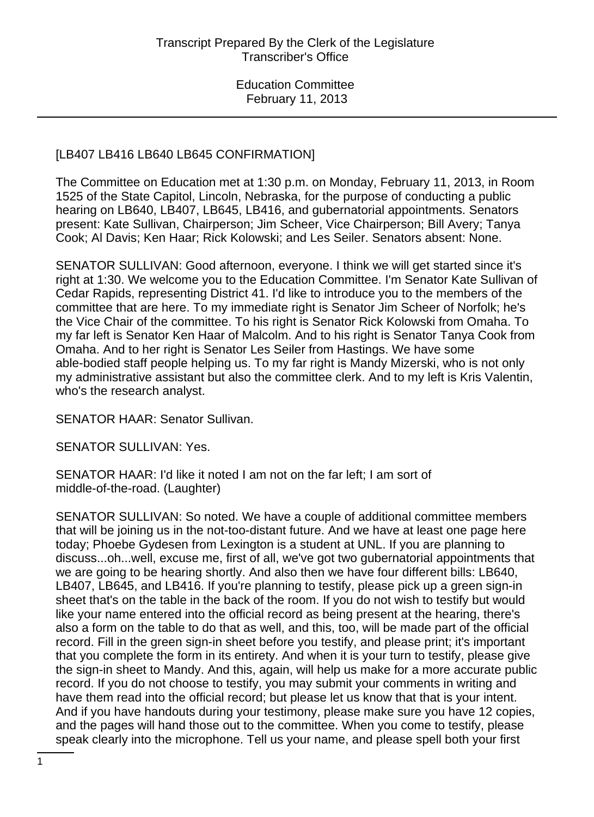## [LB407 LB416 LB640 LB645 CONFIRMATION]

The Committee on Education met at 1:30 p.m. on Monday, February 11, 2013, in Room 1525 of the State Capitol, Lincoln, Nebraska, for the purpose of conducting a public hearing on LB640, LB407, LB645, LB416, and gubernatorial appointments. Senators present: Kate Sullivan, Chairperson; Jim Scheer, Vice Chairperson; Bill Avery; Tanya Cook; Al Davis; Ken Haar; Rick Kolowski; and Les Seiler. Senators absent: None.

SENATOR SULLIVAN: Good afternoon, everyone. I think we will get started since it's right at 1:30. We welcome you to the Education Committee. I'm Senator Kate Sullivan of Cedar Rapids, representing District 41. I'd like to introduce you to the members of the committee that are here. To my immediate right is Senator Jim Scheer of Norfolk; he's the Vice Chair of the committee. To his right is Senator Rick Kolowski from Omaha. To my far left is Senator Ken Haar of Malcolm. And to his right is Senator Tanya Cook from Omaha. And to her right is Senator Les Seiler from Hastings. We have some able-bodied staff people helping us. To my far right is Mandy Mizerski, who is not only my administrative assistant but also the committee clerk. And to my left is Kris Valentin, who's the research analyst.

SENATOR HAAR: Senator Sullivan.

SENATOR SULLIVAN: Yes.

SENATOR HAAR: I'd like it noted I am not on the far left; I am sort of middle-of-the-road. (Laughter)

SENATOR SULLIVAN: So noted. We have a couple of additional committee members that will be joining us in the not-too-distant future. And we have at least one page here today; Phoebe Gydesen from Lexington is a student at UNL. If you are planning to discuss...oh...well, excuse me, first of all, we've got two gubernatorial appointments that we are going to be hearing shortly. And also then we have four different bills: LB640, LB407, LB645, and LB416. If you're planning to testify, please pick up a green sign-in sheet that's on the table in the back of the room. If you do not wish to testify but would like your name entered into the official record as being present at the hearing, there's also a form on the table to do that as well, and this, too, will be made part of the official record. Fill in the green sign-in sheet before you testify, and please print; it's important that you complete the form in its entirety. And when it is your turn to testify, please give the sign-in sheet to Mandy. And this, again, will help us make for a more accurate public record. If you do not choose to testify, you may submit your comments in writing and have them read into the official record; but please let us know that that is your intent. And if you have handouts during your testimony, please make sure you have 12 copies, and the pages will hand those out to the committee. When you come to testify, please speak clearly into the microphone. Tell us your name, and please spell both your first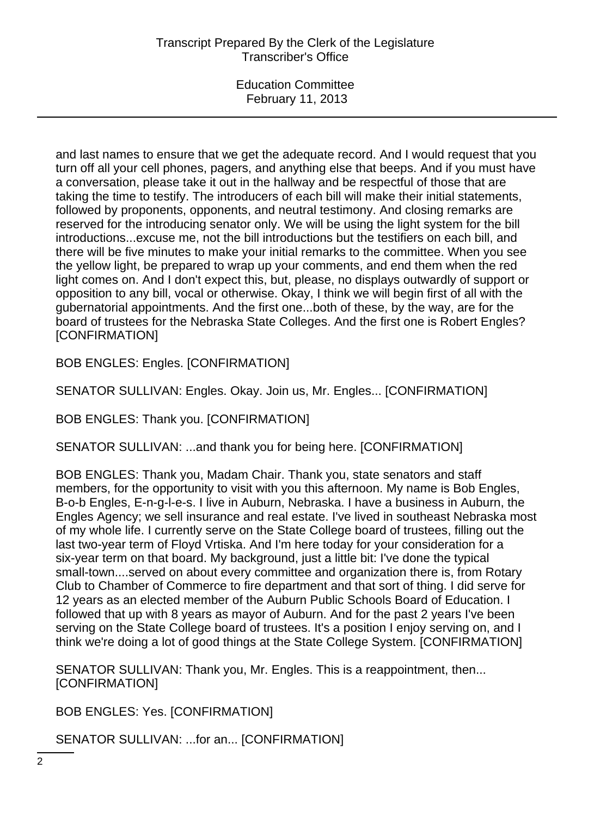and last names to ensure that we get the adequate record. And I would request that you turn off all your cell phones, pagers, and anything else that beeps. And if you must have a conversation, please take it out in the hallway and be respectful of those that are taking the time to testify. The introducers of each bill will make their initial statements, followed by proponents, opponents, and neutral testimony. And closing remarks are reserved for the introducing senator only. We will be using the light system for the bill introductions...excuse me, not the bill introductions but the testifiers on each bill, and there will be five minutes to make your initial remarks to the committee. When you see the yellow light, be prepared to wrap up your comments, and end them when the red light comes on. And I don't expect this, but, please, no displays outwardly of support or opposition to any bill, vocal or otherwise. Okay, I think we will begin first of all with the gubernatorial appointments. And the first one...both of these, by the way, are for the board of trustees for the Nebraska State Colleges. And the first one is Robert Engles? [CONFIRMATION]

BOB ENGLES: Engles. [CONFIRMATION]

SENATOR SULLIVAN: Engles. Okay. Join us, Mr. Engles... [CONFIRMATION]

BOB ENGLES: Thank you. [CONFIRMATION]

SENATOR SULLIVAN: ...and thank you for being here. [CONFIRMATION]

BOB ENGLES: Thank you, Madam Chair. Thank you, state senators and staff members, for the opportunity to visit with you this afternoon. My name is Bob Engles, B-o-b Engles, E-n-g-l-e-s. I live in Auburn, Nebraska. I have a business in Auburn, the Engles Agency; we sell insurance and real estate. I've lived in southeast Nebraska most of my whole life. I currently serve on the State College board of trustees, filling out the last two-year term of Floyd Vrtiska. And I'm here today for your consideration for a six-year term on that board. My background, just a little bit: I've done the typical small-town....served on about every committee and organization there is, from Rotary Club to Chamber of Commerce to fire department and that sort of thing. I did serve for 12 years as an elected member of the Auburn Public Schools Board of Education. I followed that up with 8 years as mayor of Auburn. And for the past 2 years I've been serving on the State College board of trustees. It's a position I enjoy serving on, and I think we're doing a lot of good things at the State College System. [CONFIRMATION]

SENATOR SULLIVAN: Thank you, Mr. Engles. This is a reappointment, then... [CONFIRMATION]

BOB ENGLES: Yes. [CONFIRMATION]

SENATOR SULLIVAN: ...for an... [CONFIRMATION]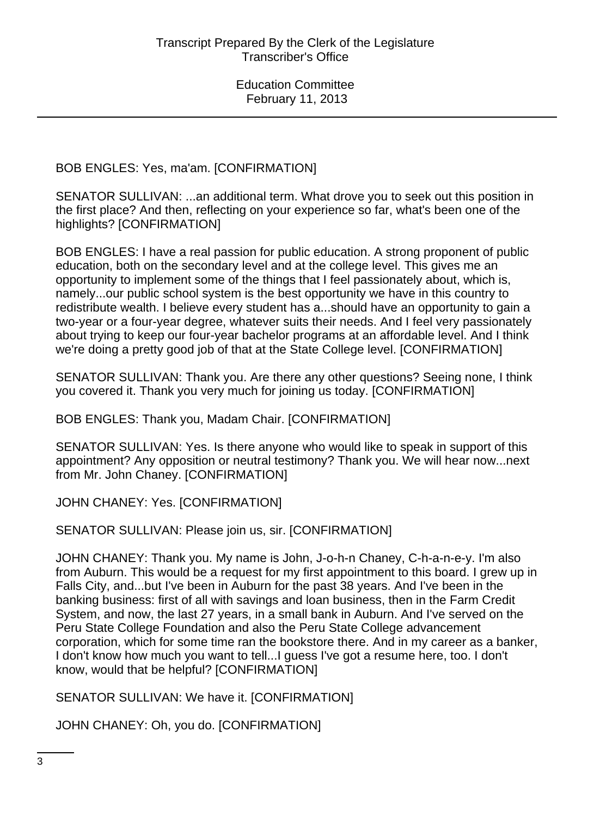BOB ENGLES: Yes, ma'am. [CONFIRMATION]

SENATOR SULLIVAN: ...an additional term. What drove you to seek out this position in the first place? And then, reflecting on your experience so far, what's been one of the highlights? [CONFIRMATION]

BOB ENGLES: I have a real passion for public education. A strong proponent of public education, both on the secondary level and at the college level. This gives me an opportunity to implement some of the things that I feel passionately about, which is, namely...our public school system is the best opportunity we have in this country to redistribute wealth. I believe every student has a...should have an opportunity to gain a two-year or a four-year degree, whatever suits their needs. And I feel very passionately about trying to keep our four-year bachelor programs at an affordable level. And I think we're doing a pretty good job of that at the State College level. [CONFIRMATION]

SENATOR SULLIVAN: Thank you. Are there any other questions? Seeing none, I think you covered it. Thank you very much for joining us today. [CONFIRMATION]

BOB ENGLES: Thank you, Madam Chair. [CONFIRMATION]

SENATOR SULLIVAN: Yes. Is there anyone who would like to speak in support of this appointment? Any opposition or neutral testimony? Thank you. We will hear now...next from Mr. John Chaney. [CONFIRMATION]

JOHN CHANEY: Yes. [CONFIRMATION]

SENATOR SULLIVAN: Please join us, sir. [CONFIRMATION]

JOHN CHANEY: Thank you. My name is John, J-o-h-n Chaney, C-h-a-n-e-y. I'm also from Auburn. This would be a request for my first appointment to this board. I grew up in Falls City, and...but I've been in Auburn for the past 38 years. And I've been in the banking business: first of all with savings and loan business, then in the Farm Credit System, and now, the last 27 years, in a small bank in Auburn. And I've served on the Peru State College Foundation and also the Peru State College advancement corporation, which for some time ran the bookstore there. And in my career as a banker, I don't know how much you want to tell...I guess I've got a resume here, too. I don't know, would that be helpful? [CONFIRMATION]

SENATOR SULLIVAN: We have it. [CONFIRMATION]

JOHN CHANEY: Oh, you do. [CONFIRMATION]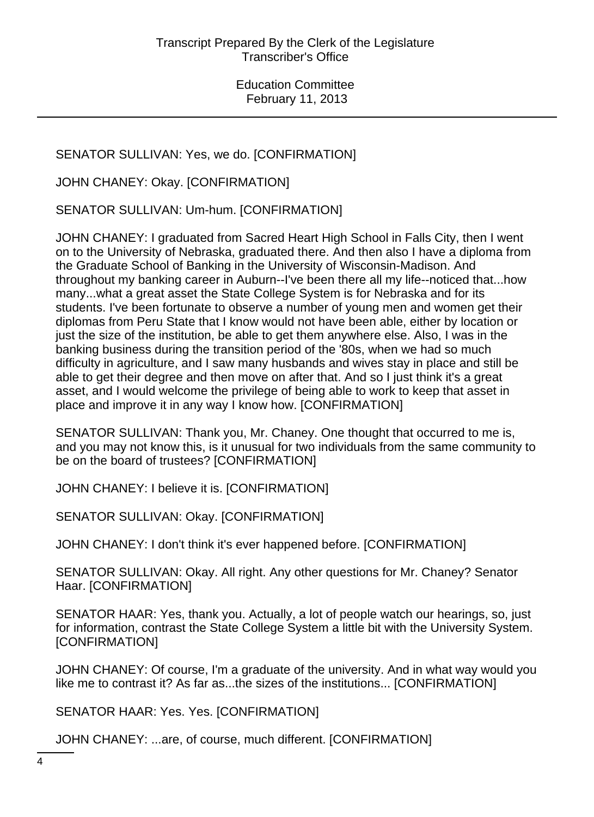# SENATOR SULLIVAN: Yes, we do. [CONFIRMATION]

JOHN CHANEY: Okay. [CONFIRMATION]

SENATOR SULLIVAN: Um-hum. [CONFIRMATION]

JOHN CHANEY: I graduated from Sacred Heart High School in Falls City, then I went on to the University of Nebraska, graduated there. And then also I have a diploma from the Graduate School of Banking in the University of Wisconsin-Madison. And throughout my banking career in Auburn--I've been there all my life--noticed that...how many...what a great asset the State College System is for Nebraska and for its students. I've been fortunate to observe a number of young men and women get their diplomas from Peru State that I know would not have been able, either by location or just the size of the institution, be able to get them anywhere else. Also, I was in the banking business during the transition period of the '80s, when we had so much difficulty in agriculture, and I saw many husbands and wives stay in place and still be able to get their degree and then move on after that. And so I just think it's a great asset, and I would welcome the privilege of being able to work to keep that asset in place and improve it in any way I know how. [CONFIRMATION]

SENATOR SULLIVAN: Thank you, Mr. Chaney. One thought that occurred to me is, and you may not know this, is it unusual for two individuals from the same community to be on the board of trustees? [CONFIRMATION]

JOHN CHANEY: I believe it is. [CONFIRMATION]

SENATOR SULLIVAN: Okay. [CONFIRMATION]

JOHN CHANEY: I don't think it's ever happened before. [CONFIRMATION]

SENATOR SULLIVAN: Okay. All right. Any other questions for Mr. Chaney? Senator Haar. [CONFIRMATION]

SENATOR HAAR: Yes, thank you. Actually, a lot of people watch our hearings, so, just for information, contrast the State College System a little bit with the University System. [CONFIRMATION]

JOHN CHANEY: Of course, I'm a graduate of the university. And in what way would you like me to contrast it? As far as...the sizes of the institutions... [CONFIRMATION]

SENATOR HAAR: Yes. Yes. [CONFIRMATION]

JOHN CHANEY: ...are, of course, much different. [CONFIRMATION]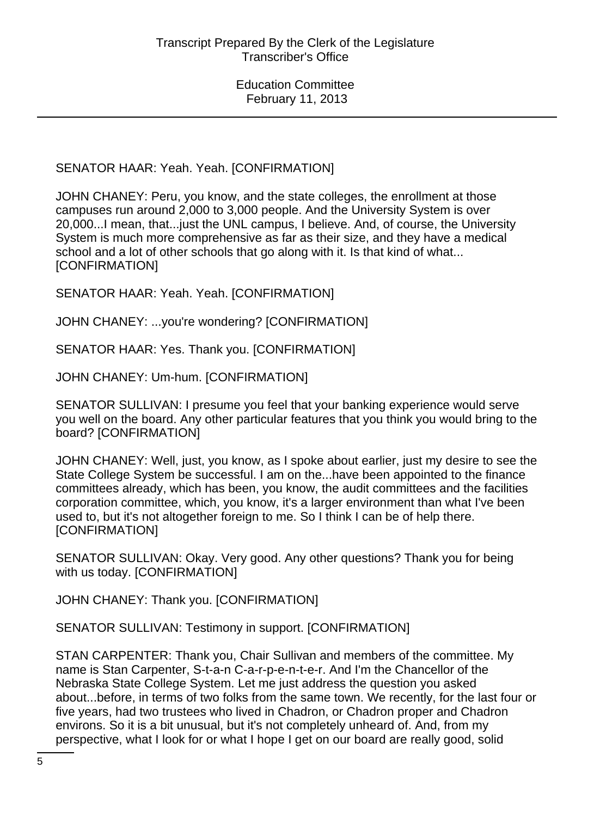SENATOR HAAR: Yeah. Yeah. [CONFIRMATION]

JOHN CHANEY: Peru, you know, and the state colleges, the enrollment at those campuses run around 2,000 to 3,000 people. And the University System is over 20,000...I mean, that...just the UNL campus, I believe. And, of course, the University System is much more comprehensive as far as their size, and they have a medical school and a lot of other schools that go along with it. Is that kind of what... [CONFIRMATION]

SENATOR HAAR: Yeah. Yeah. [CONFIRMATION]

JOHN CHANEY: ...you're wondering? [CONFIRMATION]

SENATOR HAAR: Yes. Thank you. [CONFIRMATION]

JOHN CHANEY: Um-hum. [CONFIRMATION]

SENATOR SULLIVAN: I presume you feel that your banking experience would serve you well on the board. Any other particular features that you think you would bring to the board? [CONFIRMATION]

JOHN CHANEY: Well, just, you know, as I spoke about earlier, just my desire to see the State College System be successful. I am on the...have been appointed to the finance committees already, which has been, you know, the audit committees and the facilities corporation committee, which, you know, it's a larger environment than what I've been used to, but it's not altogether foreign to me. So I think I can be of help there. [CONFIRMATION]

SENATOR SULLIVAN: Okay. Very good. Any other questions? Thank you for being with us today. [CONFIRMATION]

JOHN CHANEY: Thank you. [CONFIRMATION]

SENATOR SULLIVAN: Testimony in support. [CONFIRMATION]

STAN CARPENTER: Thank you, Chair Sullivan and members of the committee. My name is Stan Carpenter, S-t-a-n C-a-r-p-e-n-t-e-r. And I'm the Chancellor of the Nebraska State College System. Let me just address the question you asked about...before, in terms of two folks from the same town. We recently, for the last four or five years, had two trustees who lived in Chadron, or Chadron proper and Chadron environs. So it is a bit unusual, but it's not completely unheard of. And, from my perspective, what I look for or what I hope I get on our board are really good, solid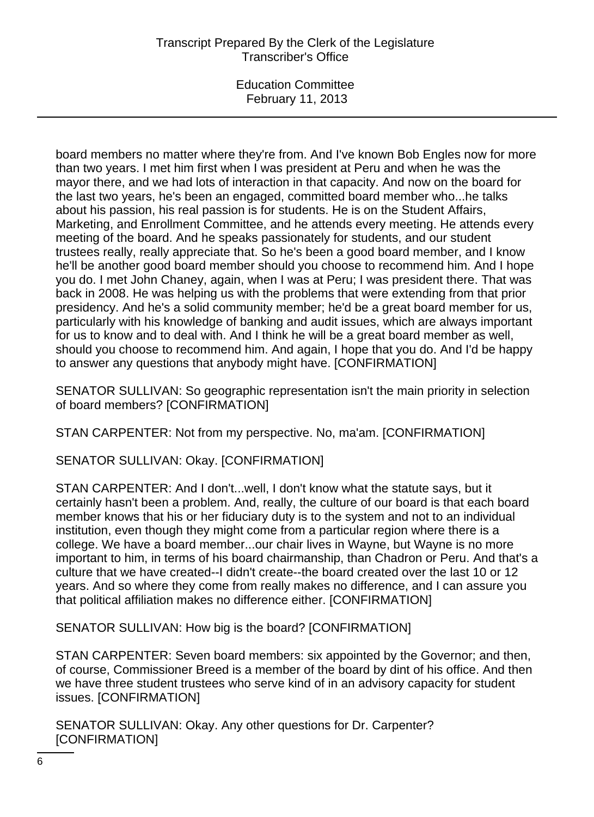# Transcript Prepared By the Clerk of the Legislature Transcriber's Office

Education Committee February 11, 2013

board members no matter where they're from. And I've known Bob Engles now for more than two years. I met him first when I was president at Peru and when he was the mayor there, and we had lots of interaction in that capacity. And now on the board for the last two years, he's been an engaged, committed board member who...he talks about his passion, his real passion is for students. He is on the Student Affairs, Marketing, and Enrollment Committee, and he attends every meeting. He attends every meeting of the board. And he speaks passionately for students, and our student trustees really, really appreciate that. So he's been a good board member, and I know he'll be another good board member should you choose to recommend him. And I hope you do. I met John Chaney, again, when I was at Peru; I was president there. That was back in 2008. He was helping us with the problems that were extending from that prior presidency. And he's a solid community member; he'd be a great board member for us, particularly with his knowledge of banking and audit issues, which are always important for us to know and to deal with. And I think he will be a great board member as well, should you choose to recommend him. And again, I hope that you do. And I'd be happy to answer any questions that anybody might have. [CONFIRMATION]

SENATOR SULLIVAN: So geographic representation isn't the main priority in selection of board members? [CONFIRMATION]

STAN CARPENTER: Not from my perspective. No, ma'am. [CONFIRMATION]

SENATOR SULLIVAN: Okay. [CONFIRMATION]

STAN CARPENTER: And I don't...well, I don't know what the statute says, but it certainly hasn't been a problem. And, really, the culture of our board is that each board member knows that his or her fiduciary duty is to the system and not to an individual institution, even though they might come from a particular region where there is a college. We have a board member...our chair lives in Wayne, but Wayne is no more important to him, in terms of his board chairmanship, than Chadron or Peru. And that's a culture that we have created--I didn't create--the board created over the last 10 or 12 years. And so where they come from really makes no difference, and I can assure you that political affiliation makes no difference either. [CONFIRMATION]

SENATOR SULLIVAN: How big is the board? [CONFIRMATION]

STAN CARPENTER: Seven board members: six appointed by the Governor; and then, of course, Commissioner Breed is a member of the board by dint of his office. And then we have three student trustees who serve kind of in an advisory capacity for student issues. [CONFIRMATION]

SENATOR SULLIVAN: Okay. Any other questions for Dr. Carpenter? [CONFIRMATION]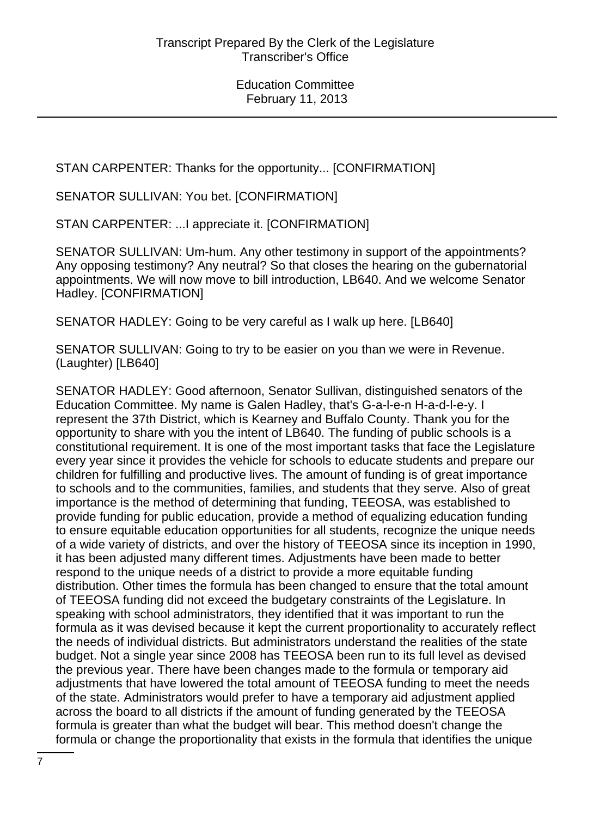STAN CARPENTER: Thanks for the opportunity... [CONFIRMATION]

SENATOR SULLIVAN: You bet. [CONFIRMATION]

STAN CARPENTER: ...I appreciate it. [CONFIRMATION]

SENATOR SULLIVAN: Um-hum. Any other testimony in support of the appointments? Any opposing testimony? Any neutral? So that closes the hearing on the gubernatorial appointments. We will now move to bill introduction, LB640. And we welcome Senator Hadley. [CONFIRMATION]

SENATOR HADLEY: Going to be very careful as I walk up here. [LB640]

SENATOR SULLIVAN: Going to try to be easier on you than we were in Revenue. (Laughter) [LB640]

SENATOR HADLEY: Good afternoon, Senator Sullivan, distinguished senators of the Education Committee. My name is Galen Hadley, that's G-a-l-e-n H-a-d-l-e-y. I represent the 37th District, which is Kearney and Buffalo County. Thank you for the opportunity to share with you the intent of LB640. The funding of public schools is a constitutional requirement. It is one of the most important tasks that face the Legislature every year since it provides the vehicle for schools to educate students and prepare our children for fulfilling and productive lives. The amount of funding is of great importance to schools and to the communities, families, and students that they serve. Also of great importance is the method of determining that funding, TEEOSA, was established to provide funding for public education, provide a method of equalizing education funding to ensure equitable education opportunities for all students, recognize the unique needs of a wide variety of districts, and over the history of TEEOSA since its inception in 1990, it has been adjusted many different times. Adjustments have been made to better respond to the unique needs of a district to provide a more equitable funding distribution. Other times the formula has been changed to ensure that the total amount of TEEOSA funding did not exceed the budgetary constraints of the Legislature. In speaking with school administrators, they identified that it was important to run the formula as it was devised because it kept the current proportionality to accurately reflect the needs of individual districts. But administrators understand the realities of the state budget. Not a single year since 2008 has TEEOSA been run to its full level as devised the previous year. There have been changes made to the formula or temporary aid adjustments that have lowered the total amount of TEEOSA funding to meet the needs of the state. Administrators would prefer to have a temporary aid adjustment applied across the board to all districts if the amount of funding generated by the TEEOSA formula is greater than what the budget will bear. This method doesn't change the formula or change the proportionality that exists in the formula that identifies the unique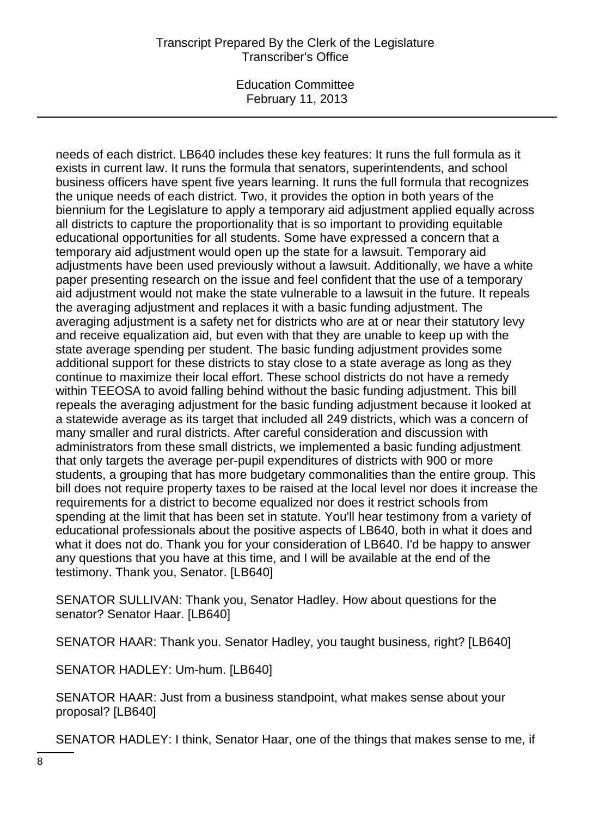# Transcript Prepared By the Clerk of the Legislature Transcriber's Office

Education Committee February 11, 2013

needs of each district. LB640 includes these key features: It runs the full formula as it exists in current law. It runs the formula that senators, superintendents, and school business officers have spent five years learning. It runs the full formula that recognizes the unique needs of each district. Two, it provides the option in both years of the biennium for the Legislature to apply a temporary aid adjustment applied equally across all districts to capture the proportionality that is so important to providing equitable educational opportunities for all students. Some have expressed a concern that a temporary aid adjustment would open up the state for a lawsuit. Temporary aid adjustments have been used previously without a lawsuit. Additionally, we have a white paper presenting research on the issue and feel confident that the use of a temporary aid adjustment would not make the state vulnerable to a lawsuit in the future. It repeals the averaging adjustment and replaces it with a basic funding adjustment. The averaging adjustment is a safety net for districts who are at or near their statutory levy and receive equalization aid, but even with that they are unable to keep up with the state average spending per student. The basic funding adjustment provides some additional support for these districts to stay close to a state average as long as they continue to maximize their local effort. These school districts do not have a remedy within TEEOSA to avoid falling behind without the basic funding adjustment. This bill repeals the averaging adjustment for the basic funding adjustment because it looked at a statewide average as its target that included all 249 districts, which was a concern of many smaller and rural districts. After careful consideration and discussion with administrators from these small districts, we implemented a basic funding adjustment that only targets the average per-pupil expenditures of districts with 900 or more students, a grouping that has more budgetary commonalities than the entire group. This bill does not require property taxes to be raised at the local level nor does it increase the requirements for a district to become equalized nor does it restrict schools from spending at the limit that has been set in statute. You'll hear testimony from a variety of educational professionals about the positive aspects of LB640, both in what it does and what it does not do. Thank you for your consideration of LB640. I'd be happy to answer any questions that you have at this time, and I will be available at the end of the testimony. Thank you, Senator. [LB640]

SENATOR SULLIVAN: Thank you, Senator Hadley. How about questions for the senator? Senator Haar. [LB640]

SENATOR HAAR: Thank you. Senator Hadley, you taught business, right? [LB640]

SENATOR HADLEY: Um-hum. [LB640]

SENATOR HAAR: Just from a business standpoint, what makes sense about your proposal? [LB640]

SENATOR HADLEY: I think, Senator Haar, one of the things that makes sense to me, if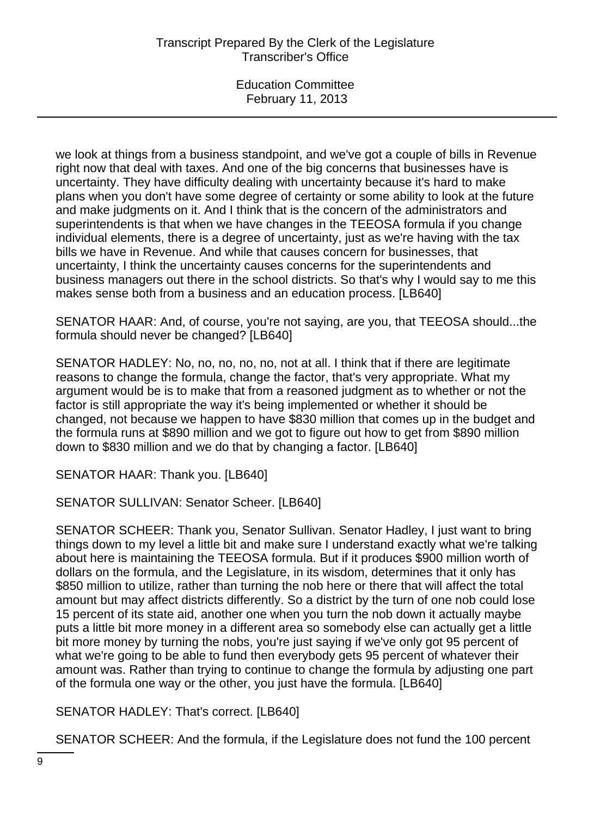we look at things from a business standpoint, and we've got a couple of bills in Revenue right now that deal with taxes. And one of the big concerns that businesses have is uncertainty. They have difficulty dealing with uncertainty because it's hard to make plans when you don't have some degree of certainty or some ability to look at the future and make judgments on it. And I think that is the concern of the administrators and superintendents is that when we have changes in the TEEOSA formula if you change individual elements, there is a degree of uncertainty, just as we're having with the tax bills we have in Revenue. And while that causes concern for businesses, that uncertainty, I think the uncertainty causes concerns for the superintendents and business managers out there in the school districts. So that's why I would say to me this makes sense both from a business and an education process. [LB640]

SENATOR HAAR: And, of course, you're not saying, are you, that TEEOSA should...the formula should never be changed? [LB640]

SENATOR HADLEY: No, no, no, no, no, not at all. I think that if there are legitimate reasons to change the formula, change the factor, that's very appropriate. What my argument would be is to make that from a reasoned judgment as to whether or not the factor is still appropriate the way it's being implemented or whether it should be changed, not because we happen to have \$830 million that comes up in the budget and the formula runs at \$890 million and we got to figure out how to get from \$890 million down to \$830 million and we do that by changing a factor. [LB640]

SENATOR HAAR: Thank you. [LB640]

SENATOR SULLIVAN: Senator Scheer. [LB640]

SENATOR SCHEER: Thank you, Senator Sullivan. Senator Hadley, I just want to bring things down to my level a little bit and make sure I understand exactly what we're talking about here is maintaining the TEEOSA formula. But if it produces \$900 million worth of dollars on the formula, and the Legislature, in its wisdom, determines that it only has \$850 million to utilize, rather than turning the nob here or there that will affect the total amount but may affect districts differently. So a district by the turn of one nob could lose 15 percent of its state aid, another one when you turn the nob down it actually maybe puts a little bit more money in a different area so somebody else can actually get a little bit more money by turning the nobs, you're just saying if we've only got 95 percent of what we're going to be able to fund then everybody gets 95 percent of whatever their amount was. Rather than trying to continue to change the formula by adjusting one part of the formula one way or the other, you just have the formula. [LB640]

SENATOR HADLEY: That's correct. [LB640]

SENATOR SCHEER: And the formula, if the Legislature does not fund the 100 percent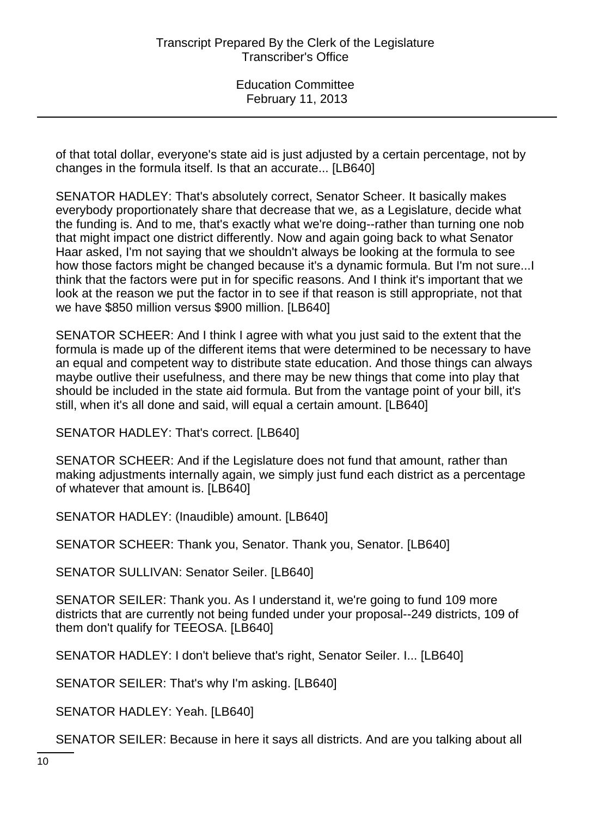of that total dollar, everyone's state aid is just adjusted by a certain percentage, not by changes in the formula itself. Is that an accurate... [LB640]

SENATOR HADLEY: That's absolutely correct, Senator Scheer. It basically makes everybody proportionately share that decrease that we, as a Legislature, decide what the funding is. And to me, that's exactly what we're doing--rather than turning one nob that might impact one district differently. Now and again going back to what Senator Haar asked, I'm not saying that we shouldn't always be looking at the formula to see how those factors might be changed because it's a dynamic formula. But I'm not sure...I think that the factors were put in for specific reasons. And I think it's important that we look at the reason we put the factor in to see if that reason is still appropriate, not that we have \$850 million versus \$900 million. [LB640]

SENATOR SCHEER: And I think I agree with what you just said to the extent that the formula is made up of the different items that were determined to be necessary to have an equal and competent way to distribute state education. And those things can always maybe outlive their usefulness, and there may be new things that come into play that should be included in the state aid formula. But from the vantage point of your bill, it's still, when it's all done and said, will equal a certain amount. [LB640]

SENATOR HADLEY: That's correct. [LB640]

SENATOR SCHEER: And if the Legislature does not fund that amount, rather than making adjustments internally again, we simply just fund each district as a percentage of whatever that amount is. [LB640]

SENATOR HADLEY: (Inaudible) amount. [LB640]

SENATOR SCHEER: Thank you, Senator. Thank you, Senator. [LB640]

SENATOR SULLIVAN: Senator Seiler. [LB640]

SENATOR SEILER: Thank you. As I understand it, we're going to fund 109 more districts that are currently not being funded under your proposal--249 districts, 109 of them don't qualify for TEEOSA. [LB640]

SENATOR HADLEY: I don't believe that's right, Senator Seiler. I... [LB640]

SENATOR SEILER: That's why I'm asking. [LB640]

SENATOR HADLEY: Yeah. [LB640]

SENATOR SEILER: Because in here it says all districts. And are you talking about all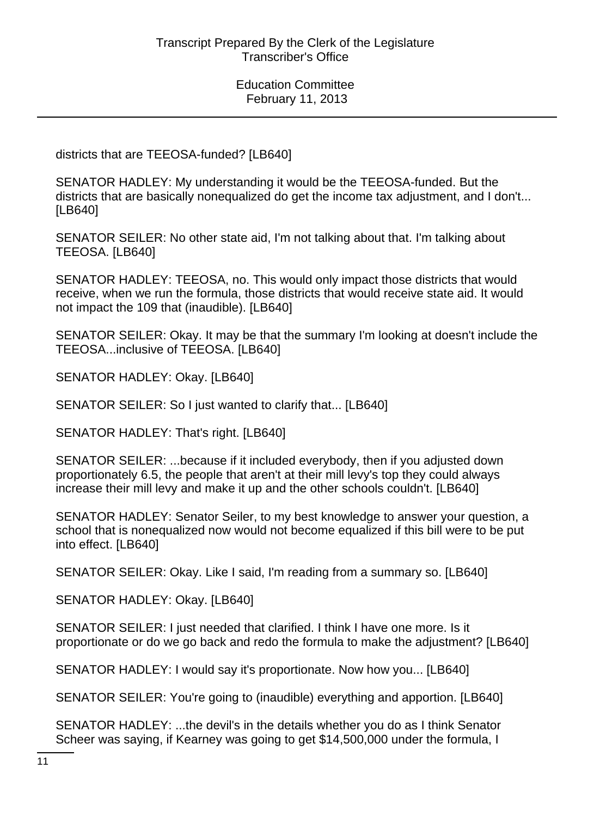districts that are TEEOSA-funded? [LB640]

SENATOR HADLEY: My understanding it would be the TEEOSA-funded. But the districts that are basically nonequalized do get the income tax adjustment, and I don't... [LB640]

SENATOR SEILER: No other state aid, I'm not talking about that. I'm talking about TEEOSA. [LB640]

SENATOR HADLEY: TEEOSA, no. This would only impact those districts that would receive, when we run the formula, those districts that would receive state aid. It would not impact the 109 that (inaudible). [LB640]

SENATOR SEILER: Okay. It may be that the summary I'm looking at doesn't include the TEEOSA...inclusive of TEEOSA. [LB640]

SENATOR HADLEY: Okay. [LB640]

SENATOR SEILER: So I just wanted to clarify that... [LB640]

SENATOR HADLEY: That's right. [LB640]

SENATOR SEILER: ...because if it included everybody, then if you adjusted down proportionately 6.5, the people that aren't at their mill levy's top they could always increase their mill levy and make it up and the other schools couldn't. [LB640]

SENATOR HADLEY: Senator Seiler, to my best knowledge to answer your question, a school that is nonequalized now would not become equalized if this bill were to be put into effect. [LB640]

SENATOR SEILER: Okay. Like I said, I'm reading from a summary so. [LB640]

SENATOR HADLEY: Okay. [LB640]

SENATOR SEILER: I just needed that clarified. I think I have one more. Is it proportionate or do we go back and redo the formula to make the adjustment? [LB640]

SENATOR HADLEY: I would say it's proportionate. Now how you... [LB640]

SENATOR SEILER: You're going to (inaudible) everything and apportion. [LB640]

SENATOR HADLEY: ...the devil's in the details whether you do as I think Senator Scheer was saying, if Kearney was going to get \$14,500,000 under the formula, I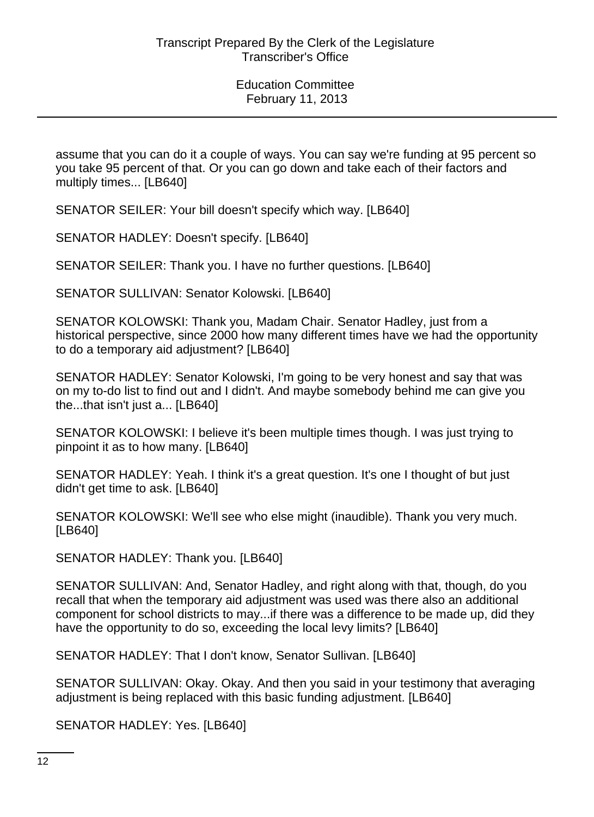assume that you can do it a couple of ways. You can say we're funding at 95 percent so you take 95 percent of that. Or you can go down and take each of their factors and multiply times... [LB640]

SENATOR SEILER: Your bill doesn't specify which way. [LB640]

SENATOR HADLEY: Doesn't specify. [LB640]

SENATOR SEILER: Thank you. I have no further questions. [LB640]

SENATOR SULLIVAN: Senator Kolowski. [LB640]

SENATOR KOLOWSKI: Thank you, Madam Chair. Senator Hadley, just from a historical perspective, since 2000 how many different times have we had the opportunity to do a temporary aid adjustment? [LB640]

SENATOR HADLEY: Senator Kolowski, I'm going to be very honest and say that was on my to-do list to find out and I didn't. And maybe somebody behind me can give you the...that isn't just a... [LB640]

SENATOR KOLOWSKI: I believe it's been multiple times though. I was just trying to pinpoint it as to how many. [LB640]

SENATOR HADLEY: Yeah. I think it's a great question. It's one I thought of but just didn't get time to ask. [LB640]

SENATOR KOLOWSKI: We'll see who else might (inaudible). Thank you very much. [LB640]

SENATOR HADLEY: Thank you. [LB640]

SENATOR SULLIVAN: And, Senator Hadley, and right along with that, though, do you recall that when the temporary aid adjustment was used was there also an additional component for school districts to may...if there was a difference to be made up, did they have the opportunity to do so, exceeding the local levy limits? [LB640]

SENATOR HADLEY: That I don't know, Senator Sullivan. [LB640]

SENATOR SULLIVAN: Okay. Okay. And then you said in your testimony that averaging adjustment is being replaced with this basic funding adjustment. [LB640]

SENATOR HADLEY: Yes. [LB640]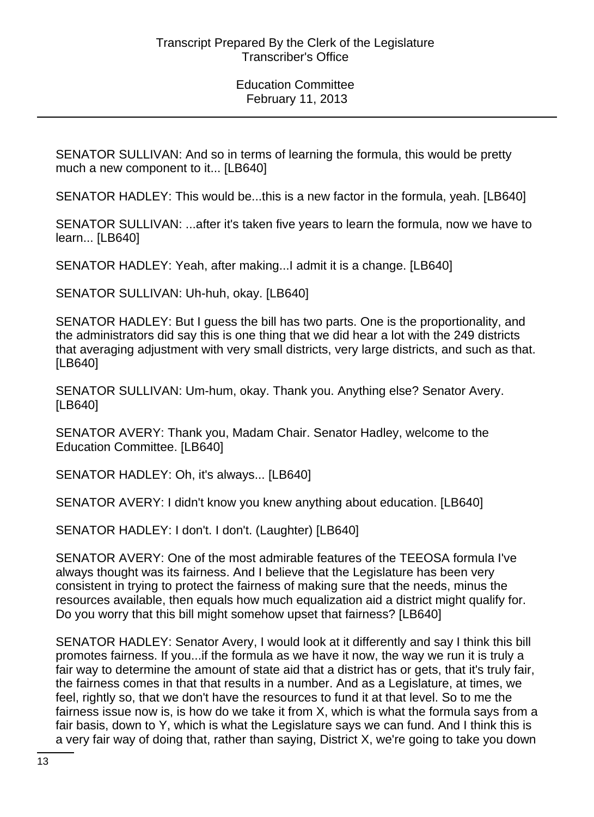SENATOR SULLIVAN: And so in terms of learning the formula, this would be pretty much a new component to it... [LB640]

SENATOR HADLEY: This would be...this is a new factor in the formula, yeah. [LB640]

SENATOR SULLIVAN: ...after it's taken five years to learn the formula, now we have to learn... [LB640]

SENATOR HADLEY: Yeah, after making...I admit it is a change. [LB640]

SENATOR SULLIVAN: Uh-huh, okay. [LB640]

SENATOR HADLEY: But I guess the bill has two parts. One is the proportionality, and the administrators did say this is one thing that we did hear a lot with the 249 districts that averaging adjustment with very small districts, very large districts, and such as that. [LB640]

SENATOR SULLIVAN: Um-hum, okay. Thank you. Anything else? Senator Avery. [LB640]

SENATOR AVERY: Thank you, Madam Chair. Senator Hadley, welcome to the Education Committee. [LB640]

SENATOR HADLEY: Oh, it's always... [LB640]

SENATOR AVERY: I didn't know you knew anything about education. [LB640]

SENATOR HADLEY: I don't. I don't. (Laughter) [LB640]

SENATOR AVERY: One of the most admirable features of the TEEOSA formula I've always thought was its fairness. And I believe that the Legislature has been very consistent in trying to protect the fairness of making sure that the needs, minus the resources available, then equals how much equalization aid a district might qualify for. Do you worry that this bill might somehow upset that fairness? [LB640]

SENATOR HADLEY: Senator Avery, I would look at it differently and say I think this bill promotes fairness. If you...if the formula as we have it now, the way we run it is truly a fair way to determine the amount of state aid that a district has or gets, that it's truly fair, the fairness comes in that that results in a number. And as a Legislature, at times, we feel, rightly so, that we don't have the resources to fund it at that level. So to me the fairness issue now is, is how do we take it from X, which is what the formula says from a fair basis, down to Y, which is what the Legislature says we can fund. And I think this is a very fair way of doing that, rather than saying, District X, we're going to take you down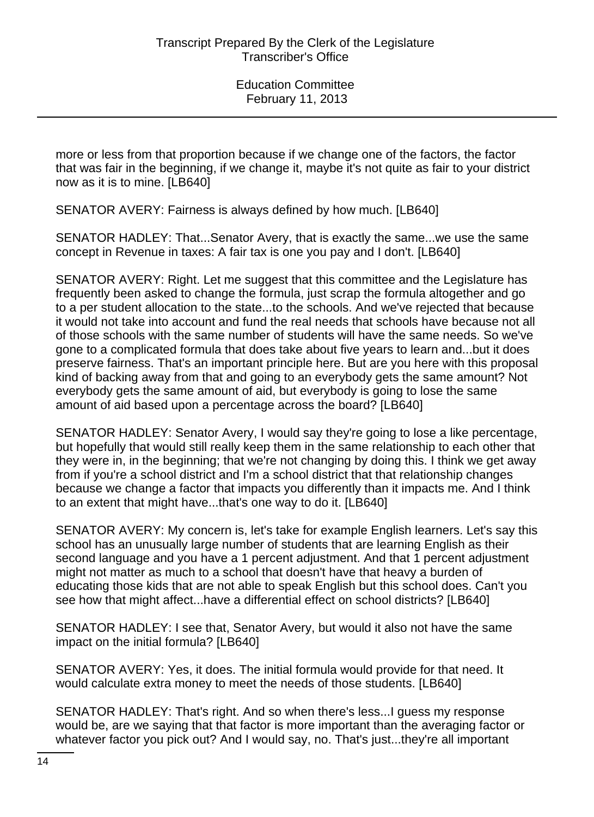more or less from that proportion because if we change one of the factors, the factor that was fair in the beginning, if we change it, maybe it's not quite as fair to your district now as it is to mine. [LB640]

SENATOR AVERY: Fairness is always defined by how much. [LB640]

SENATOR HADLEY: That...Senator Avery, that is exactly the same...we use the same concept in Revenue in taxes: A fair tax is one you pay and I don't. [LB640]

SENATOR AVERY: Right. Let me suggest that this committee and the Legislature has frequently been asked to change the formula, just scrap the formula altogether and go to a per student allocation to the state...to the schools. And we've rejected that because it would not take into account and fund the real needs that schools have because not all of those schools with the same number of students will have the same needs. So we've gone to a complicated formula that does take about five years to learn and...but it does preserve fairness. That's an important principle here. But are you here with this proposal kind of backing away from that and going to an everybody gets the same amount? Not everybody gets the same amount of aid, but everybody is going to lose the same amount of aid based upon a percentage across the board? [LB640]

SENATOR HADLEY: Senator Avery, I would say they're going to lose a like percentage, but hopefully that would still really keep them in the same relationship to each other that they were in, in the beginning; that we're not changing by doing this. I think we get away from if you're a school district and I'm a school district that that relationship changes because we change a factor that impacts you differently than it impacts me. And I think to an extent that might have...that's one way to do it. [LB640]

SENATOR AVERY: My concern is, let's take for example English learners. Let's say this school has an unusually large number of students that are learning English as their second language and you have a 1 percent adjustment. And that 1 percent adjustment might not matter as much to a school that doesn't have that heavy a burden of educating those kids that are not able to speak English but this school does. Can't you see how that might affect...have a differential effect on school districts? [LB640]

SENATOR HADLEY: I see that, Senator Avery, but would it also not have the same impact on the initial formula? [LB640]

SENATOR AVERY: Yes, it does. The initial formula would provide for that need. It would calculate extra money to meet the needs of those students. [LB640]

SENATOR HADLEY: That's right. And so when there's less...I guess my response would be, are we saying that that factor is more important than the averaging factor or whatever factor you pick out? And I would say, no. That's just...they're all important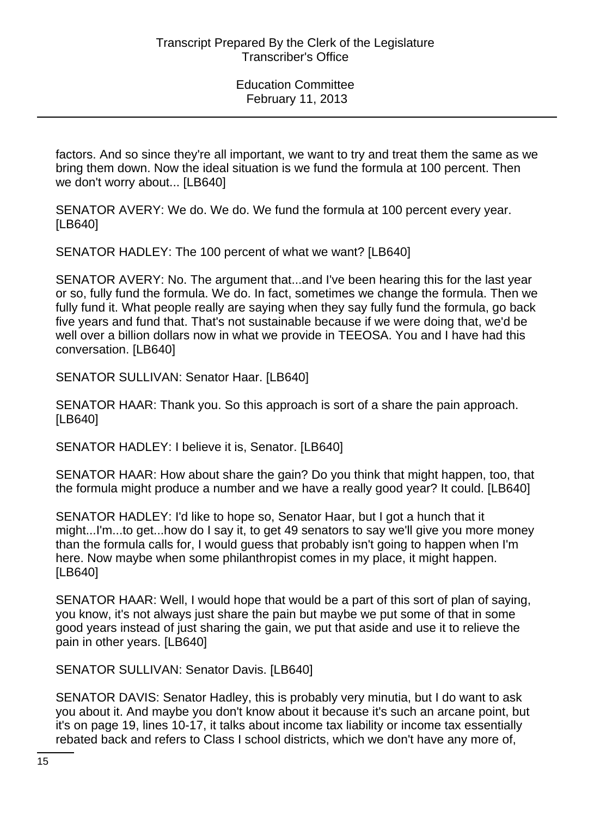factors. And so since they're all important, we want to try and treat them the same as we bring them down. Now the ideal situation is we fund the formula at 100 percent. Then we don't worry about... [LB640]

SENATOR AVERY: We do. We do. We fund the formula at 100 percent every year. [LB640]

SENATOR HADLEY: The 100 percent of what we want? [LB640]

SENATOR AVERY: No. The argument that...and I've been hearing this for the last year or so, fully fund the formula. We do. In fact, sometimes we change the formula. Then we fully fund it. What people really are saying when they say fully fund the formula, go back five years and fund that. That's not sustainable because if we were doing that, we'd be well over a billion dollars now in what we provide in TEEOSA. You and I have had this conversation. [LB640]

SENATOR SULLIVAN: Senator Haar. [LB640]

SENATOR HAAR: Thank you. So this approach is sort of a share the pain approach. [LB640]

SENATOR HADLEY: I believe it is, Senator. [LB640]

SENATOR HAAR: How about share the gain? Do you think that might happen, too, that the formula might produce a number and we have a really good year? It could. [LB640]

SENATOR HADLEY: I'd like to hope so, Senator Haar, but I got a hunch that it might...I'm...to get...how do I say it, to get 49 senators to say we'll give you more money than the formula calls for, I would guess that probably isn't going to happen when I'm here. Now maybe when some philanthropist comes in my place, it might happen. [LB640]

SENATOR HAAR: Well, I would hope that would be a part of this sort of plan of saying, you know, it's not always just share the pain but maybe we put some of that in some good years instead of just sharing the gain, we put that aside and use it to relieve the pain in other years. [LB640]

SENATOR SULLIVAN: Senator Davis. [LB640]

SENATOR DAVIS: Senator Hadley, this is probably very minutia, but I do want to ask you about it. And maybe you don't know about it because it's such an arcane point, but it's on page 19, lines 10-17, it talks about income tax liability or income tax essentially rebated back and refers to Class I school districts, which we don't have any more of,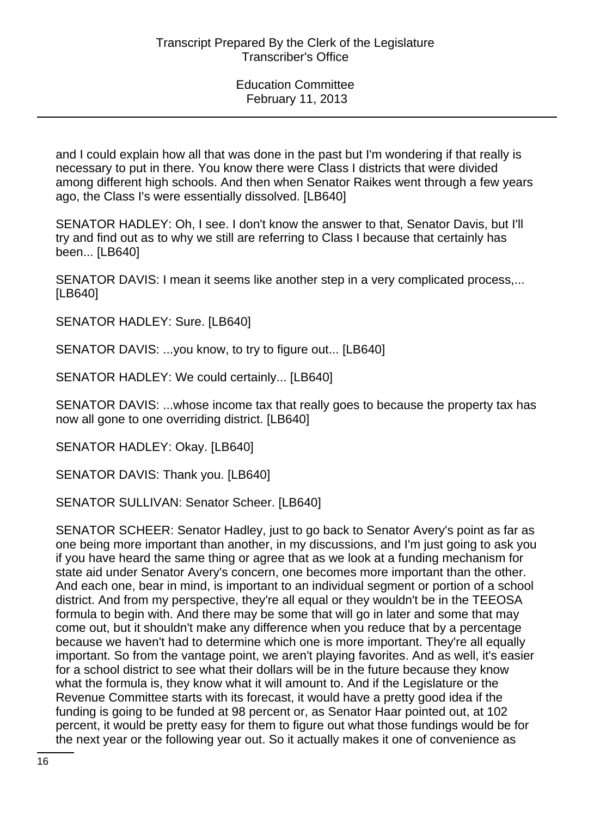and I could explain how all that was done in the past but I'm wondering if that really is necessary to put in there. You know there were Class I districts that were divided among different high schools. And then when Senator Raikes went through a few years ago, the Class I's were essentially dissolved. [LB640]

SENATOR HADLEY: Oh, I see. I don't know the answer to that, Senator Davis, but I'll try and find out as to why we still are referring to Class I because that certainly has been... [LB640]

SENATOR DAVIS: I mean it seems like another step in a very complicated process,... [LB640]

SENATOR HADLEY: Sure. [LB640]

SENATOR DAVIS: ...you know, to try to figure out... [LB640]

SENATOR HADLEY: We could certainly... [LB640]

SENATOR DAVIS: ...whose income tax that really goes to because the property tax has now all gone to one overriding district. [LB640]

SENATOR HADLEY: Okay. [LB640]

SENATOR DAVIS: Thank you. [LB640]

SENATOR SULLIVAN: Senator Scheer. [LB640]

SENATOR SCHEER: Senator Hadley, just to go back to Senator Avery's point as far as one being more important than another, in my discussions, and I'm just going to ask you if you have heard the same thing or agree that as we look at a funding mechanism for state aid under Senator Avery's concern, one becomes more important than the other. And each one, bear in mind, is important to an individual segment or portion of a school district. And from my perspective, they're all equal or they wouldn't be in the TEEOSA formula to begin with. And there may be some that will go in later and some that may come out, but it shouldn't make any difference when you reduce that by a percentage because we haven't had to determine which one is more important. They're all equally important. So from the vantage point, we aren't playing favorites. And as well, it's easier for a school district to see what their dollars will be in the future because they know what the formula is, they know what it will amount to. And if the Legislature or the Revenue Committee starts with its forecast, it would have a pretty good idea if the funding is going to be funded at 98 percent or, as Senator Haar pointed out, at 102 percent, it would be pretty easy for them to figure out what those fundings would be for the next year or the following year out. So it actually makes it one of convenience as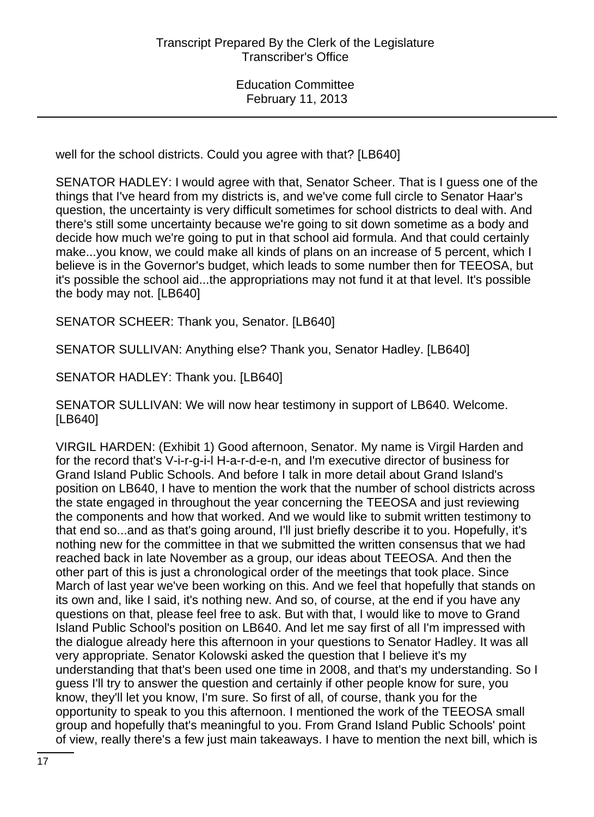well for the school districts. Could you agree with that? [LB640]

SENATOR HADLEY: I would agree with that, Senator Scheer. That is I guess one of the things that I've heard from my districts is, and we've come full circle to Senator Haar's question, the uncertainty is very difficult sometimes for school districts to deal with. And there's still some uncertainty because we're going to sit down sometime as a body and decide how much we're going to put in that school aid formula. And that could certainly make...you know, we could make all kinds of plans on an increase of 5 percent, which I believe is in the Governor's budget, which leads to some number then for TEEOSA, but it's possible the school aid...the appropriations may not fund it at that level. It's possible the body may not. [LB640]

SENATOR SCHEER: Thank you, Senator. [LB640]

SENATOR SULLIVAN: Anything else? Thank you, Senator Hadley. [LB640]

SENATOR HADLEY: Thank you. [LB640]

SENATOR SULLIVAN: We will now hear testimony in support of LB640. Welcome. [LB640]

VIRGIL HARDEN: (Exhibit 1) Good afternoon, Senator. My name is Virgil Harden and for the record that's V-i-r-g-i-l H-a-r-d-e-n, and I'm executive director of business for Grand Island Public Schools. And before I talk in more detail about Grand Island's position on LB640, I have to mention the work that the number of school districts across the state engaged in throughout the year concerning the TEEOSA and just reviewing the components and how that worked. And we would like to submit written testimony to that end so...and as that's going around, I'll just briefly describe it to you. Hopefully, it's nothing new for the committee in that we submitted the written consensus that we had reached back in late November as a group, our ideas about TEEOSA. And then the other part of this is just a chronological order of the meetings that took place. Since March of last year we've been working on this. And we feel that hopefully that stands on its own and, like I said, it's nothing new. And so, of course, at the end if you have any questions on that, please feel free to ask. But with that, I would like to move to Grand Island Public School's position on LB640. And let me say first of all I'm impressed with the dialogue already here this afternoon in your questions to Senator Hadley. It was all very appropriate. Senator Kolowski asked the question that I believe it's my understanding that that's been used one time in 2008, and that's my understanding. So I guess I'll try to answer the question and certainly if other people know for sure, you know, they'll let you know, I'm sure. So first of all, of course, thank you for the opportunity to speak to you this afternoon. I mentioned the work of the TEEOSA small group and hopefully that's meaningful to you. From Grand Island Public Schools' point of view, really there's a few just main takeaways. I have to mention the next bill, which is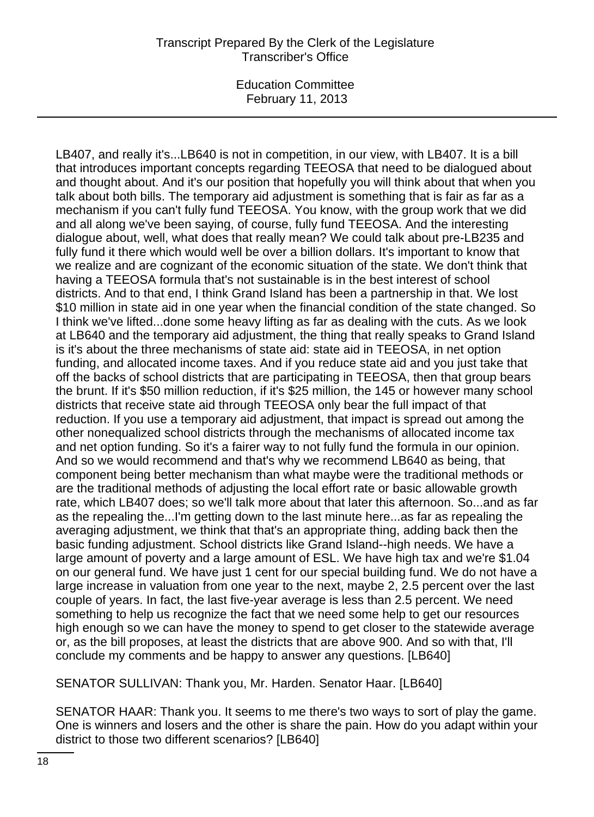### Transcript Prepared By the Clerk of the Legislature Transcriber's Office

Education Committee February 11, 2013

LB407, and really it's...LB640 is not in competition, in our view, with LB407. It is a bill that introduces important concepts regarding TEEOSA that need to be dialogued about and thought about. And it's our position that hopefully you will think about that when you talk about both bills. The temporary aid adjustment is something that is fair as far as a mechanism if you can't fully fund TEEOSA. You know, with the group work that we did and all along we've been saying, of course, fully fund TEEOSA. And the interesting dialogue about, well, what does that really mean? We could talk about pre-LB235 and fully fund it there which would well be over a billion dollars. It's important to know that we realize and are cognizant of the economic situation of the state. We don't think that having a TEEOSA formula that's not sustainable is in the best interest of school districts. And to that end, I think Grand Island has been a partnership in that. We lost \$10 million in state aid in one year when the financial condition of the state changed. So I think we've lifted...done some heavy lifting as far as dealing with the cuts. As we look at LB640 and the temporary aid adjustment, the thing that really speaks to Grand Island is it's about the three mechanisms of state aid: state aid in TEEOSA, in net option funding, and allocated income taxes. And if you reduce state aid and you just take that off the backs of school districts that are participating in TEEOSA, then that group bears the brunt. If it's \$50 million reduction, if it's \$25 million, the 145 or however many school districts that receive state aid through TEEOSA only bear the full impact of that reduction. If you use a temporary aid adjustment, that impact is spread out among the other nonequalized school districts through the mechanisms of allocated income tax and net option funding. So it's a fairer way to not fully fund the formula in our opinion. And so we would recommend and that's why we recommend LB640 as being, that component being better mechanism than what maybe were the traditional methods or are the traditional methods of adjusting the local effort rate or basic allowable growth rate, which LB407 does; so we'll talk more about that later this afternoon. So...and as far as the repealing the...I'm getting down to the last minute here...as far as repealing the averaging adjustment, we think that that's an appropriate thing, adding back then the basic funding adjustment. School districts like Grand Island--high needs. We have a large amount of poverty and a large amount of ESL. We have high tax and we're \$1.04 on our general fund. We have just 1 cent for our special building fund. We do not have a large increase in valuation from one year to the next, maybe 2, 2.5 percent over the last couple of years. In fact, the last five-year average is less than 2.5 percent. We need something to help us recognize the fact that we need some help to get our resources high enough so we can have the money to spend to get closer to the statewide average or, as the bill proposes, at least the districts that are above 900. And so with that, I'll conclude my comments and be happy to answer any questions. [LB640]

SENATOR SULLIVAN: Thank you, Mr. Harden. Senator Haar. [LB640]

SENATOR HAAR: Thank you. It seems to me there's two ways to sort of play the game. One is winners and losers and the other is share the pain. How do you adapt within your district to those two different scenarios? [LB640]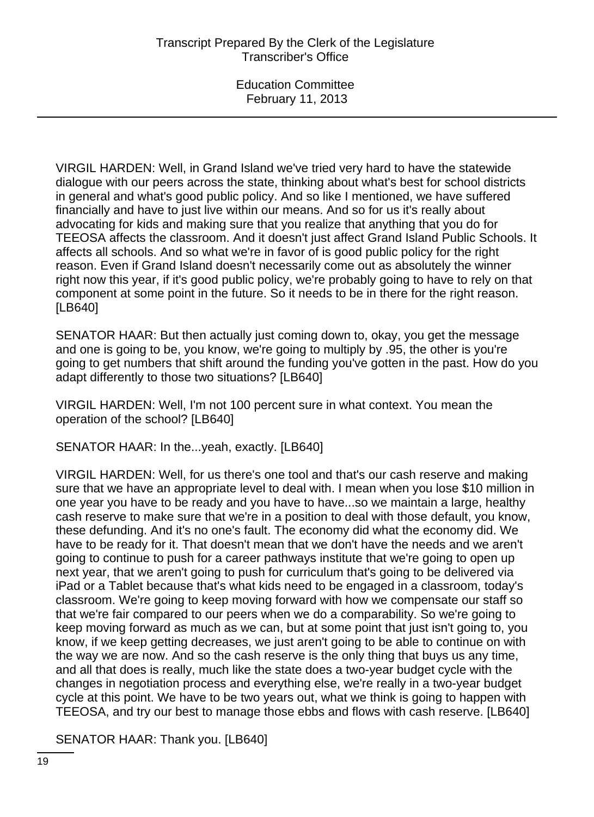VIRGIL HARDEN: Well, in Grand Island we've tried very hard to have the statewide dialogue with our peers across the state, thinking about what's best for school districts in general and what's good public policy. And so like I mentioned, we have suffered financially and have to just live within our means. And so for us it's really about advocating for kids and making sure that you realize that anything that you do for TEEOSA affects the classroom. And it doesn't just affect Grand Island Public Schools. It affects all schools. And so what we're in favor of is good public policy for the right reason. Even if Grand Island doesn't necessarily come out as absolutely the winner right now this year, if it's good public policy, we're probably going to have to rely on that component at some point in the future. So it needs to be in there for the right reason. [LB640]

SENATOR HAAR: But then actually just coming down to, okay, you get the message and one is going to be, you know, we're going to multiply by .95, the other is you're going to get numbers that shift around the funding you've gotten in the past. How do you adapt differently to those two situations? [LB640]

VIRGIL HARDEN: Well, I'm not 100 percent sure in what context. You mean the operation of the school? [LB640]

SENATOR HAAR: In the...yeah, exactly. [LB640]

VIRGIL HARDEN: Well, for us there's one tool and that's our cash reserve and making sure that we have an appropriate level to deal with. I mean when you lose \$10 million in one year you have to be ready and you have to have...so we maintain a large, healthy cash reserve to make sure that we're in a position to deal with those default, you know, these defunding. And it's no one's fault. The economy did what the economy did. We have to be ready for it. That doesn't mean that we don't have the needs and we aren't going to continue to push for a career pathways institute that we're going to open up next year, that we aren't going to push for curriculum that's going to be delivered via iPad or a Tablet because that's what kids need to be engaged in a classroom, today's classroom. We're going to keep moving forward with how we compensate our staff so that we're fair compared to our peers when we do a comparability. So we're going to keep moving forward as much as we can, but at some point that just isn't going to, you know, if we keep getting decreases, we just aren't going to be able to continue on with the way we are now. And so the cash reserve is the only thing that buys us any time, and all that does is really, much like the state does a two-year budget cycle with the changes in negotiation process and everything else, we're really in a two-year budget cycle at this point. We have to be two years out, what we think is going to happen with TEEOSA, and try our best to manage those ebbs and flows with cash reserve. [LB640]

SENATOR HAAR: Thank you. [LB640]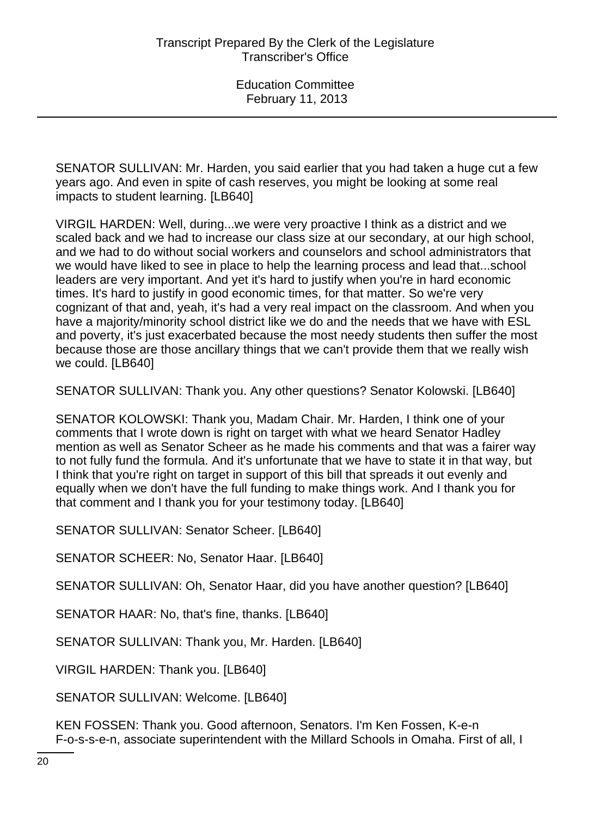SENATOR SULLIVAN: Mr. Harden, you said earlier that you had taken a huge cut a few years ago. And even in spite of cash reserves, you might be looking at some real impacts to student learning. [LB640]

VIRGIL HARDEN: Well, during...we were very proactive I think as a district and we scaled back and we had to increase our class size at our secondary, at our high school, and we had to do without social workers and counselors and school administrators that we would have liked to see in place to help the learning process and lead that...school leaders are very important. And yet it's hard to justify when you're in hard economic times. It's hard to justify in good economic times, for that matter. So we're very cognizant of that and, yeah, it's had a very real impact on the classroom. And when you have a majority/minority school district like we do and the needs that we have with ESL and poverty, it's just exacerbated because the most needy students then suffer the most because those are those ancillary things that we can't provide them that we really wish we could. [LB640]

SENATOR SULLIVAN: Thank you. Any other questions? Senator Kolowski. [LB640]

SENATOR KOLOWSKI: Thank you, Madam Chair. Mr. Harden, I think one of your comments that I wrote down is right on target with what we heard Senator Hadley mention as well as Senator Scheer as he made his comments and that was a fairer way to not fully fund the formula. And it's unfortunate that we have to state it in that way, but I think that you're right on target in support of this bill that spreads it out evenly and equally when we don't have the full funding to make things work. And I thank you for that comment and I thank you for your testimony today. [LB640]

SENATOR SULLIVAN: Senator Scheer. [LB640]

SENATOR SCHEER: No, Senator Haar. [LB640]

SENATOR SULLIVAN: Oh, Senator Haar, did you have another question? [LB640]

SENATOR HAAR: No, that's fine, thanks. [LB640]

SENATOR SULLIVAN: Thank you, Mr. Harden. [LB640]

VIRGIL HARDEN: Thank you. [LB640]

SENATOR SULLIVAN: Welcome. [LB640]

KEN FOSSEN: Thank you. Good afternoon, Senators. I'm Ken Fossen, K-e-n F-o-s-s-e-n, associate superintendent with the Millard Schools in Omaha. First of all, I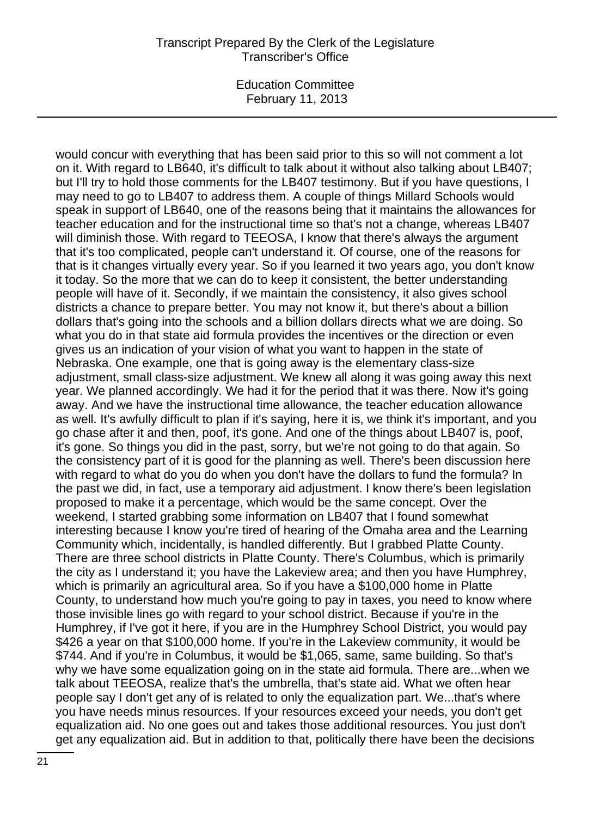#### Transcript Prepared By the Clerk of the Legislature Transcriber's Office

Education Committee February 11, 2013

would concur with everything that has been said prior to this so will not comment a lot on it. With regard to LB640, it's difficult to talk about it without also talking about LB407; but I'll try to hold those comments for the LB407 testimony. But if you have questions, I may need to go to LB407 to address them. A couple of things Millard Schools would speak in support of LB640, one of the reasons being that it maintains the allowances for teacher education and for the instructional time so that's not a change, whereas LB407 will diminish those. With regard to TEEOSA, I know that there's always the argument that it's too complicated, people can't understand it. Of course, one of the reasons for that is it changes virtually every year. So if you learned it two years ago, you don't know it today. So the more that we can do to keep it consistent, the better understanding people will have of it. Secondly, if we maintain the consistency, it also gives school districts a chance to prepare better. You may not know it, but there's about a billion dollars that's going into the schools and a billion dollars directs what we are doing. So what you do in that state aid formula provides the incentives or the direction or even gives us an indication of your vision of what you want to happen in the state of Nebraska. One example, one that is going away is the elementary class-size adjustment, small class-size adjustment. We knew all along it was going away this next year. We planned accordingly. We had it for the period that it was there. Now it's going away. And we have the instructional time allowance, the teacher education allowance as well. It's awfully difficult to plan if it's saying, here it is, we think it's important, and you go chase after it and then, poof, it's gone. And one of the things about LB407 is, poof, it's gone. So things you did in the past, sorry, but we're not going to do that again. So the consistency part of it is good for the planning as well. There's been discussion here with regard to what do you do when you don't have the dollars to fund the formula? In the past we did, in fact, use a temporary aid adjustment. I know there's been legislation proposed to make it a percentage, which would be the same concept. Over the weekend, I started grabbing some information on LB407 that I found somewhat interesting because I know you're tired of hearing of the Omaha area and the Learning Community which, incidentally, is handled differently. But I grabbed Platte County. There are three school districts in Platte County. There's Columbus, which is primarily the city as I understand it; you have the Lakeview area; and then you have Humphrey, which is primarily an agricultural area. So if you have a \$100,000 home in Platte County, to understand how much you're going to pay in taxes, you need to know where those invisible lines go with regard to your school district. Because if you're in the Humphrey, if I've got it here, if you are in the Humphrey School District, you would pay \$426 a year on that \$100,000 home. If you're in the Lakeview community, it would be \$744. And if you're in Columbus, it would be \$1,065, same, same building. So that's why we have some equalization going on in the state aid formula. There are...when we talk about TEEOSA, realize that's the umbrella, that's state aid. What we often hear people say I don't get any of is related to only the equalization part. We...that's where you have needs minus resources. If your resources exceed your needs, you don't get equalization aid. No one goes out and takes those additional resources. You just don't get any equalization aid. But in addition to that, politically there have been the decisions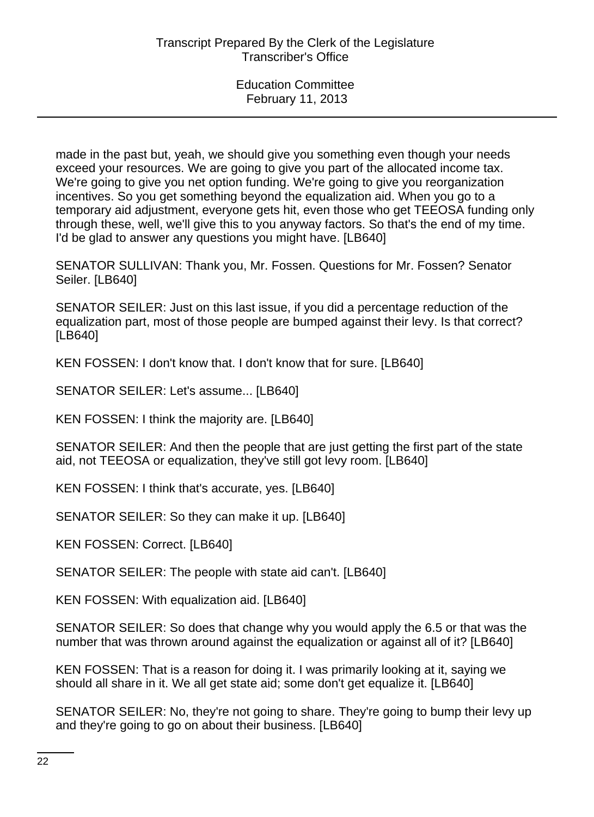made in the past but, yeah, we should give you something even though your needs exceed your resources. We are going to give you part of the allocated income tax. We're going to give you net option funding. We're going to give you reorganization incentives. So you get something beyond the equalization aid. When you go to a temporary aid adjustment, everyone gets hit, even those who get TEEOSA funding only through these, well, we'll give this to you anyway factors. So that's the end of my time. I'd be glad to answer any questions you might have. [LB640]

SENATOR SULLIVAN: Thank you, Mr. Fossen. Questions for Mr. Fossen? Senator Seiler. [LB640]

SENATOR SEILER: Just on this last issue, if you did a percentage reduction of the equalization part, most of those people are bumped against their levy. Is that correct? [LB640]

KEN FOSSEN: I don't know that. I don't know that for sure. [LB640]

SENATOR SEILER: Let's assume... [LB640]

KEN FOSSEN: I think the majority are. [LB640]

SENATOR SEILER: And then the people that are just getting the first part of the state aid, not TEEOSA or equalization, they've still got levy room. [LB640]

KEN FOSSEN: I think that's accurate, yes. [LB640]

SENATOR SEILER: So they can make it up. [LB640]

KEN FOSSEN: Correct. [LB640]

SENATOR SEILER: The people with state aid can't. [LB640]

KEN FOSSEN: With equalization aid. [LB640]

SENATOR SEILER: So does that change why you would apply the 6.5 or that was the number that was thrown around against the equalization or against all of it? [LB640]

KEN FOSSEN: That is a reason for doing it. I was primarily looking at it, saying we should all share in it. We all get state aid; some don't get equalize it. [LB640]

SENATOR SEILER: No, they're not going to share. They're going to bump their levy up and they're going to go on about their business. [LB640]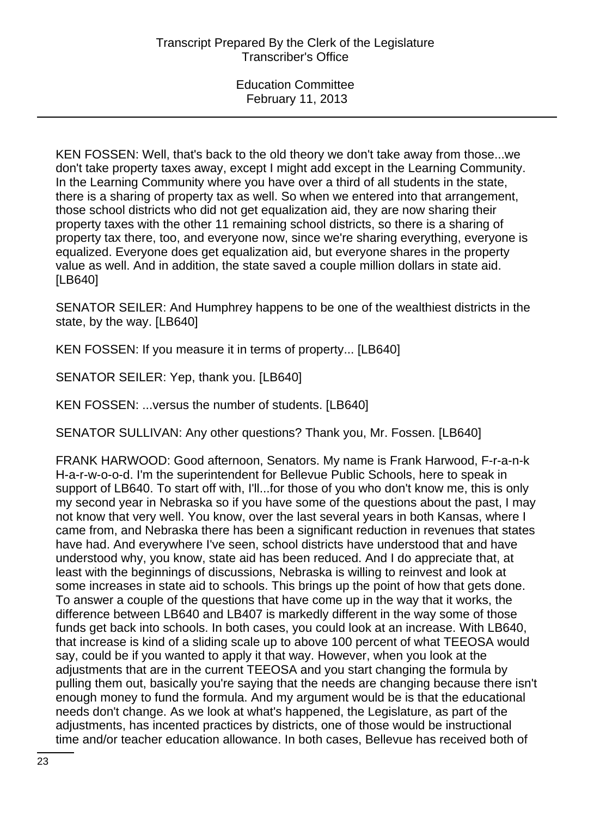KEN FOSSEN: Well, that's back to the old theory we don't take away from those...we don't take property taxes away, except I might add except in the Learning Community. In the Learning Community where you have over a third of all students in the state, there is a sharing of property tax as well. So when we entered into that arrangement, those school districts who did not get equalization aid, they are now sharing their property taxes with the other 11 remaining school districts, so there is a sharing of property tax there, too, and everyone now, since we're sharing everything, everyone is equalized. Everyone does get equalization aid, but everyone shares in the property value as well. And in addition, the state saved a couple million dollars in state aid. [LB640]

SENATOR SEILER: And Humphrey happens to be one of the wealthiest districts in the state, by the way. [LB640]

KEN FOSSEN: If you measure it in terms of property... [LB640]

SENATOR SEILER: Yep, thank you. [LB640]

KEN FOSSEN: ...versus the number of students. [LB640]

SENATOR SULLIVAN: Any other questions? Thank you, Mr. Fossen. [LB640]

FRANK HARWOOD: Good afternoon, Senators. My name is Frank Harwood, F-r-a-n-k H-a-r-w-o-o-d. I'm the superintendent for Bellevue Public Schools, here to speak in support of LB640. To start off with, I'll...for those of you who don't know me, this is only my second year in Nebraska so if you have some of the questions about the past, I may not know that very well. You know, over the last several years in both Kansas, where I came from, and Nebraska there has been a significant reduction in revenues that states have had. And everywhere I've seen, school districts have understood that and have understood why, you know, state aid has been reduced. And I do appreciate that, at least with the beginnings of discussions, Nebraska is willing to reinvest and look at some increases in state aid to schools. This brings up the point of how that gets done. To answer a couple of the questions that have come up in the way that it works, the difference between LB640 and LB407 is markedly different in the way some of those funds get back into schools. In both cases, you could look at an increase. With LB640, that increase is kind of a sliding scale up to above 100 percent of what TEEOSA would say, could be if you wanted to apply it that way. However, when you look at the adjustments that are in the current TEEOSA and you start changing the formula by pulling them out, basically you're saying that the needs are changing because there isn't enough money to fund the formula. And my argument would be is that the educational needs don't change. As we look at what's happened, the Legislature, as part of the adjustments, has incented practices by districts, one of those would be instructional time and/or teacher education allowance. In both cases, Bellevue has received both of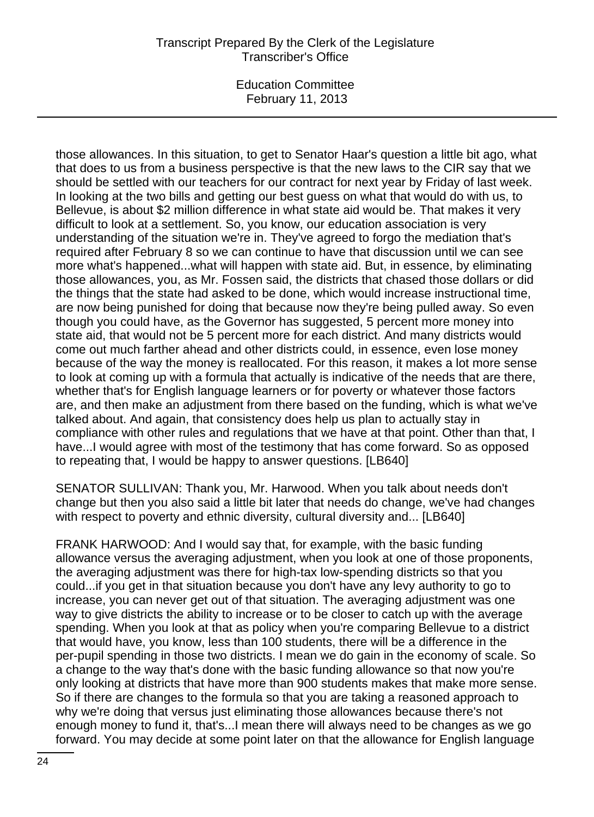## Transcript Prepared By the Clerk of the Legislature Transcriber's Office

Education Committee February 11, 2013

those allowances. In this situation, to get to Senator Haar's question a little bit ago, what that does to us from a business perspective is that the new laws to the CIR say that we should be settled with our teachers for our contract for next year by Friday of last week. In looking at the two bills and getting our best guess on what that would do with us, to Bellevue, is about \$2 million difference in what state aid would be. That makes it very difficult to look at a settlement. So, you know, our education association is very understanding of the situation we're in. They've agreed to forgo the mediation that's required after February 8 so we can continue to have that discussion until we can see more what's happened...what will happen with state aid. But, in essence, by eliminating those allowances, you, as Mr. Fossen said, the districts that chased those dollars or did the things that the state had asked to be done, which would increase instructional time, are now being punished for doing that because now they're being pulled away. So even though you could have, as the Governor has suggested, 5 percent more money into state aid, that would not be 5 percent more for each district. And many districts would come out much farther ahead and other districts could, in essence, even lose money because of the way the money is reallocated. For this reason, it makes a lot more sense to look at coming up with a formula that actually is indicative of the needs that are there, whether that's for English language learners or for poverty or whatever those factors are, and then make an adjustment from there based on the funding, which is what we've talked about. And again, that consistency does help us plan to actually stay in compliance with other rules and regulations that we have at that point. Other than that, I have...I would agree with most of the testimony that has come forward. So as opposed to repeating that, I would be happy to answer questions. [LB640]

SENATOR SULLIVAN: Thank you, Mr. Harwood. When you talk about needs don't change but then you also said a little bit later that needs do change, we've had changes with respect to poverty and ethnic diversity, cultural diversity and... [LB640]

FRANK HARWOOD: And I would say that, for example, with the basic funding allowance versus the averaging adjustment, when you look at one of those proponents, the averaging adjustment was there for high-tax low-spending districts so that you could...if you get in that situation because you don't have any levy authority to go to increase, you can never get out of that situation. The averaging adjustment was one way to give districts the ability to increase or to be closer to catch up with the average spending. When you look at that as policy when you're comparing Bellevue to a district that would have, you know, less than 100 students, there will be a difference in the per-pupil spending in those two districts. I mean we do gain in the economy of scale. So a change to the way that's done with the basic funding allowance so that now you're only looking at districts that have more than 900 students makes that make more sense. So if there are changes to the formula so that you are taking a reasoned approach to why we're doing that versus just eliminating those allowances because there's not enough money to fund it, that's...I mean there will always need to be changes as we go forward. You may decide at some point later on that the allowance for English language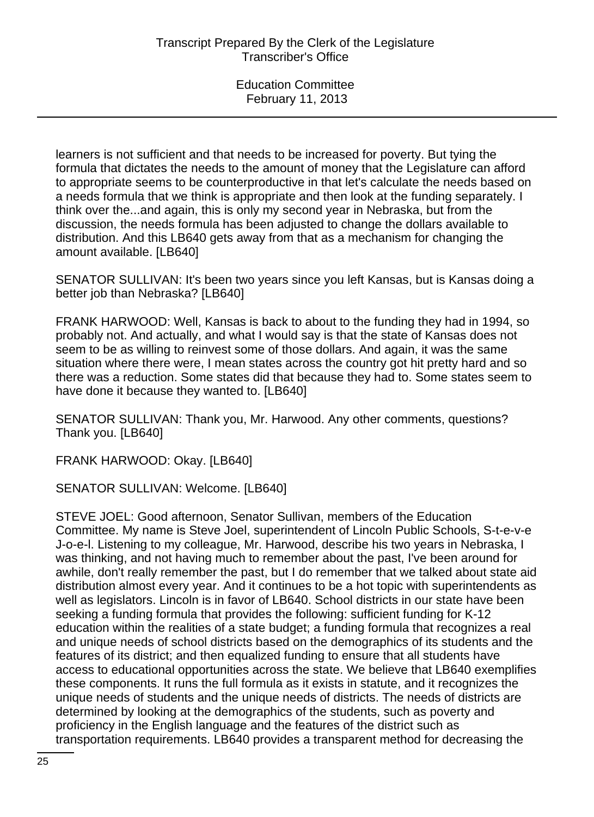learners is not sufficient and that needs to be increased for poverty. But tying the formula that dictates the needs to the amount of money that the Legislature can afford to appropriate seems to be counterproductive in that let's calculate the needs based on a needs formula that we think is appropriate and then look at the funding separately. I think over the...and again, this is only my second year in Nebraska, but from the discussion, the needs formula has been adjusted to change the dollars available to distribution. And this LB640 gets away from that as a mechanism for changing the amount available. [LB640]

SENATOR SULLIVAN: It's been two years since you left Kansas, but is Kansas doing a better job than Nebraska? [LB640]

FRANK HARWOOD: Well, Kansas is back to about to the funding they had in 1994, so probably not. And actually, and what I would say is that the state of Kansas does not seem to be as willing to reinvest some of those dollars. And again, it was the same situation where there were, I mean states across the country got hit pretty hard and so there was a reduction. Some states did that because they had to. Some states seem to have done it because they wanted to. [LB640]

SENATOR SULLIVAN: Thank you, Mr. Harwood. Any other comments, questions? Thank you. [LB640]

FRANK HARWOOD: Okay. [LB640]

SENATOR SULLIVAN: Welcome. [LB640]

STEVE JOEL: Good afternoon, Senator Sullivan, members of the Education Committee. My name is Steve Joel, superintendent of Lincoln Public Schools, S-t-e-v-e J-o-e-l. Listening to my colleague, Mr. Harwood, describe his two years in Nebraska, I was thinking, and not having much to remember about the past, I've been around for awhile, don't really remember the past, but I do remember that we talked about state aid distribution almost every year. And it continues to be a hot topic with superintendents as well as legislators. Lincoln is in favor of LB640. School districts in our state have been seeking a funding formula that provides the following: sufficient funding for K-12 education within the realities of a state budget; a funding formula that recognizes a real and unique needs of school districts based on the demographics of its students and the features of its district; and then equalized funding to ensure that all students have access to educational opportunities across the state. We believe that LB640 exemplifies these components. It runs the full formula as it exists in statute, and it recognizes the unique needs of students and the unique needs of districts. The needs of districts are determined by looking at the demographics of the students, such as poverty and proficiency in the English language and the features of the district such as transportation requirements. LB640 provides a transparent method for decreasing the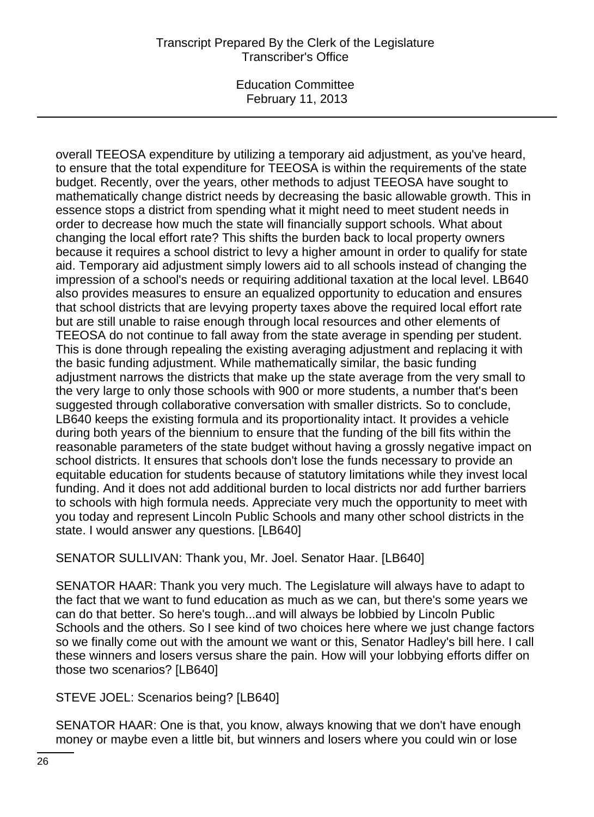## Transcript Prepared By the Clerk of the Legislature Transcriber's Office

Education Committee February 11, 2013

overall TEEOSA expenditure by utilizing a temporary aid adjustment, as you've heard, to ensure that the total expenditure for TEEOSA is within the requirements of the state budget. Recently, over the years, other methods to adjust TEEOSA have sought to mathematically change district needs by decreasing the basic allowable growth. This in essence stops a district from spending what it might need to meet student needs in order to decrease how much the state will financially support schools. What about changing the local effort rate? This shifts the burden back to local property owners because it requires a school district to levy a higher amount in order to qualify for state aid. Temporary aid adjustment simply lowers aid to all schools instead of changing the impression of a school's needs or requiring additional taxation at the local level. LB640 also provides measures to ensure an equalized opportunity to education and ensures that school districts that are levying property taxes above the required local effort rate but are still unable to raise enough through local resources and other elements of TEEOSA do not continue to fall away from the state average in spending per student. This is done through repealing the existing averaging adjustment and replacing it with the basic funding adjustment. While mathematically similar, the basic funding adjustment narrows the districts that make up the state average from the very small to the very large to only those schools with 900 or more students, a number that's been suggested through collaborative conversation with smaller districts. So to conclude, LB640 keeps the existing formula and its proportionality intact. It provides a vehicle during both years of the biennium to ensure that the funding of the bill fits within the reasonable parameters of the state budget without having a grossly negative impact on school districts. It ensures that schools don't lose the funds necessary to provide an equitable education for students because of statutory limitations while they invest local funding. And it does not add additional burden to local districts nor add further barriers to schools with high formula needs. Appreciate very much the opportunity to meet with you today and represent Lincoln Public Schools and many other school districts in the state. I would answer any questions. [LB640]

SENATOR SULLIVAN: Thank you, Mr. Joel. Senator Haar. [LB640]

SENATOR HAAR: Thank you very much. The Legislature will always have to adapt to the fact that we want to fund education as much as we can, but there's some years we can do that better. So here's tough...and will always be lobbied by Lincoln Public Schools and the others. So I see kind of two choices here where we just change factors so we finally come out with the amount we want or this, Senator Hadley's bill here. I call these winners and losers versus share the pain. How will your lobbying efforts differ on those two scenarios? [LB640]

STEVE JOEL: Scenarios being? [LB640]

SENATOR HAAR: One is that, you know, always knowing that we don't have enough money or maybe even a little bit, but winners and losers where you could win or lose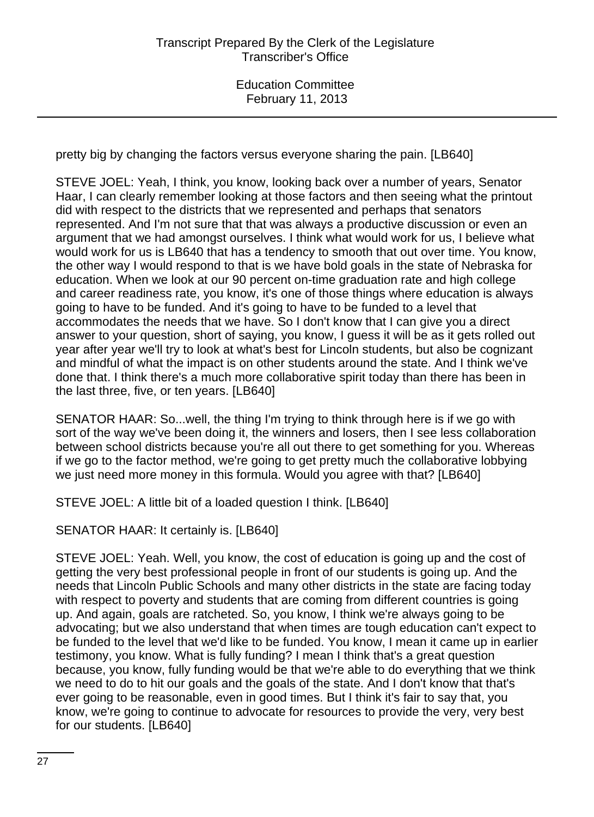pretty big by changing the factors versus everyone sharing the pain. [LB640]

STEVE JOEL: Yeah, I think, you know, looking back over a number of years, Senator Haar, I can clearly remember looking at those factors and then seeing what the printout did with respect to the districts that we represented and perhaps that senators represented. And I'm not sure that that was always a productive discussion or even an argument that we had amongst ourselves. I think what would work for us, I believe what would work for us is LB640 that has a tendency to smooth that out over time. You know, the other way I would respond to that is we have bold goals in the state of Nebraska for education. When we look at our 90 percent on-time graduation rate and high college and career readiness rate, you know, it's one of those things where education is always going to have to be funded. And it's going to have to be funded to a level that accommodates the needs that we have. So I don't know that I can give you a direct answer to your question, short of saying, you know, I guess it will be as it gets rolled out year after year we'll try to look at what's best for Lincoln students, but also be cognizant and mindful of what the impact is on other students around the state. And I think we've done that. I think there's a much more collaborative spirit today than there has been in the last three, five, or ten years. [LB640]

SENATOR HAAR: So...well, the thing I'm trying to think through here is if we go with sort of the way we've been doing it, the winners and losers, then I see less collaboration between school districts because you're all out there to get something for you. Whereas if we go to the factor method, we're going to get pretty much the collaborative lobbying we just need more money in this formula. Would you agree with that? [LB640]

STEVE JOEL: A little bit of a loaded question I think. [LB640]

SENATOR HAAR: It certainly is. [LB640]

STEVE JOEL: Yeah. Well, you know, the cost of education is going up and the cost of getting the very best professional people in front of our students is going up. And the needs that Lincoln Public Schools and many other districts in the state are facing today with respect to poverty and students that are coming from different countries is going up. And again, goals are ratcheted. So, you know, I think we're always going to be advocating; but we also understand that when times are tough education can't expect to be funded to the level that we'd like to be funded. You know, I mean it came up in earlier testimony, you know. What is fully funding? I mean I think that's a great question because, you know, fully funding would be that we're able to do everything that we think we need to do to hit our goals and the goals of the state. And I don't know that that's ever going to be reasonable, even in good times. But I think it's fair to say that, you know, we're going to continue to advocate for resources to provide the very, very best for our students. [LB640]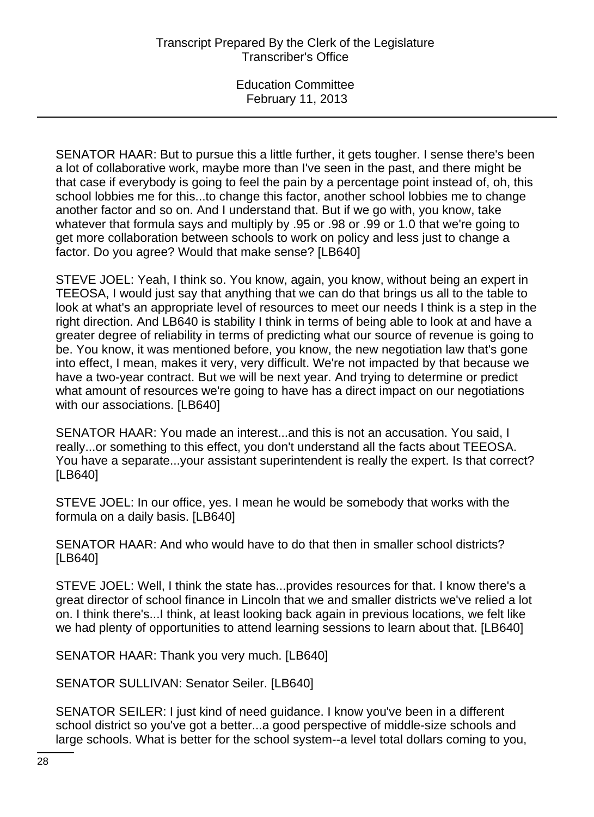SENATOR HAAR: But to pursue this a little further, it gets tougher. I sense there's been a lot of collaborative work, maybe more than I've seen in the past, and there might be that case if everybody is going to feel the pain by a percentage point instead of, oh, this school lobbies me for this...to change this factor, another school lobbies me to change another factor and so on. And I understand that. But if we go with, you know, take whatever that formula says and multiply by .95 or .98 or .99 or 1.0 that we're going to get more collaboration between schools to work on policy and less just to change a factor. Do you agree? Would that make sense? [LB640]

STEVE JOEL: Yeah, I think so. You know, again, you know, without being an expert in TEEOSA, I would just say that anything that we can do that brings us all to the table to look at what's an appropriate level of resources to meet our needs I think is a step in the right direction. And LB640 is stability I think in terms of being able to look at and have a greater degree of reliability in terms of predicting what our source of revenue is going to be. You know, it was mentioned before, you know, the new negotiation law that's gone into effect, I mean, makes it very, very difficult. We're not impacted by that because we have a two-year contract. But we will be next year. And trying to determine or predict what amount of resources we're going to have has a direct impact on our negotiations with our associations. [LB640]

SENATOR HAAR: You made an interest...and this is not an accusation. You said, I really...or something to this effect, you don't understand all the facts about TEEOSA. You have a separate...your assistant superintendent is really the expert. Is that correct? [LB640]

STEVE JOEL: In our office, yes. I mean he would be somebody that works with the formula on a daily basis. [LB640]

SENATOR HAAR: And who would have to do that then in smaller school districts? [LB640]

STEVE JOEL: Well, I think the state has...provides resources for that. I know there's a great director of school finance in Lincoln that we and smaller districts we've relied a lot on. I think there's...I think, at least looking back again in previous locations, we felt like we had plenty of opportunities to attend learning sessions to learn about that. [LB640]

SENATOR HAAR: Thank you very much. [LB640]

SENATOR SULLIVAN: Senator Seiler. [LB640]

SENATOR SEILER: I just kind of need guidance. I know you've been in a different school district so you've got a better...a good perspective of middle-size schools and large schools. What is better for the school system--a level total dollars coming to you,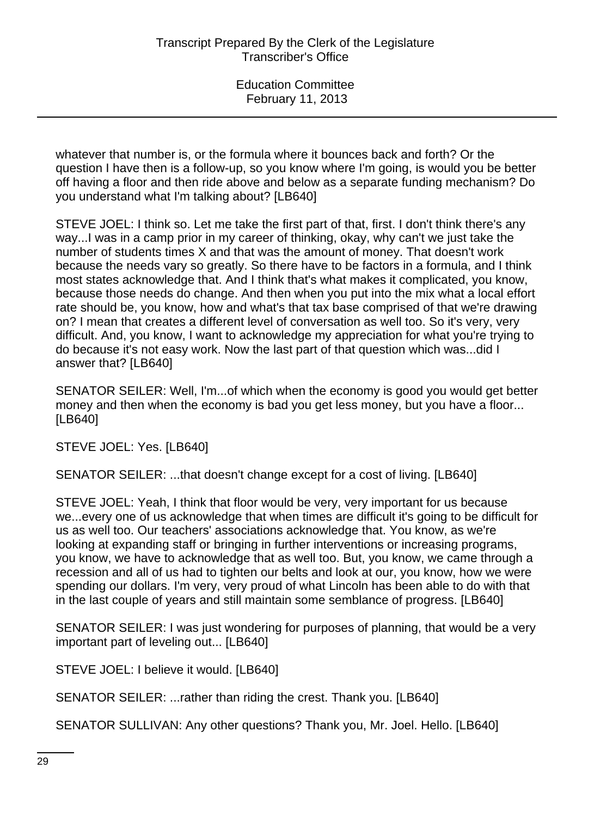whatever that number is, or the formula where it bounces back and forth? Or the question I have then is a follow-up, so you know where I'm going, is would you be better off having a floor and then ride above and below as a separate funding mechanism? Do you understand what I'm talking about? [LB640]

STEVE JOEL: I think so. Let me take the first part of that, first. I don't think there's any way...I was in a camp prior in my career of thinking, okay, why can't we just take the number of students times X and that was the amount of money. That doesn't work because the needs vary so greatly. So there have to be factors in a formula, and I think most states acknowledge that. And I think that's what makes it complicated, you know, because those needs do change. And then when you put into the mix what a local effort rate should be, you know, how and what's that tax base comprised of that we're drawing on? I mean that creates a different level of conversation as well too. So it's very, very difficult. And, you know, I want to acknowledge my appreciation for what you're trying to do because it's not easy work. Now the last part of that question which was...did I answer that? [LB640]

SENATOR SEILER: Well, I'm...of which when the economy is good you would get better money and then when the economy is bad you get less money, but you have a floor... [LB640]

STEVE JOEL: Yes. [LB640]

SENATOR SEILER: ...that doesn't change except for a cost of living. [LB640]

STEVE JOEL: Yeah, I think that floor would be very, very important for us because we...every one of us acknowledge that when times are difficult it's going to be difficult for us as well too. Our teachers' associations acknowledge that. You know, as we're looking at expanding staff or bringing in further interventions or increasing programs, you know, we have to acknowledge that as well too. But, you know, we came through a recession and all of us had to tighten our belts and look at our, you know, how we were spending our dollars. I'm very, very proud of what Lincoln has been able to do with that in the last couple of years and still maintain some semblance of progress. [LB640]

SENATOR SEILER: I was just wondering for purposes of planning, that would be a very important part of leveling out... [LB640]

STEVE JOEL: I believe it would. [LB640]

SENATOR SEILER: ...rather than riding the crest. Thank you. [LB640]

SENATOR SULLIVAN: Any other questions? Thank you, Mr. Joel. Hello. [LB640]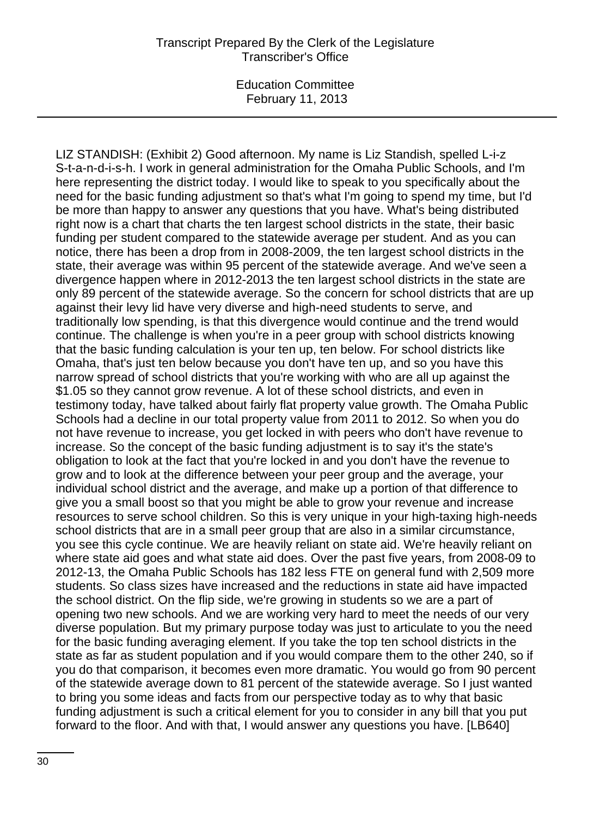LIZ STANDISH: (Exhibit 2) Good afternoon. My name is Liz Standish, spelled L-i-z S-t-a-n-d-i-s-h. I work in general administration for the Omaha Public Schools, and I'm here representing the district today. I would like to speak to you specifically about the need for the basic funding adjustment so that's what I'm going to spend my time, but I'd be more than happy to answer any questions that you have. What's being distributed right now is a chart that charts the ten largest school districts in the state, their basic funding per student compared to the statewide average per student. And as you can notice, there has been a drop from in 2008-2009, the ten largest school districts in the state, their average was within 95 percent of the statewide average. And we've seen a divergence happen where in 2012-2013 the ten largest school districts in the state are only 89 percent of the statewide average. So the concern for school districts that are up against their levy lid have very diverse and high-need students to serve, and traditionally low spending, is that this divergence would continue and the trend would continue. The challenge is when you're in a peer group with school districts knowing that the basic funding calculation is your ten up, ten below. For school districts like Omaha, that's just ten below because you don't have ten up, and so you have this narrow spread of school districts that you're working with who are all up against the \$1.05 so they cannot grow revenue. A lot of these school districts, and even in testimony today, have talked about fairly flat property value growth. The Omaha Public Schools had a decline in our total property value from 2011 to 2012. So when you do not have revenue to increase, you get locked in with peers who don't have revenue to increase. So the concept of the basic funding adjustment is to say it's the state's obligation to look at the fact that you're locked in and you don't have the revenue to grow and to look at the difference between your peer group and the average, your individual school district and the average, and make up a portion of that difference to give you a small boost so that you might be able to grow your revenue and increase resources to serve school children. So this is very unique in your high-taxing high-needs school districts that are in a small peer group that are also in a similar circumstance, you see this cycle continue. We are heavily reliant on state aid. We're heavily reliant on where state aid goes and what state aid does. Over the past five years, from 2008-09 to 2012-13, the Omaha Public Schools has 182 less FTE on general fund with 2,509 more students. So class sizes have increased and the reductions in state aid have impacted the school district. On the flip side, we're growing in students so we are a part of opening two new schools. And we are working very hard to meet the needs of our very diverse population. But my primary purpose today was just to articulate to you the need for the basic funding averaging element. If you take the top ten school districts in the state as far as student population and if you would compare them to the other 240, so if you do that comparison, it becomes even more dramatic. You would go from 90 percent of the statewide average down to 81 percent of the statewide average. So I just wanted to bring you some ideas and facts from our perspective today as to why that basic funding adjustment is such a critical element for you to consider in any bill that you put forward to the floor. And with that, I would answer any questions you have. [LB640]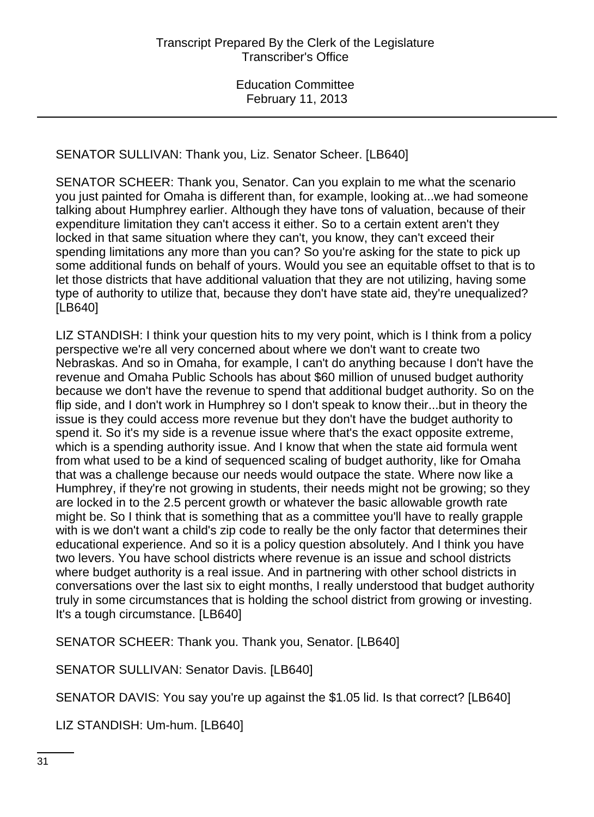SENATOR SULLIVAN: Thank you, Liz. Senator Scheer. [LB640]

SENATOR SCHEER: Thank you, Senator. Can you explain to me what the scenario you just painted for Omaha is different than, for example, looking at...we had someone talking about Humphrey earlier. Although they have tons of valuation, because of their expenditure limitation they can't access it either. So to a certain extent aren't they locked in that same situation where they can't, you know, they can't exceed their spending limitations any more than you can? So you're asking for the state to pick up some additional funds on behalf of yours. Would you see an equitable offset to that is to let those districts that have additional valuation that they are not utilizing, having some type of authority to utilize that, because they don't have state aid, they're unequalized? [LB640]

LIZ STANDISH: I think your question hits to my very point, which is I think from a policy perspective we're all very concerned about where we don't want to create two Nebraskas. And so in Omaha, for example, I can't do anything because I don't have the revenue and Omaha Public Schools has about \$60 million of unused budget authority because we don't have the revenue to spend that additional budget authority. So on the flip side, and I don't work in Humphrey so I don't speak to know their...but in theory the issue is they could access more revenue but they don't have the budget authority to spend it. So it's my side is a revenue issue where that's the exact opposite extreme, which is a spending authority issue. And I know that when the state aid formula went from what used to be a kind of sequenced scaling of budget authority, like for Omaha that was a challenge because our needs would outpace the state. Where now like a Humphrey, if they're not growing in students, their needs might not be growing; so they are locked in to the 2.5 percent growth or whatever the basic allowable growth rate might be. So I think that is something that as a committee you'll have to really grapple with is we don't want a child's zip code to really be the only factor that determines their educational experience. And so it is a policy question absolutely. And I think you have two levers. You have school districts where revenue is an issue and school districts where budget authority is a real issue. And in partnering with other school districts in conversations over the last six to eight months, I really understood that budget authority truly in some circumstances that is holding the school district from growing or investing. It's a tough circumstance. [LB640]

SENATOR SCHEER: Thank you. Thank you, Senator. [LB640]

SENATOR SULLIVAN: Senator Davis. [LB640]

SENATOR DAVIS: You say you're up against the \$1.05 lid. Is that correct? [LB640]

LIZ STANDISH: Um-hum. [LB640]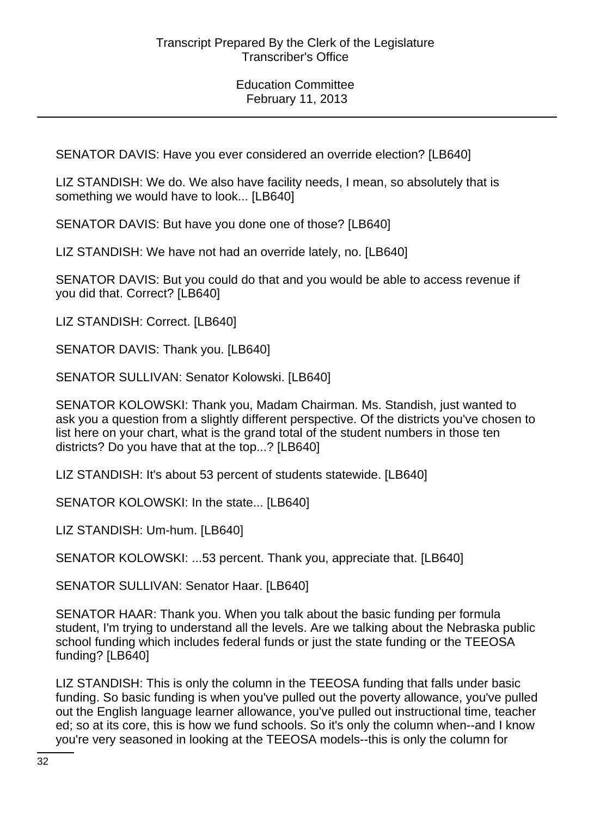SENATOR DAVIS: Have you ever considered an override election? [LB640]

LIZ STANDISH: We do. We also have facility needs, I mean, so absolutely that is something we would have to look... [LB640]

SENATOR DAVIS: But have you done one of those? [LB640]

LIZ STANDISH: We have not had an override lately, no. [LB640]

SENATOR DAVIS: But you could do that and you would be able to access revenue if you did that. Correct? [LB640]

LIZ STANDISH: Correct. [LB640]

SENATOR DAVIS: Thank you. [LB640]

SENATOR SULLIVAN: Senator Kolowski. [LB640]

SENATOR KOLOWSKI: Thank you, Madam Chairman. Ms. Standish, just wanted to ask you a question from a slightly different perspective. Of the districts you've chosen to list here on your chart, what is the grand total of the student numbers in those ten districts? Do you have that at the top...? [LB640]

LIZ STANDISH: It's about 53 percent of students statewide. [LB640]

SENATOR KOLOWSKI: In the state... [LB640]

LIZ STANDISH: Um-hum. [LB640]

SENATOR KOLOWSKI: ...53 percent. Thank you, appreciate that. [LB640]

SENATOR SULLIVAN: Senator Haar. [LB640]

SENATOR HAAR: Thank you. When you talk about the basic funding per formula student, I'm trying to understand all the levels. Are we talking about the Nebraska public school funding which includes federal funds or just the state funding or the TEEOSA funding? [LB640]

LIZ STANDISH: This is only the column in the TEEOSA funding that falls under basic funding. So basic funding is when you've pulled out the poverty allowance, you've pulled out the English language learner allowance, you've pulled out instructional time, teacher ed; so at its core, this is how we fund schools. So it's only the column when--and I know you're very seasoned in looking at the TEEOSA models--this is only the column for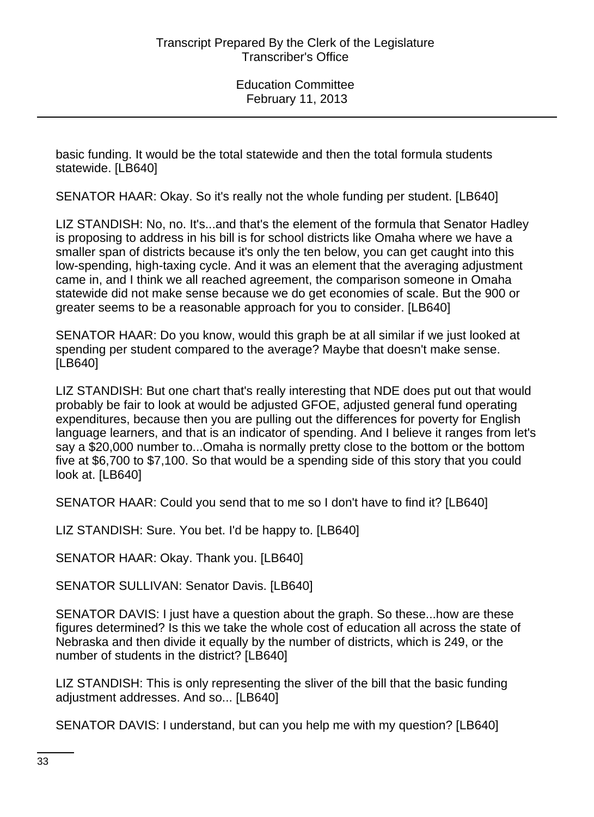basic funding. It would be the total statewide and then the total formula students statewide. [LB640]

SENATOR HAAR: Okay. So it's really not the whole funding per student. [LB640]

LIZ STANDISH: No, no. It's...and that's the element of the formula that Senator Hadley is proposing to address in his bill is for school districts like Omaha where we have a smaller span of districts because it's only the ten below, you can get caught into this low-spending, high-taxing cycle. And it was an element that the averaging adjustment came in, and I think we all reached agreement, the comparison someone in Omaha statewide did not make sense because we do get economies of scale. But the 900 or greater seems to be a reasonable approach for you to consider. [LB640]

SENATOR HAAR: Do you know, would this graph be at all similar if we just looked at spending per student compared to the average? Maybe that doesn't make sense. [LB640]

LIZ STANDISH: But one chart that's really interesting that NDE does put out that would probably be fair to look at would be adjusted GFOE, adjusted general fund operating expenditures, because then you are pulling out the differences for poverty for English language learners, and that is an indicator of spending. And I believe it ranges from let's say a \$20,000 number to...Omaha is normally pretty close to the bottom or the bottom five at \$6,700 to \$7,100. So that would be a spending side of this story that you could look at. [LB640]

SENATOR HAAR: Could you send that to me so I don't have to find it? [LB640]

LIZ STANDISH: Sure. You bet. I'd be happy to. [LB640]

SENATOR HAAR: Okay. Thank you. [LB640]

SENATOR SULLIVAN: Senator Davis. [LB640]

SENATOR DAVIS: I just have a question about the graph. So these...how are these figures determined? Is this we take the whole cost of education all across the state of Nebraska and then divide it equally by the number of districts, which is 249, or the number of students in the district? [LB640]

LIZ STANDISH: This is only representing the sliver of the bill that the basic funding adjustment addresses. And so... [LB640]

SENATOR DAVIS: I understand, but can you help me with my question? [LB640]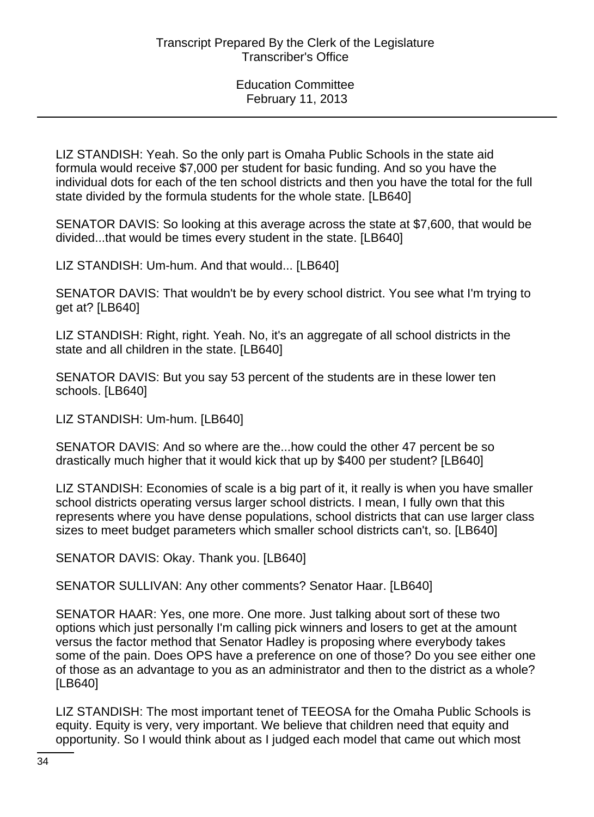LIZ STANDISH: Yeah. So the only part is Omaha Public Schools in the state aid formula would receive \$7,000 per student for basic funding. And so you have the individual dots for each of the ten school districts and then you have the total for the full state divided by the formula students for the whole state. [LB640]

SENATOR DAVIS: So looking at this average across the state at \$7,600, that would be divided...that would be times every student in the state. [LB640]

LIZ STANDISH: Um-hum. And that would... [LB640]

SENATOR DAVIS: That wouldn't be by every school district. You see what I'm trying to get at? [LB640]

LIZ STANDISH: Right, right. Yeah. No, it's an aggregate of all school districts in the state and all children in the state. [LB640]

SENATOR DAVIS: But you say 53 percent of the students are in these lower ten schools. [LB640]

LIZ STANDISH: Um-hum. [LB640]

SENATOR DAVIS: And so where are the...how could the other 47 percent be so drastically much higher that it would kick that up by \$400 per student? [LB640]

LIZ STANDISH: Economies of scale is a big part of it, it really is when you have smaller school districts operating versus larger school districts. I mean, I fully own that this represents where you have dense populations, school districts that can use larger class sizes to meet budget parameters which smaller school districts can't, so. [LB640]

SENATOR DAVIS: Okay. Thank you. [LB640]

SENATOR SULLIVAN: Any other comments? Senator Haar. [LB640]

SENATOR HAAR: Yes, one more. One more. Just talking about sort of these two options which just personally I'm calling pick winners and losers to get at the amount versus the factor method that Senator Hadley is proposing where everybody takes some of the pain. Does OPS have a preference on one of those? Do you see either one of those as an advantage to you as an administrator and then to the district as a whole? [LB640]

LIZ STANDISH: The most important tenet of TEEOSA for the Omaha Public Schools is equity. Equity is very, very important. We believe that children need that equity and opportunity. So I would think about as I judged each model that came out which most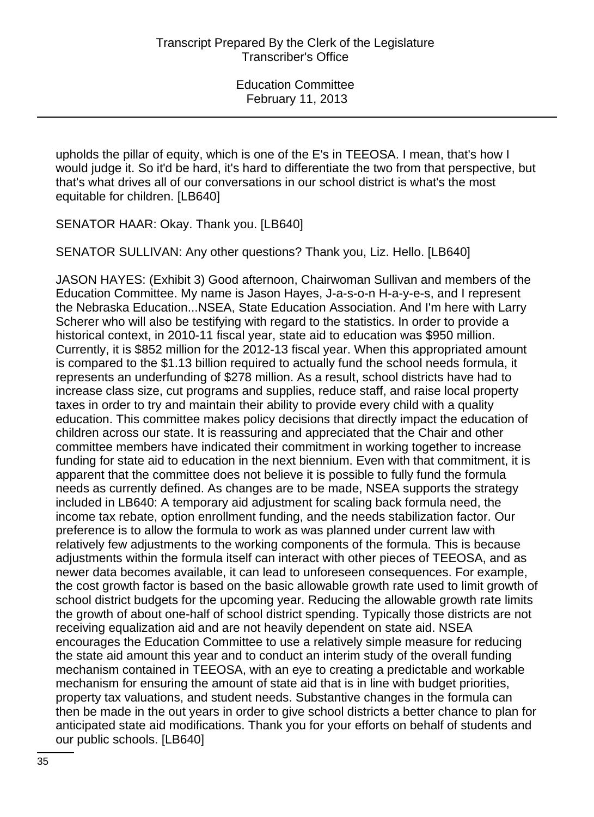upholds the pillar of equity, which is one of the E's in TEEOSA. I mean, that's how I would judge it. So it'd be hard, it's hard to differentiate the two from that perspective, but that's what drives all of our conversations in our school district is what's the most equitable for children. [LB640]

SENATOR HAAR: Okay. Thank you. [LB640]

SENATOR SULLIVAN: Any other questions? Thank you, Liz. Hello. [LB640]

JASON HAYES: (Exhibit 3) Good afternoon, Chairwoman Sullivan and members of the Education Committee. My name is Jason Hayes, J-a-s-o-n H-a-y-e-s, and I represent the Nebraska Education...NSEA, State Education Association. And I'm here with Larry Scherer who will also be testifying with regard to the statistics. In order to provide a historical context, in 2010-11 fiscal year, state aid to education was \$950 million. Currently, it is \$852 million for the 2012-13 fiscal year. When this appropriated amount is compared to the \$1.13 billion required to actually fund the school needs formula, it represents an underfunding of \$278 million. As a result, school districts have had to increase class size, cut programs and supplies, reduce staff, and raise local property taxes in order to try and maintain their ability to provide every child with a quality education. This committee makes policy decisions that directly impact the education of children across our state. It is reassuring and appreciated that the Chair and other committee members have indicated their commitment in working together to increase funding for state aid to education in the next biennium. Even with that commitment, it is apparent that the committee does not believe it is possible to fully fund the formula needs as currently defined. As changes are to be made, NSEA supports the strategy included in LB640: A temporary aid adjustment for scaling back formula need, the income tax rebate, option enrollment funding, and the needs stabilization factor. Our preference is to allow the formula to work as was planned under current law with relatively few adjustments to the working components of the formula. This is because adjustments within the formula itself can interact with other pieces of TEEOSA, and as newer data becomes available, it can lead to unforeseen consequences. For example, the cost growth factor is based on the basic allowable growth rate used to limit growth of school district budgets for the upcoming year. Reducing the allowable growth rate limits the growth of about one-half of school district spending. Typically those districts are not receiving equalization aid and are not heavily dependent on state aid. NSEA encourages the Education Committee to use a relatively simple measure for reducing the state aid amount this year and to conduct an interim study of the overall funding mechanism contained in TEEOSA, with an eye to creating a predictable and workable mechanism for ensuring the amount of state aid that is in line with budget priorities, property tax valuations, and student needs. Substantive changes in the formula can then be made in the out years in order to give school districts a better chance to plan for anticipated state aid modifications. Thank you for your efforts on behalf of students and our public schools. [LB640]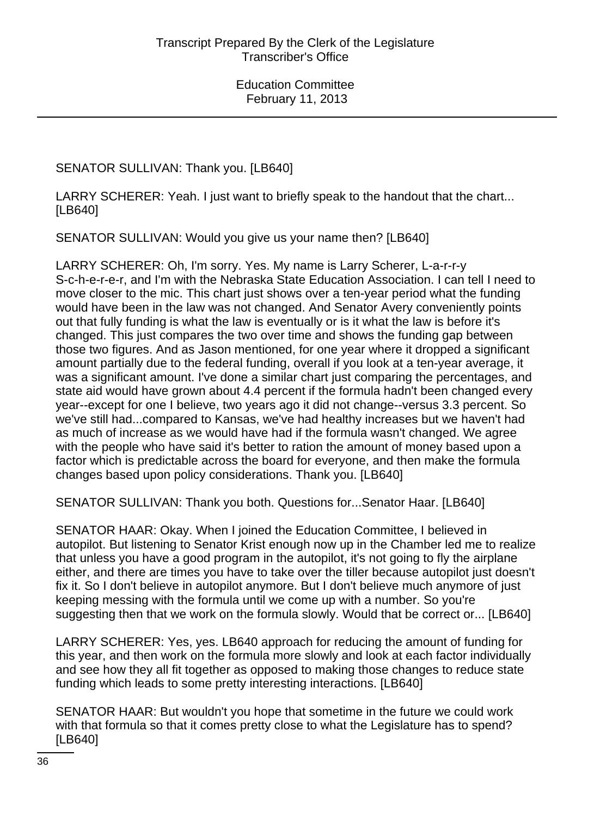SENATOR SULLIVAN: Thank you. [LB640]

LARRY SCHERER: Yeah. I just want to briefly speak to the handout that the chart... [LB640]

SENATOR SULLIVAN: Would you give us your name then? [LB640]

LARRY SCHERER: Oh, I'm sorry. Yes. My name is Larry Scherer, L-a-r-r-y S-c-h-e-r-e-r, and I'm with the Nebraska State Education Association. I can tell I need to move closer to the mic. This chart just shows over a ten-year period what the funding would have been in the law was not changed. And Senator Avery conveniently points out that fully funding is what the law is eventually or is it what the law is before it's changed. This just compares the two over time and shows the funding gap between those two figures. And as Jason mentioned, for one year where it dropped a significant amount partially due to the federal funding, overall if you look at a ten-year average, it was a significant amount. I've done a similar chart just comparing the percentages, and state aid would have grown about 4.4 percent if the formula hadn't been changed every year--except for one I believe, two years ago it did not change--versus 3.3 percent. So we've still had...compared to Kansas, we've had healthy increases but we haven't had as much of increase as we would have had if the formula wasn't changed. We agree with the people who have said it's better to ration the amount of money based upon a factor which is predictable across the board for everyone, and then make the formula changes based upon policy considerations. Thank you. [LB640]

SENATOR SULLIVAN: Thank you both. Questions for...Senator Haar. [LB640]

SENATOR HAAR: Okay. When I joined the Education Committee, I believed in autopilot. But listening to Senator Krist enough now up in the Chamber led me to realize that unless you have a good program in the autopilot, it's not going to fly the airplane either, and there are times you have to take over the tiller because autopilot just doesn't fix it. So I don't believe in autopilot anymore. But I don't believe much anymore of just keeping messing with the formula until we come up with a number. So you're suggesting then that we work on the formula slowly. Would that be correct or... [LB640]

LARRY SCHERER: Yes, yes. LB640 approach for reducing the amount of funding for this year, and then work on the formula more slowly and look at each factor individually and see how they all fit together as opposed to making those changes to reduce state funding which leads to some pretty interesting interactions. [LB640]

SENATOR HAAR: But wouldn't you hope that sometime in the future we could work with that formula so that it comes pretty close to what the Legislature has to spend? [LB640]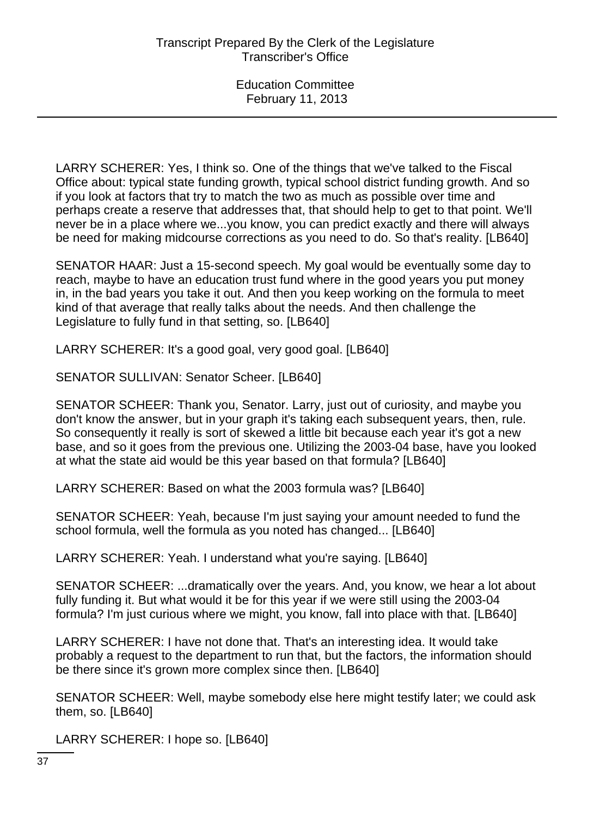LARRY SCHERER: Yes, I think so. One of the things that we've talked to the Fiscal Office about: typical state funding growth, typical school district funding growth. And so if you look at factors that try to match the two as much as possible over time and perhaps create a reserve that addresses that, that should help to get to that point. We'll never be in a place where we...you know, you can predict exactly and there will always be need for making midcourse corrections as you need to do. So that's reality. [LB640]

SENATOR HAAR: Just a 15-second speech. My goal would be eventually some day to reach, maybe to have an education trust fund where in the good years you put money in, in the bad years you take it out. And then you keep working on the formula to meet kind of that average that really talks about the needs. And then challenge the Legislature to fully fund in that setting, so. [LB640]

LARRY SCHERER: It's a good goal, very good goal. [LB640]

SENATOR SULLIVAN: Senator Scheer. [LB640]

SENATOR SCHEER: Thank you, Senator. Larry, just out of curiosity, and maybe you don't know the answer, but in your graph it's taking each subsequent years, then, rule. So consequently it really is sort of skewed a little bit because each year it's got a new base, and so it goes from the previous one. Utilizing the 2003-04 base, have you looked at what the state aid would be this year based on that formula? [LB640]

LARRY SCHERER: Based on what the 2003 formula was? [LB640]

SENATOR SCHEER: Yeah, because I'm just saying your amount needed to fund the school formula, well the formula as you noted has changed... [LB640]

LARRY SCHERER: Yeah. I understand what you're saying. [LB640]

SENATOR SCHEER: ...dramatically over the years. And, you know, we hear a lot about fully funding it. But what would it be for this year if we were still using the 2003-04 formula? I'm just curious where we might, you know, fall into place with that. [LB640]

LARRY SCHERER: I have not done that. That's an interesting idea. It would take probably a request to the department to run that, but the factors, the information should be there since it's grown more complex since then. [LB640]

SENATOR SCHEER: Well, maybe somebody else here might testify later; we could ask them, so. [LB640]

LARRY SCHERER: I hope so. [LB640]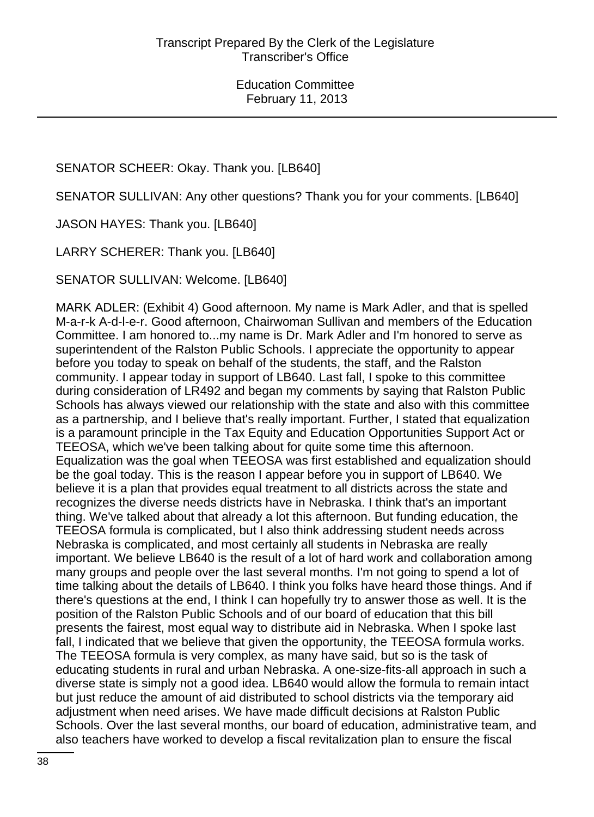# SENATOR SCHEER: Okay. Thank you. [LB640]

SENATOR SULLIVAN: Any other questions? Thank you for your comments. [LB640]

JASON HAYES: Thank you. [LB640]

LARRY SCHERER: Thank you. [LB640]

SENATOR SULLIVAN: Welcome. [LB640]

MARK ADLER: (Exhibit 4) Good afternoon. My name is Mark Adler, and that is spelled M-a-r-k A-d-l-e-r. Good afternoon, Chairwoman Sullivan and members of the Education Committee. I am honored to...my name is Dr. Mark Adler and I'm honored to serve as superintendent of the Ralston Public Schools. I appreciate the opportunity to appear before you today to speak on behalf of the students, the staff, and the Ralston community. I appear today in support of LB640. Last fall, I spoke to this committee during consideration of LR492 and began my comments by saying that Ralston Public Schools has always viewed our relationship with the state and also with this committee as a partnership, and I believe that's really important. Further, I stated that equalization is a paramount principle in the Tax Equity and Education Opportunities Support Act or TEEOSA, which we've been talking about for quite some time this afternoon. Equalization was the goal when TEEOSA was first established and equalization should be the goal today. This is the reason I appear before you in support of LB640. We believe it is a plan that provides equal treatment to all districts across the state and recognizes the diverse needs districts have in Nebraska. I think that's an important thing. We've talked about that already a lot this afternoon. But funding education, the TEEOSA formula is complicated, but I also think addressing student needs across Nebraska is complicated, and most certainly all students in Nebraska are really important. We believe LB640 is the result of a lot of hard work and collaboration among many groups and people over the last several months. I'm not going to spend a lot of time talking about the details of LB640. I think you folks have heard those things. And if there's questions at the end, I think I can hopefully try to answer those as well. It is the position of the Ralston Public Schools and of our board of education that this bill presents the fairest, most equal way to distribute aid in Nebraska. When I spoke last fall, I indicated that we believe that given the opportunity, the TEEOSA formula works. The TEEOSA formula is very complex, as many have said, but so is the task of educating students in rural and urban Nebraska. A one-size-fits-all approach in such a diverse state is simply not a good idea. LB640 would allow the formula to remain intact but just reduce the amount of aid distributed to school districts via the temporary aid adjustment when need arises. We have made difficult decisions at Ralston Public Schools. Over the last several months, our board of education, administrative team, and also teachers have worked to develop a fiscal revitalization plan to ensure the fiscal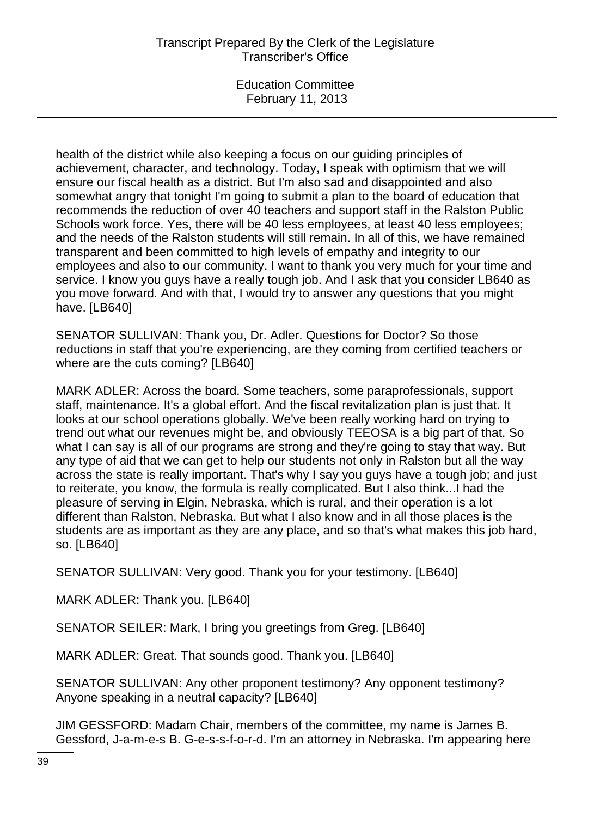health of the district while also keeping a focus on our guiding principles of achievement, character, and technology. Today, I speak with optimism that we will ensure our fiscal health as a district. But I'm also sad and disappointed and also somewhat angry that tonight I'm going to submit a plan to the board of education that recommends the reduction of over 40 teachers and support staff in the Ralston Public Schools work force. Yes, there will be 40 less employees, at least 40 less employees; and the needs of the Ralston students will still remain. In all of this, we have remained transparent and been committed to high levels of empathy and integrity to our employees and also to our community. I want to thank you very much for your time and service. I know you guys have a really tough job. And I ask that you consider LB640 as you move forward. And with that, I would try to answer any questions that you might have. [LB640]

SENATOR SULLIVAN: Thank you, Dr. Adler. Questions for Doctor? So those reductions in staff that you're experiencing, are they coming from certified teachers or where are the cuts coming? [LB640]

MARK ADLER: Across the board. Some teachers, some paraprofessionals, support staff, maintenance. It's a global effort. And the fiscal revitalization plan is just that. It looks at our school operations globally. We've been really working hard on trying to trend out what our revenues might be, and obviously TEEOSA is a big part of that. So what I can say is all of our programs are strong and they're going to stay that way. But any type of aid that we can get to help our students not only in Ralston but all the way across the state is really important. That's why I say you guys have a tough job; and just to reiterate, you know, the formula is really complicated. But I also think...I had the pleasure of serving in Elgin, Nebraska, which is rural, and their operation is a lot different than Ralston, Nebraska. But what I also know and in all those places is the students are as important as they are any place, and so that's what makes this job hard, so. [LB640]

SENATOR SULLIVAN: Very good. Thank you for your testimony. [LB640]

MARK ADLER: Thank you. [LB640]

SENATOR SEILER: Mark, I bring you greetings from Greg. [LB640]

MARK ADLER: Great. That sounds good. Thank you. [LB640]

SENATOR SULLIVAN: Any other proponent testimony? Any opponent testimony? Anyone speaking in a neutral capacity? [LB640]

JIM GESSFORD: Madam Chair, members of the committee, my name is James B. Gessford, J-a-m-e-s B. G-e-s-s-f-o-r-d. I'm an attorney in Nebraska. I'm appearing here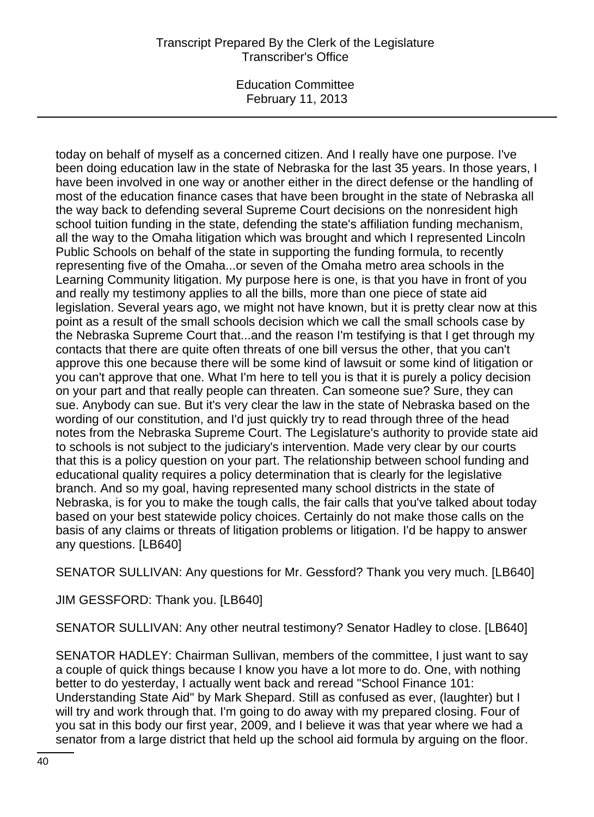Education Committee February 11, 2013

today on behalf of myself as a concerned citizen. And I really have one purpose. I've been doing education law in the state of Nebraska for the last 35 years. In those years, I have been involved in one way or another either in the direct defense or the handling of most of the education finance cases that have been brought in the state of Nebraska all the way back to defending several Supreme Court decisions on the nonresident high school tuition funding in the state, defending the state's affiliation funding mechanism, all the way to the Omaha litigation which was brought and which I represented Lincoln Public Schools on behalf of the state in supporting the funding formula, to recently representing five of the Omaha...or seven of the Omaha metro area schools in the Learning Community litigation. My purpose here is one, is that you have in front of you and really my testimony applies to all the bills, more than one piece of state aid legislation. Several years ago, we might not have known, but it is pretty clear now at this point as a result of the small schools decision which we call the small schools case by the Nebraska Supreme Court that...and the reason I'm testifying is that I get through my contacts that there are quite often threats of one bill versus the other, that you can't approve this one because there will be some kind of lawsuit or some kind of litigation or you can't approve that one. What I'm here to tell you is that it is purely a policy decision on your part and that really people can threaten. Can someone sue? Sure, they can sue. Anybody can sue. But it's very clear the law in the state of Nebraska based on the wording of our constitution, and I'd just quickly try to read through three of the head notes from the Nebraska Supreme Court. The Legislature's authority to provide state aid to schools is not subject to the judiciary's intervention. Made very clear by our courts that this is a policy question on your part. The relationship between school funding and educational quality requires a policy determination that is clearly for the legislative branch. And so my goal, having represented many school districts in the state of Nebraska, is for you to make the tough calls, the fair calls that you've talked about today based on your best statewide policy choices. Certainly do not make those calls on the basis of any claims or threats of litigation problems or litigation. I'd be happy to answer any questions. [LB640]

SENATOR SULLIVAN: Any questions for Mr. Gessford? Thank you very much. [LB640]

JIM GESSFORD: Thank you. [LB640]

SENATOR SULLIVAN: Any other neutral testimony? Senator Hadley to close. [LB640]

SENATOR HADLEY: Chairman Sullivan, members of the committee, I just want to say a couple of quick things because I know you have a lot more to do. One, with nothing better to do yesterday, I actually went back and reread "School Finance 101: Understanding State Aid" by Mark Shepard. Still as confused as ever, (laughter) but I will try and work through that. I'm going to do away with my prepared closing. Four of you sat in this body our first year, 2009, and I believe it was that year where we had a senator from a large district that held up the school aid formula by arguing on the floor.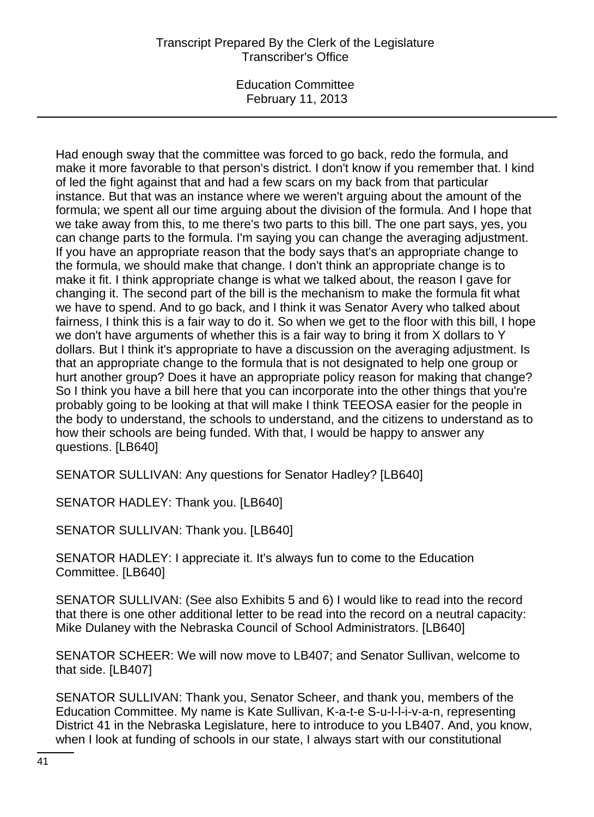Education Committee February 11, 2013

Had enough sway that the committee was forced to go back, redo the formula, and make it more favorable to that person's district. I don't know if you remember that. I kind of led the fight against that and had a few scars on my back from that particular instance. But that was an instance where we weren't arguing about the amount of the formula; we spent all our time arguing about the division of the formula. And I hope that we take away from this, to me there's two parts to this bill. The one part says, yes, you can change parts to the formula. I'm saying you can change the averaging adjustment. If you have an appropriate reason that the body says that's an appropriate change to the formula, we should make that change. I don't think an appropriate change is to make it fit. I think appropriate change is what we talked about, the reason I gave for changing it. The second part of the bill is the mechanism to make the formula fit what we have to spend. And to go back, and I think it was Senator Avery who talked about fairness, I think this is a fair way to do it. So when we get to the floor with this bill, I hope we don't have arguments of whether this is a fair way to bring it from X dollars to Y dollars. But I think it's appropriate to have a discussion on the averaging adjustment. Is that an appropriate change to the formula that is not designated to help one group or hurt another group? Does it have an appropriate policy reason for making that change? So I think you have a bill here that you can incorporate into the other things that you're probably going to be looking at that will make I think TEEOSA easier for the people in the body to understand, the schools to understand, and the citizens to understand as to how their schools are being funded. With that, I would be happy to answer any questions. [LB640]

SENATOR SULLIVAN: Any questions for Senator Hadley? [LB640]

SENATOR HADLEY: Thank you. [LB640]

SENATOR SULLIVAN: Thank you. [LB640]

SENATOR HADLEY: I appreciate it. It's always fun to come to the Education Committee. [LB640]

SENATOR SULLIVAN: (See also Exhibits 5 and 6) I would like to read into the record that there is one other additional letter to be read into the record on a neutral capacity: Mike Dulaney with the Nebraska Council of School Administrators. [LB640]

SENATOR SCHEER: We will now move to LB407; and Senator Sullivan, welcome to that side. [LB407]

SENATOR SULLIVAN: Thank you, Senator Scheer, and thank you, members of the Education Committee. My name is Kate Sullivan, K-a-t-e S-u-l-l-i-v-a-n, representing District 41 in the Nebraska Legislature, here to introduce to you LB407. And, you know, when I look at funding of schools in our state, I always start with our constitutional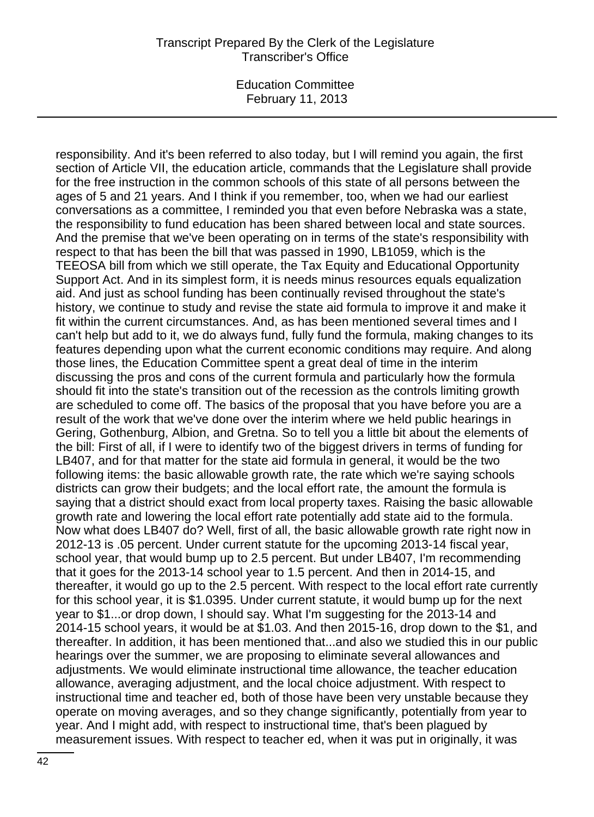Education Committee February 11, 2013

responsibility. And it's been referred to also today, but I will remind you again, the first section of Article VII, the education article, commands that the Legislature shall provide for the free instruction in the common schools of this state of all persons between the ages of 5 and 21 years. And I think if you remember, too, when we had our earliest conversations as a committee, I reminded you that even before Nebraska was a state, the responsibility to fund education has been shared between local and state sources. And the premise that we've been operating on in terms of the state's responsibility with respect to that has been the bill that was passed in 1990, LB1059, which is the TEEOSA bill from which we still operate, the Tax Equity and Educational Opportunity Support Act. And in its simplest form, it is needs minus resources equals equalization aid. And just as school funding has been continually revised throughout the state's history, we continue to study and revise the state aid formula to improve it and make it fit within the current circumstances. And, as has been mentioned several times and I can't help but add to it, we do always fund, fully fund the formula, making changes to its features depending upon what the current economic conditions may require. And along those lines, the Education Committee spent a great deal of time in the interim discussing the pros and cons of the current formula and particularly how the formula should fit into the state's transition out of the recession as the controls limiting growth are scheduled to come off. The basics of the proposal that you have before you are a result of the work that we've done over the interim where we held public hearings in Gering, Gothenburg, Albion, and Gretna. So to tell you a little bit about the elements of the bill: First of all, if I were to identify two of the biggest drivers in terms of funding for LB407, and for that matter for the state aid formula in general, it would be the two following items: the basic allowable growth rate, the rate which we're saying schools districts can grow their budgets; and the local effort rate, the amount the formula is saying that a district should exact from local property taxes. Raising the basic allowable growth rate and lowering the local effort rate potentially add state aid to the formula. Now what does LB407 do? Well, first of all, the basic allowable growth rate right now in 2012-13 is .05 percent. Under current statute for the upcoming 2013-14 fiscal year, school year, that would bump up to 2.5 percent. But under LB407, I'm recommending that it goes for the 2013-14 school year to 1.5 percent. And then in 2014-15, and thereafter, it would go up to the 2.5 percent. With respect to the local effort rate currently for this school year, it is \$1.0395. Under current statute, it would bump up for the next year to \$1...or drop down, I should say. What I'm suggesting for the 2013-14 and 2014-15 school years, it would be at \$1.03. And then 2015-16, drop down to the \$1, and thereafter. In addition, it has been mentioned that...and also we studied this in our public hearings over the summer, we are proposing to eliminate several allowances and adjustments. We would eliminate instructional time allowance, the teacher education allowance, averaging adjustment, and the local choice adjustment. With respect to instructional time and teacher ed, both of those have been very unstable because they operate on moving averages, and so they change significantly, potentially from year to year. And I might add, with respect to instructional time, that's been plagued by measurement issues. With respect to teacher ed, when it was put in originally, it was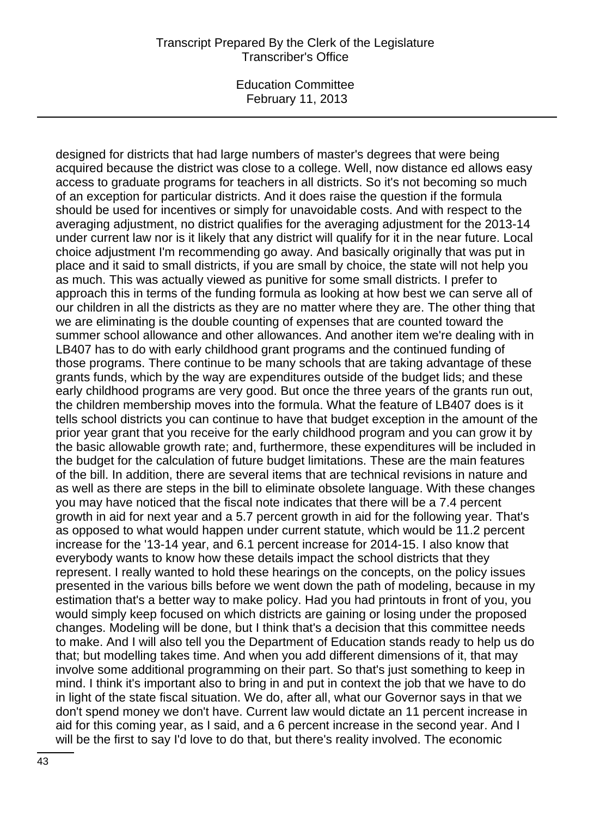Education Committee February 11, 2013

designed for districts that had large numbers of master's degrees that were being acquired because the district was close to a college. Well, now distance ed allows easy access to graduate programs for teachers in all districts. So it's not becoming so much of an exception for particular districts. And it does raise the question if the formula should be used for incentives or simply for unavoidable costs. And with respect to the averaging adjustment, no district qualifies for the averaging adjustment for the 2013-14 under current law nor is it likely that any district will qualify for it in the near future. Local choice adjustment I'm recommending go away. And basically originally that was put in place and it said to small districts, if you are small by choice, the state will not help you as much. This was actually viewed as punitive for some small districts. I prefer to approach this in terms of the funding formula as looking at how best we can serve all of our children in all the districts as they are no matter where they are. The other thing that we are eliminating is the double counting of expenses that are counted toward the summer school allowance and other allowances. And another item we're dealing with in LB407 has to do with early childhood grant programs and the continued funding of those programs. There continue to be many schools that are taking advantage of these grants funds, which by the way are expenditures outside of the budget lids; and these early childhood programs are very good. But once the three years of the grants run out, the children membership moves into the formula. What the feature of LB407 does is it tells school districts you can continue to have that budget exception in the amount of the prior year grant that you receive for the early childhood program and you can grow it by the basic allowable growth rate; and, furthermore, these expenditures will be included in the budget for the calculation of future budget limitations. These are the main features of the bill. In addition, there are several items that are technical revisions in nature and as well as there are steps in the bill to eliminate obsolete language. With these changes you may have noticed that the fiscal note indicates that there will be a 7.4 percent growth in aid for next year and a 5.7 percent growth in aid for the following year. That's as opposed to what would happen under current statute, which would be 11.2 percent increase for the '13-14 year, and 6.1 percent increase for 2014-15. I also know that everybody wants to know how these details impact the school districts that they represent. I really wanted to hold these hearings on the concepts, on the policy issues presented in the various bills before we went down the path of modeling, because in my estimation that's a better way to make policy. Had you had printouts in front of you, you would simply keep focused on which districts are gaining or losing under the proposed changes. Modeling will be done, but I think that's a decision that this committee needs to make. And I will also tell you the Department of Education stands ready to help us do that; but modelling takes time. And when you add different dimensions of it, that may involve some additional programming on their part. So that's just something to keep in mind. I think it's important also to bring in and put in context the job that we have to do in light of the state fiscal situation. We do, after all, what our Governor says in that we don't spend money we don't have. Current law would dictate an 11 percent increase in aid for this coming year, as I said, and a 6 percent increase in the second year. And I will be the first to say I'd love to do that, but there's reality involved. The economic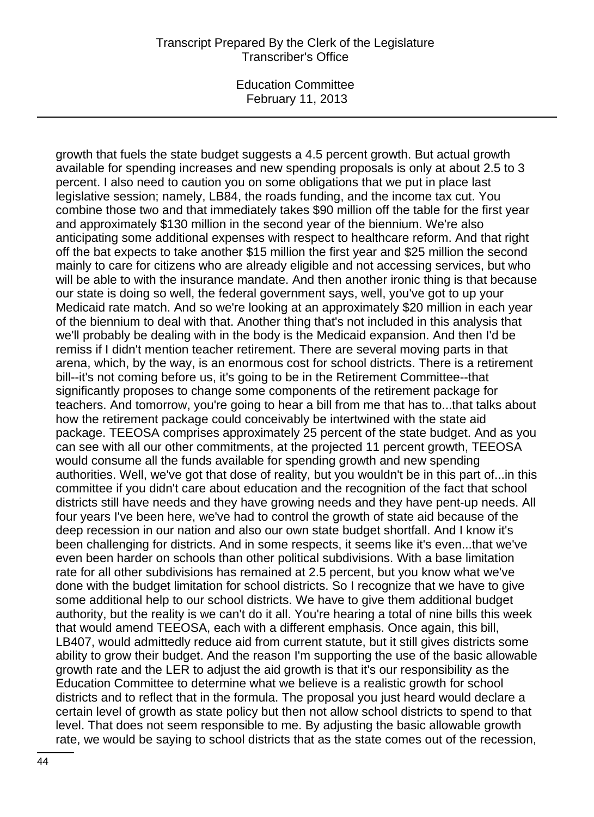Education Committee February 11, 2013

growth that fuels the state budget suggests a 4.5 percent growth. But actual growth available for spending increases and new spending proposals is only at about 2.5 to 3 percent. I also need to caution you on some obligations that we put in place last legislative session; namely, LB84, the roads funding, and the income tax cut. You combine those two and that immediately takes \$90 million off the table for the first year and approximately \$130 million in the second year of the biennium. We're also anticipating some additional expenses with respect to healthcare reform. And that right off the bat expects to take another \$15 million the first year and \$25 million the second mainly to care for citizens who are already eligible and not accessing services, but who will be able to with the insurance mandate. And then another ironic thing is that because our state is doing so well, the federal government says, well, you've got to up your Medicaid rate match. And so we're looking at an approximately \$20 million in each year of the biennium to deal with that. Another thing that's not included in this analysis that we'll probably be dealing with in the body is the Medicaid expansion. And then I'd be remiss if I didn't mention teacher retirement. There are several moving parts in that arena, which, by the way, is an enormous cost for school districts. There is a retirement bill--it's not coming before us, it's going to be in the Retirement Committee--that significantly proposes to change some components of the retirement package for teachers. And tomorrow, you're going to hear a bill from me that has to...that talks about how the retirement package could conceivably be intertwined with the state aid package. TEEOSA comprises approximately 25 percent of the state budget. And as you can see with all our other commitments, at the projected 11 percent growth, TEEOSA would consume all the funds available for spending growth and new spending authorities. Well, we've got that dose of reality, but you wouldn't be in this part of...in this committee if you didn't care about education and the recognition of the fact that school districts still have needs and they have growing needs and they have pent-up needs. All four years I've been here, we've had to control the growth of state aid because of the deep recession in our nation and also our own state budget shortfall. And I know it's been challenging for districts. And in some respects, it seems like it's even...that we've even been harder on schools than other political subdivisions. With a base limitation rate for all other subdivisions has remained at 2.5 percent, but you know what we've done with the budget limitation for school districts. So I recognize that we have to give some additional help to our school districts. We have to give them additional budget authority, but the reality is we can't do it all. You're hearing a total of nine bills this week that would amend TEEOSA, each with a different emphasis. Once again, this bill, LB407, would admittedly reduce aid from current statute, but it still gives districts some ability to grow their budget. And the reason I'm supporting the use of the basic allowable growth rate and the LER to adjust the aid growth is that it's our responsibility as the Education Committee to determine what we believe is a realistic growth for school districts and to reflect that in the formula. The proposal you just heard would declare a certain level of growth as state policy but then not allow school districts to spend to that level. That does not seem responsible to me. By adjusting the basic allowable growth rate, we would be saying to school districts that as the state comes out of the recession,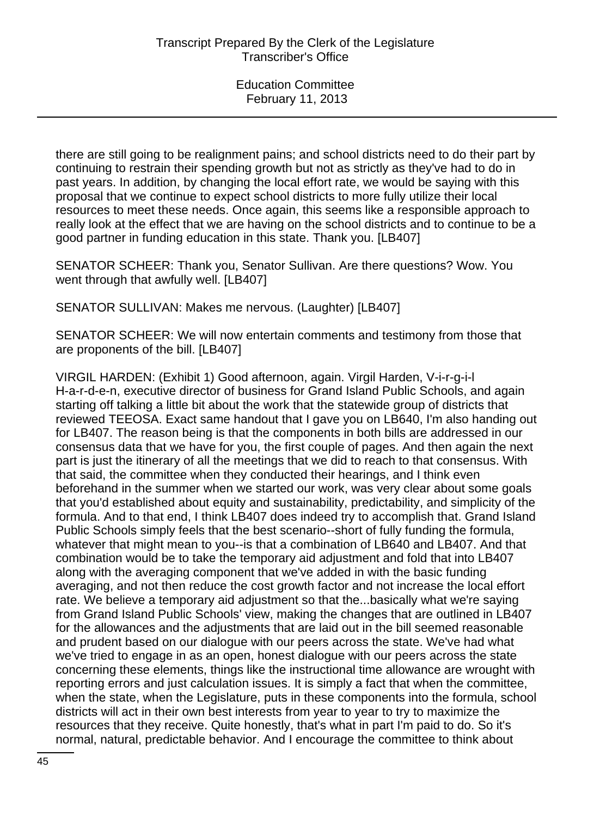there are still going to be realignment pains; and school districts need to do their part by continuing to restrain their spending growth but not as strictly as they've had to do in past years. In addition, by changing the local effort rate, we would be saying with this proposal that we continue to expect school districts to more fully utilize their local resources to meet these needs. Once again, this seems like a responsible approach to really look at the effect that we are having on the school districts and to continue to be a good partner in funding education in this state. Thank you. [LB407]

SENATOR SCHEER: Thank you, Senator Sullivan. Are there questions? Wow. You went through that awfully well. [LB407]

SENATOR SULLIVAN: Makes me nervous. (Laughter) [LB407]

SENATOR SCHEER: We will now entertain comments and testimony from those that are proponents of the bill. [LB407]

VIRGIL HARDEN: (Exhibit 1) Good afternoon, again. Virgil Harden, V-i-r-g-i-l H-a-r-d-e-n, executive director of business for Grand Island Public Schools, and again starting off talking a little bit about the work that the statewide group of districts that reviewed TEEOSA. Exact same handout that I gave you on LB640, I'm also handing out for LB407. The reason being is that the components in both bills are addressed in our consensus data that we have for you, the first couple of pages. And then again the next part is just the itinerary of all the meetings that we did to reach to that consensus. With that said, the committee when they conducted their hearings, and I think even beforehand in the summer when we started our work, was very clear about some goals that you'd established about equity and sustainability, predictability, and simplicity of the formula. And to that end, I think LB407 does indeed try to accomplish that. Grand Island Public Schools simply feels that the best scenario--short of fully funding the formula, whatever that might mean to you--is that a combination of LB640 and LB407. And that combination would be to take the temporary aid adjustment and fold that into LB407 along with the averaging component that we've added in with the basic funding averaging, and not then reduce the cost growth factor and not increase the local effort rate. We believe a temporary aid adjustment so that the...basically what we're saying from Grand Island Public Schools' view, making the changes that are outlined in LB407 for the allowances and the adjustments that are laid out in the bill seemed reasonable and prudent based on our dialogue with our peers across the state. We've had what we've tried to engage in as an open, honest dialogue with our peers across the state concerning these elements, things like the instructional time allowance are wrought with reporting errors and just calculation issues. It is simply a fact that when the committee, when the state, when the Legislature, puts in these components into the formula, school districts will act in their own best interests from year to year to try to maximize the resources that they receive. Quite honestly, that's what in part I'm paid to do. So it's normal, natural, predictable behavior. And I encourage the committee to think about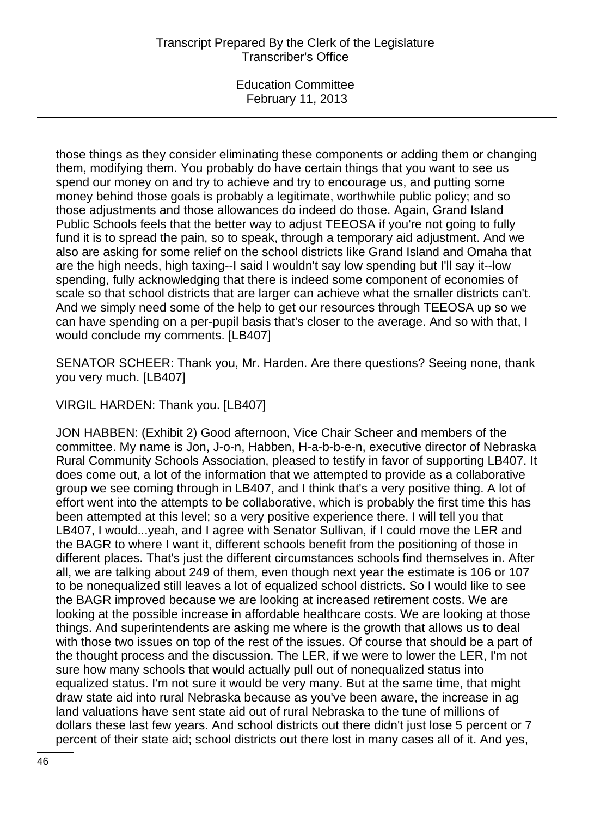Education Committee February 11, 2013

those things as they consider eliminating these components or adding them or changing them, modifying them. You probably do have certain things that you want to see us spend our money on and try to achieve and try to encourage us, and putting some money behind those goals is probably a legitimate, worthwhile public policy; and so those adjustments and those allowances do indeed do those. Again, Grand Island Public Schools feels that the better way to adjust TEEOSA if you're not going to fully fund it is to spread the pain, so to speak, through a temporary aid adjustment. And we also are asking for some relief on the school districts like Grand Island and Omaha that are the high needs, high taxing--I said I wouldn't say low spending but I'll say it--low spending, fully acknowledging that there is indeed some component of economies of scale so that school districts that are larger can achieve what the smaller districts can't. And we simply need some of the help to get our resources through TEEOSA up so we can have spending on a per-pupil basis that's closer to the average. And so with that, I would conclude my comments. [LB407]

SENATOR SCHEER: Thank you, Mr. Harden. Are there questions? Seeing none, thank you very much. [LB407]

VIRGIL HARDEN: Thank you. [LB407]

JON HABBEN: (Exhibit 2) Good afternoon, Vice Chair Scheer and members of the committee. My name is Jon, J-o-n, Habben, H-a-b-b-e-n, executive director of Nebraska Rural Community Schools Association, pleased to testify in favor of supporting LB407. It does come out, a lot of the information that we attempted to provide as a collaborative group we see coming through in LB407, and I think that's a very positive thing. A lot of effort went into the attempts to be collaborative, which is probably the first time this has been attempted at this level; so a very positive experience there. I will tell you that LB407, I would...yeah, and I agree with Senator Sullivan, if I could move the LER and the BAGR to where I want it, different schools benefit from the positioning of those in different places. That's just the different circumstances schools find themselves in. After all, we are talking about 249 of them, even though next year the estimate is 106 or 107 to be nonequalized still leaves a lot of equalized school districts. So I would like to see the BAGR improved because we are looking at increased retirement costs. We are looking at the possible increase in affordable healthcare costs. We are looking at those things. And superintendents are asking me where is the growth that allows us to deal with those two issues on top of the rest of the issues. Of course that should be a part of the thought process and the discussion. The LER, if we were to lower the LER, I'm not sure how many schools that would actually pull out of nonequalized status into equalized status. I'm not sure it would be very many. But at the same time, that might draw state aid into rural Nebraska because as you've been aware, the increase in ag land valuations have sent state aid out of rural Nebraska to the tune of millions of dollars these last few years. And school districts out there didn't just lose 5 percent or 7 percent of their state aid; school districts out there lost in many cases all of it. And yes,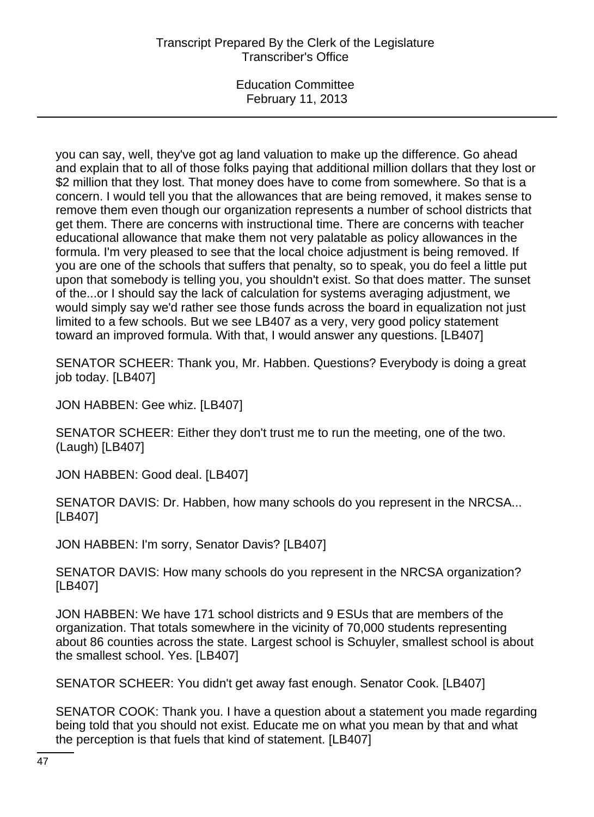you can say, well, they've got ag land valuation to make up the difference. Go ahead and explain that to all of those folks paying that additional million dollars that they lost or \$2 million that they lost. That money does have to come from somewhere. So that is a concern. I would tell you that the allowances that are being removed, it makes sense to remove them even though our organization represents a number of school districts that get them. There are concerns with instructional time. There are concerns with teacher educational allowance that make them not very palatable as policy allowances in the formula. I'm very pleased to see that the local choice adjustment is being removed. If you are one of the schools that suffers that penalty, so to speak, you do feel a little put upon that somebody is telling you, you shouldn't exist. So that does matter. The sunset of the...or I should say the lack of calculation for systems averaging adjustment, we would simply say we'd rather see those funds across the board in equalization not just limited to a few schools. But we see LB407 as a very, very good policy statement toward an improved formula. With that, I would answer any questions. [LB407]

SENATOR SCHEER: Thank you, Mr. Habben. Questions? Everybody is doing a great job today. [LB407]

JON HABBEN: Gee whiz. [LB407]

SENATOR SCHEER: Either they don't trust me to run the meeting, one of the two. (Laugh) [LB407]

JON HABBEN: Good deal. [LB407]

SENATOR DAVIS: Dr. Habben, how many schools do you represent in the NRCSA... [LB407]

JON HABBEN: I'm sorry, Senator Davis? [LB407]

SENATOR DAVIS: How many schools do you represent in the NRCSA organization? [LB407]

JON HABBEN: We have 171 school districts and 9 ESUs that are members of the organization. That totals somewhere in the vicinity of 70,000 students representing about 86 counties across the state. Largest school is Schuyler, smallest school is about the smallest school. Yes. [LB407]

SENATOR SCHEER: You didn't get away fast enough. Senator Cook. [LB407]

SENATOR COOK: Thank you. I have a question about a statement you made regarding being told that you should not exist. Educate me on what you mean by that and what the perception is that fuels that kind of statement. [LB407]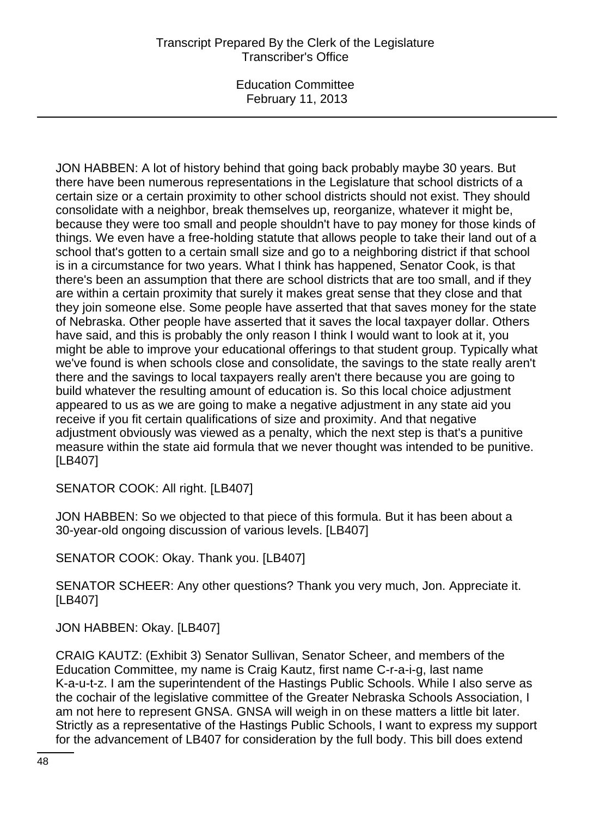Education Committee February 11, 2013

JON HABBEN: A lot of history behind that going back probably maybe 30 years. But there have been numerous representations in the Legislature that school districts of a certain size or a certain proximity to other school districts should not exist. They should consolidate with a neighbor, break themselves up, reorganize, whatever it might be, because they were too small and people shouldn't have to pay money for those kinds of things. We even have a free-holding statute that allows people to take their land out of a school that's gotten to a certain small size and go to a neighboring district if that school is in a circumstance for two years. What I think has happened, Senator Cook, is that there's been an assumption that there are school districts that are too small, and if they are within a certain proximity that surely it makes great sense that they close and that they join someone else. Some people have asserted that that saves money for the state of Nebraska. Other people have asserted that it saves the local taxpayer dollar. Others have said, and this is probably the only reason I think I would want to look at it, you might be able to improve your educational offerings to that student group. Typically what we've found is when schools close and consolidate, the savings to the state really aren't there and the savings to local taxpayers really aren't there because you are going to build whatever the resulting amount of education is. So this local choice adjustment appeared to us as we are going to make a negative adjustment in any state aid you receive if you fit certain qualifications of size and proximity. And that negative adjustment obviously was viewed as a penalty, which the next step is that's a punitive measure within the state aid formula that we never thought was intended to be punitive. [LB407]

SENATOR COOK: All right. [LB407]

JON HABBEN: So we objected to that piece of this formula. But it has been about a 30-year-old ongoing discussion of various levels. [LB407]

SENATOR COOK: Okay. Thank you. [LB407]

SENATOR SCHEER: Any other questions? Thank you very much, Jon. Appreciate it. [LB407]

JON HABBEN: Okay. [LB407]

CRAIG KAUTZ: (Exhibit 3) Senator Sullivan, Senator Scheer, and members of the Education Committee, my name is Craig Kautz, first name C-r-a-i-g, last name K-a-u-t-z. I am the superintendent of the Hastings Public Schools. While I also serve as the cochair of the legislative committee of the Greater Nebraska Schools Association, I am not here to represent GNSA. GNSA will weigh in on these matters a little bit later. Strictly as a representative of the Hastings Public Schools, I want to express my support for the advancement of LB407 for consideration by the full body. This bill does extend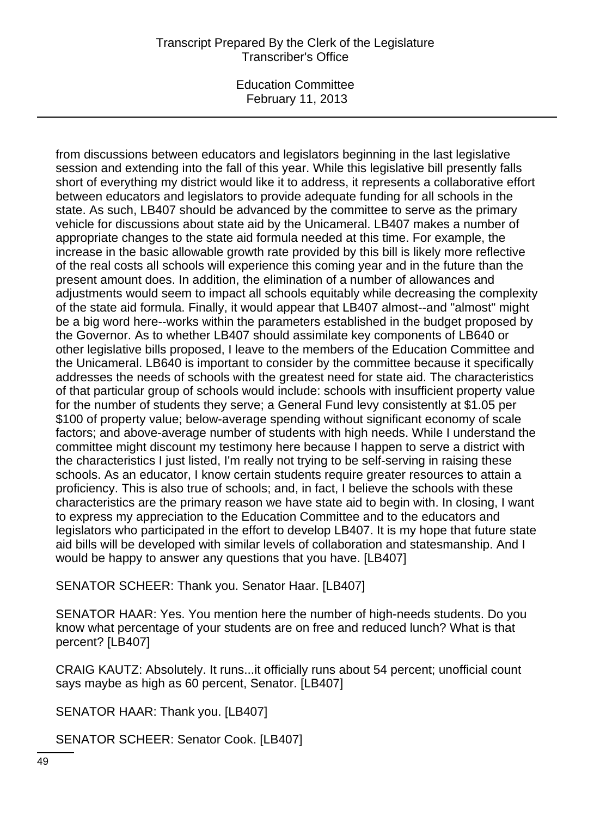Education Committee February 11, 2013

from discussions between educators and legislators beginning in the last legislative session and extending into the fall of this year. While this legislative bill presently falls short of everything my district would like it to address, it represents a collaborative effort between educators and legislators to provide adequate funding for all schools in the state. As such, LB407 should be advanced by the committee to serve as the primary vehicle for discussions about state aid by the Unicameral. LB407 makes a number of appropriate changes to the state aid formula needed at this time. For example, the increase in the basic allowable growth rate provided by this bill is likely more reflective of the real costs all schools will experience this coming year and in the future than the present amount does. In addition, the elimination of a number of allowances and adjustments would seem to impact all schools equitably while decreasing the complexity of the state aid formula. Finally, it would appear that LB407 almost--and "almost" might be a big word here--works within the parameters established in the budget proposed by the Governor. As to whether LB407 should assimilate key components of LB640 or other legislative bills proposed, I leave to the members of the Education Committee and the Unicameral. LB640 is important to consider by the committee because it specifically addresses the needs of schools with the greatest need for state aid. The characteristics of that particular group of schools would include: schools with insufficient property value for the number of students they serve; a General Fund levy consistently at \$1.05 per \$100 of property value; below-average spending without significant economy of scale factors; and above-average number of students with high needs. While I understand the committee might discount my testimony here because I happen to serve a district with the characteristics I just listed, I'm really not trying to be self-serving in raising these schools. As an educator, I know certain students require greater resources to attain a proficiency. This is also true of schools; and, in fact, I believe the schools with these characteristics are the primary reason we have state aid to begin with. In closing, I want to express my appreciation to the Education Committee and to the educators and legislators who participated in the effort to develop LB407. It is my hope that future state aid bills will be developed with similar levels of collaboration and statesmanship. And I would be happy to answer any questions that you have. [LB407]

SENATOR SCHEER: Thank you. Senator Haar. [LB407]

SENATOR HAAR: Yes. You mention here the number of high-needs students. Do you know what percentage of your students are on free and reduced lunch? What is that percent? [LB407]

CRAIG KAUTZ: Absolutely. It runs...it officially runs about 54 percent; unofficial count says maybe as high as 60 percent, Senator. [LB407]

SENATOR HAAR: Thank you. [LB407]

SENATOR SCHEER: Senator Cook. [LB407]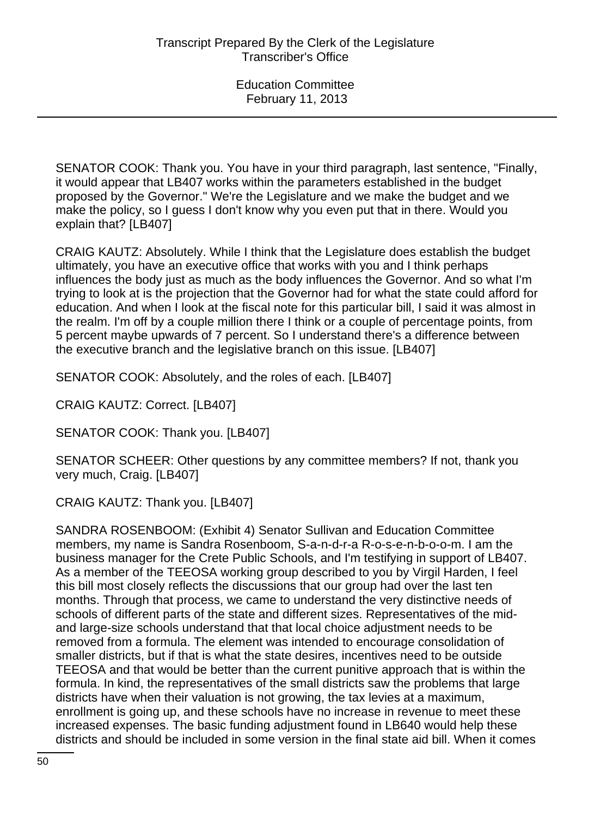SENATOR COOK: Thank you. You have in your third paragraph, last sentence, "Finally, it would appear that LB407 works within the parameters established in the budget proposed by the Governor." We're the Legislature and we make the budget and we make the policy, so I guess I don't know why you even put that in there. Would you explain that? [LB407]

CRAIG KAUTZ: Absolutely. While I think that the Legislature does establish the budget ultimately, you have an executive office that works with you and I think perhaps influences the body just as much as the body influences the Governor. And so what I'm trying to look at is the projection that the Governor had for what the state could afford for education. And when I look at the fiscal note for this particular bill, I said it was almost in the realm. I'm off by a couple million there I think or a couple of percentage points, from 5 percent maybe upwards of 7 percent. So I understand there's a difference between the executive branch and the legislative branch on this issue. [LB407]

SENATOR COOK: Absolutely, and the roles of each. [LB407]

CRAIG KAUTZ: Correct. [LB407]

SENATOR COOK: Thank you. [LB407]

SENATOR SCHEER: Other questions by any committee members? If not, thank you very much, Craig. [LB407]

CRAIG KAUTZ: Thank you. [LB407]

SANDRA ROSENBOOM: (Exhibit 4) Senator Sullivan and Education Committee members, my name is Sandra Rosenboom, S-a-n-d-r-a R-o-s-e-n-b-o-o-m. I am the business manager for the Crete Public Schools, and I'm testifying in support of LB407. As a member of the TEEOSA working group described to you by Virgil Harden, I feel this bill most closely reflects the discussions that our group had over the last ten months. Through that process, we came to understand the very distinctive needs of schools of different parts of the state and different sizes. Representatives of the midand large-size schools understand that that local choice adjustment needs to be removed from a formula. The element was intended to encourage consolidation of smaller districts, but if that is what the state desires, incentives need to be outside TEEOSA and that would be better than the current punitive approach that is within the formula. In kind, the representatives of the small districts saw the problems that large districts have when their valuation is not growing, the tax levies at a maximum, enrollment is going up, and these schools have no increase in revenue to meet these increased expenses. The basic funding adjustment found in LB640 would help these districts and should be included in some version in the final state aid bill. When it comes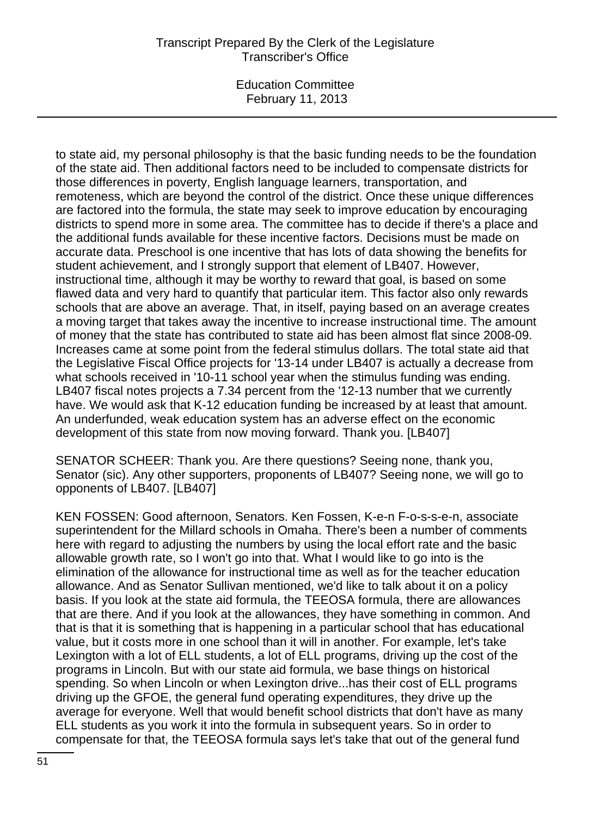Education Committee February 11, 2013

to state aid, my personal philosophy is that the basic funding needs to be the foundation of the state aid. Then additional factors need to be included to compensate districts for those differences in poverty, English language learners, transportation, and remoteness, which are beyond the control of the district. Once these unique differences are factored into the formula, the state may seek to improve education by encouraging districts to spend more in some area. The committee has to decide if there's a place and the additional funds available for these incentive factors. Decisions must be made on accurate data. Preschool is one incentive that has lots of data showing the benefits for student achievement, and I strongly support that element of LB407. However, instructional time, although it may be worthy to reward that goal, is based on some flawed data and very hard to quantify that particular item. This factor also only rewards schools that are above an average. That, in itself, paying based on an average creates a moving target that takes away the incentive to increase instructional time. The amount of money that the state has contributed to state aid has been almost flat since 2008-09. Increases came at some point from the federal stimulus dollars. The total state aid that the Legislative Fiscal Office projects for '13-14 under LB407 is actually a decrease from what schools received in '10-11 school year when the stimulus funding was ending. LB407 fiscal notes projects a 7.34 percent from the '12-13 number that we currently have. We would ask that K-12 education funding be increased by at least that amount. An underfunded, weak education system has an adverse effect on the economic development of this state from now moving forward. Thank you. [LB407]

SENATOR SCHEER: Thank you. Are there questions? Seeing none, thank you, Senator (sic). Any other supporters, proponents of LB407? Seeing none, we will go to opponents of LB407. [LB407]

KEN FOSSEN: Good afternoon, Senators. Ken Fossen, K-e-n F-o-s-s-e-n, associate superintendent for the Millard schools in Omaha. There's been a number of comments here with regard to adjusting the numbers by using the local effort rate and the basic allowable growth rate, so I won't go into that. What I would like to go into is the elimination of the allowance for instructional time as well as for the teacher education allowance. And as Senator Sullivan mentioned, we'd like to talk about it on a policy basis. If you look at the state aid formula, the TEEOSA formula, there are allowances that are there. And if you look at the allowances, they have something in common. And that is that it is something that is happening in a particular school that has educational value, but it costs more in one school than it will in another. For example, let's take Lexington with a lot of ELL students, a lot of ELL programs, driving up the cost of the programs in Lincoln. But with our state aid formula, we base things on historical spending. So when Lincoln or when Lexington drive...has their cost of ELL programs driving up the GFOE, the general fund operating expenditures, they drive up the average for everyone. Well that would benefit school districts that don't have as many ELL students as you work it into the formula in subsequent years. So in order to compensate for that, the TEEOSA formula says let's take that out of the general fund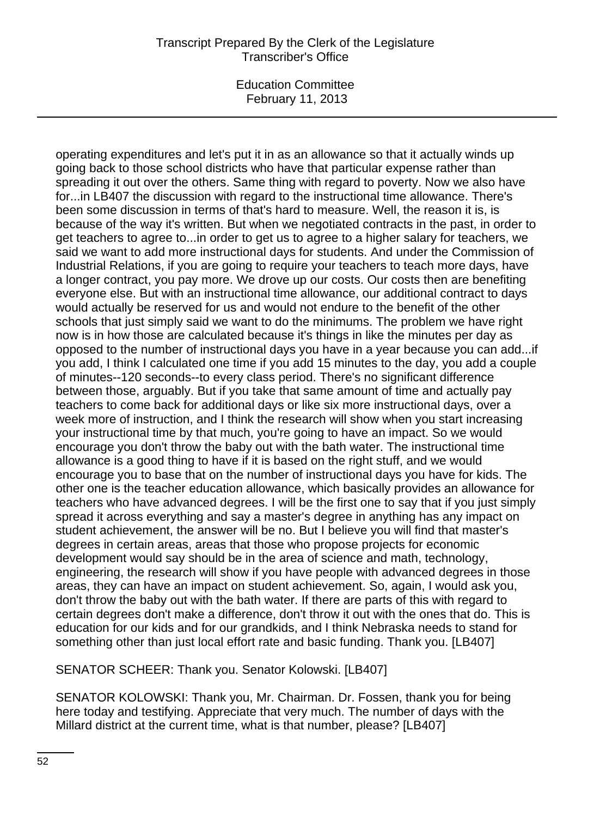Education Committee February 11, 2013

operating expenditures and let's put it in as an allowance so that it actually winds up going back to those school districts who have that particular expense rather than spreading it out over the others. Same thing with regard to poverty. Now we also have for...in LB407 the discussion with regard to the instructional time allowance. There's been some discussion in terms of that's hard to measure. Well, the reason it is, is because of the way it's written. But when we negotiated contracts in the past, in order to get teachers to agree to...in order to get us to agree to a higher salary for teachers, we said we want to add more instructional days for students. And under the Commission of Industrial Relations, if you are going to require your teachers to teach more days, have a longer contract, you pay more. We drove up our costs. Our costs then are benefiting everyone else. But with an instructional time allowance, our additional contract to days would actually be reserved for us and would not endure to the benefit of the other schools that just simply said we want to do the minimums. The problem we have right now is in how those are calculated because it's things in like the minutes per day as opposed to the number of instructional days you have in a year because you can add...if you add, I think I calculated one time if you add 15 minutes to the day, you add a couple of minutes--120 seconds--to every class period. There's no significant difference between those, arguably. But if you take that same amount of time and actually pay teachers to come back for additional days or like six more instructional days, over a week more of instruction, and I think the research will show when you start increasing your instructional time by that much, you're going to have an impact. So we would encourage you don't throw the baby out with the bath water. The instructional time allowance is a good thing to have if it is based on the right stuff, and we would encourage you to base that on the number of instructional days you have for kids. The other one is the teacher education allowance, which basically provides an allowance for teachers who have advanced degrees. I will be the first one to say that if you just simply spread it across everything and say a master's degree in anything has any impact on student achievement, the answer will be no. But I believe you will find that master's degrees in certain areas, areas that those who propose projects for economic development would say should be in the area of science and math, technology, engineering, the research will show if you have people with advanced degrees in those areas, they can have an impact on student achievement. So, again, I would ask you, don't throw the baby out with the bath water. If there are parts of this with regard to certain degrees don't make a difference, don't throw it out with the ones that do. This is education for our kids and for our grandkids, and I think Nebraska needs to stand for something other than just local effort rate and basic funding. Thank you. [LB407]

SENATOR SCHEER: Thank you. Senator Kolowski. [LB407]

SENATOR KOLOWSKI: Thank you, Mr. Chairman. Dr. Fossen, thank you for being here today and testifying. Appreciate that very much. The number of days with the Millard district at the current time, what is that number, please? [LB407]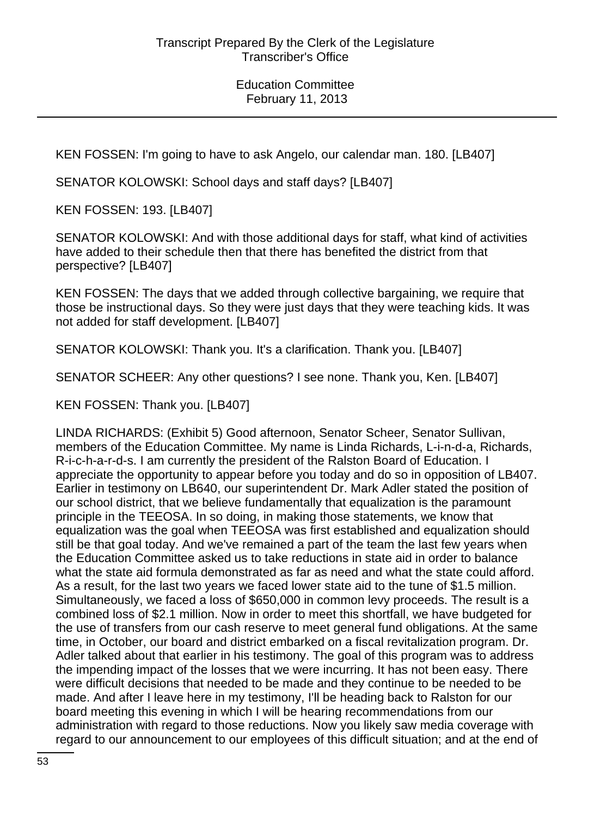KEN FOSSEN: I'm going to have to ask Angelo, our calendar man. 180. [LB407]

SENATOR KOLOWSKI: School days and staff days? [LB407]

KEN FOSSEN: 193. [LB407]

SENATOR KOLOWSKI: And with those additional days for staff, what kind of activities have added to their schedule then that there has benefited the district from that perspective? [LB407]

KEN FOSSEN: The days that we added through collective bargaining, we require that those be instructional days. So they were just days that they were teaching kids. It was not added for staff development. [LB407]

SENATOR KOLOWSKI: Thank you. It's a clarification. Thank you. [LB407]

SENATOR SCHEER: Any other questions? I see none. Thank you, Ken. [LB407]

KEN FOSSEN: Thank you. [LB407]

LINDA RICHARDS: (Exhibit 5) Good afternoon, Senator Scheer, Senator Sullivan, members of the Education Committee. My name is Linda Richards, L-i-n-d-a, Richards, R-i-c-h-a-r-d-s. I am currently the president of the Ralston Board of Education. I appreciate the opportunity to appear before you today and do so in opposition of LB407. Earlier in testimony on LB640, our superintendent Dr. Mark Adler stated the position of our school district, that we believe fundamentally that equalization is the paramount principle in the TEEOSA. In so doing, in making those statements, we know that equalization was the goal when TEEOSA was first established and equalization should still be that goal today. And we've remained a part of the team the last few years when the Education Committee asked us to take reductions in state aid in order to balance what the state aid formula demonstrated as far as need and what the state could afford. As a result, for the last two years we faced lower state aid to the tune of \$1.5 million. Simultaneously, we faced a loss of \$650,000 in common levy proceeds. The result is a combined loss of \$2.1 million. Now in order to meet this shortfall, we have budgeted for the use of transfers from our cash reserve to meet general fund obligations. At the same time, in October, our board and district embarked on a fiscal revitalization program. Dr. Adler talked about that earlier in his testimony. The goal of this program was to address the impending impact of the losses that we were incurring. It has not been easy. There were difficult decisions that needed to be made and they continue to be needed to be made. And after I leave here in my testimony, I'll be heading back to Ralston for our board meeting this evening in which I will be hearing recommendations from our administration with regard to those reductions. Now you likely saw media coverage with regard to our announcement to our employees of this difficult situation; and at the end of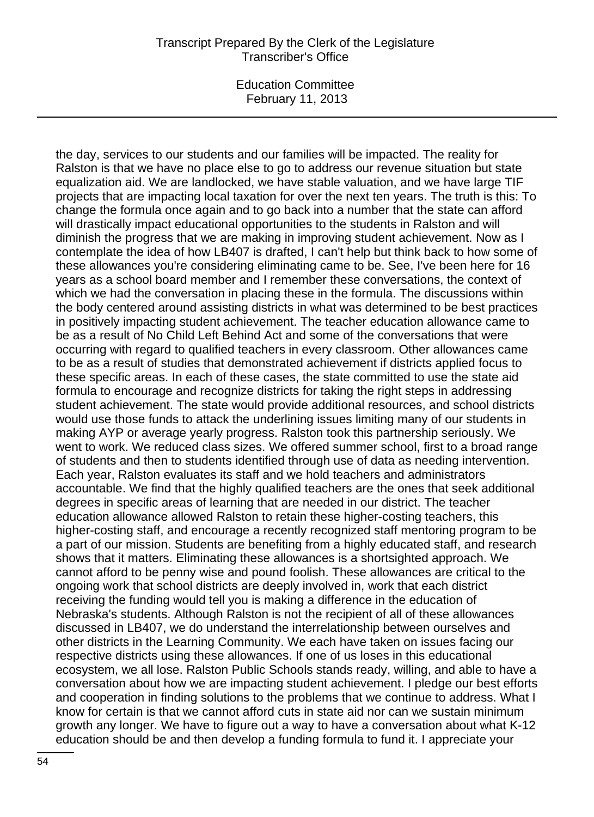Education Committee February 11, 2013

the day, services to our students and our families will be impacted. The reality for Ralston is that we have no place else to go to address our revenue situation but state equalization aid. We are landlocked, we have stable valuation, and we have large TIF projects that are impacting local taxation for over the next ten years. The truth is this: To change the formula once again and to go back into a number that the state can afford will drastically impact educational opportunities to the students in Ralston and will diminish the progress that we are making in improving student achievement. Now as I contemplate the idea of how LB407 is drafted, I can't help but think back to how some of these allowances you're considering eliminating came to be. See, I've been here for 16 years as a school board member and I remember these conversations, the context of which we had the conversation in placing these in the formula. The discussions within the body centered around assisting districts in what was determined to be best practices in positively impacting student achievement. The teacher education allowance came to be as a result of No Child Left Behind Act and some of the conversations that were occurring with regard to qualified teachers in every classroom. Other allowances came to be as a result of studies that demonstrated achievement if districts applied focus to these specific areas. In each of these cases, the state committed to use the state aid formula to encourage and recognize districts for taking the right steps in addressing student achievement. The state would provide additional resources, and school districts would use those funds to attack the underlining issues limiting many of our students in making AYP or average yearly progress. Ralston took this partnership seriously. We went to work. We reduced class sizes. We offered summer school, first to a broad range of students and then to students identified through use of data as needing intervention. Each year, Ralston evaluates its staff and we hold teachers and administrators accountable. We find that the highly qualified teachers are the ones that seek additional degrees in specific areas of learning that are needed in our district. The teacher education allowance allowed Ralston to retain these higher-costing teachers, this higher-costing staff, and encourage a recently recognized staff mentoring program to be a part of our mission. Students are benefiting from a highly educated staff, and research shows that it matters. Eliminating these allowances is a shortsighted approach. We cannot afford to be penny wise and pound foolish. These allowances are critical to the ongoing work that school districts are deeply involved in, work that each district receiving the funding would tell you is making a difference in the education of Nebraska's students. Although Ralston is not the recipient of all of these allowances discussed in LB407, we do understand the interrelationship between ourselves and other districts in the Learning Community. We each have taken on issues facing our respective districts using these allowances. If one of us loses in this educational ecosystem, we all lose. Ralston Public Schools stands ready, willing, and able to have a conversation about how we are impacting student achievement. I pledge our best efforts and cooperation in finding solutions to the problems that we continue to address. What I know for certain is that we cannot afford cuts in state aid nor can we sustain minimum growth any longer. We have to figure out a way to have a conversation about what K-12 education should be and then develop a funding formula to fund it. I appreciate your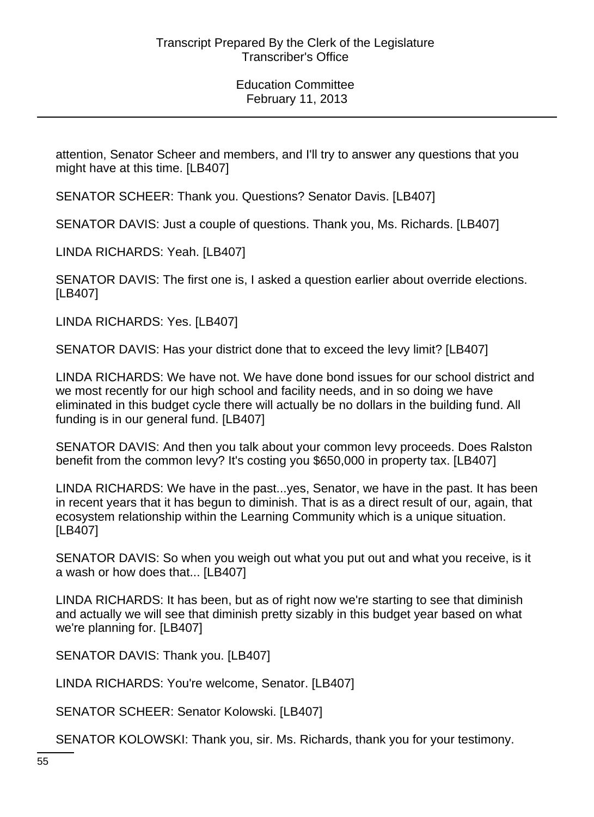attention, Senator Scheer and members, and I'll try to answer any questions that you might have at this time. [LB407]

SENATOR SCHEER: Thank you. Questions? Senator Davis. [LB407]

SENATOR DAVIS: Just a couple of questions. Thank you, Ms. Richards. [LB407]

LINDA RICHARDS: Yeah. [LB407]

SENATOR DAVIS: The first one is, I asked a question earlier about override elections. [LB407]

LINDA RICHARDS: Yes. [LB407]

SENATOR DAVIS: Has your district done that to exceed the levy limit? [LB407]

LINDA RICHARDS: We have not. We have done bond issues for our school district and we most recently for our high school and facility needs, and in so doing we have eliminated in this budget cycle there will actually be no dollars in the building fund. All funding is in our general fund. [LB407]

SENATOR DAVIS: And then you talk about your common levy proceeds. Does Ralston benefit from the common levy? It's costing you \$650,000 in property tax. [LB407]

LINDA RICHARDS: We have in the past...yes, Senator, we have in the past. It has been in recent years that it has begun to diminish. That is as a direct result of our, again, that ecosystem relationship within the Learning Community which is a unique situation. [LB407]

SENATOR DAVIS: So when you weigh out what you put out and what you receive, is it a wash or how does that... [LB407]

LINDA RICHARDS: It has been, but as of right now we're starting to see that diminish and actually we will see that diminish pretty sizably in this budget year based on what we're planning for. [LB407]

SENATOR DAVIS: Thank you. [LB407]

LINDA RICHARDS: You're welcome, Senator. [LB407]

SENATOR SCHEER: Senator Kolowski. [LB407]

SENATOR KOLOWSKI: Thank you, sir. Ms. Richards, thank you for your testimony.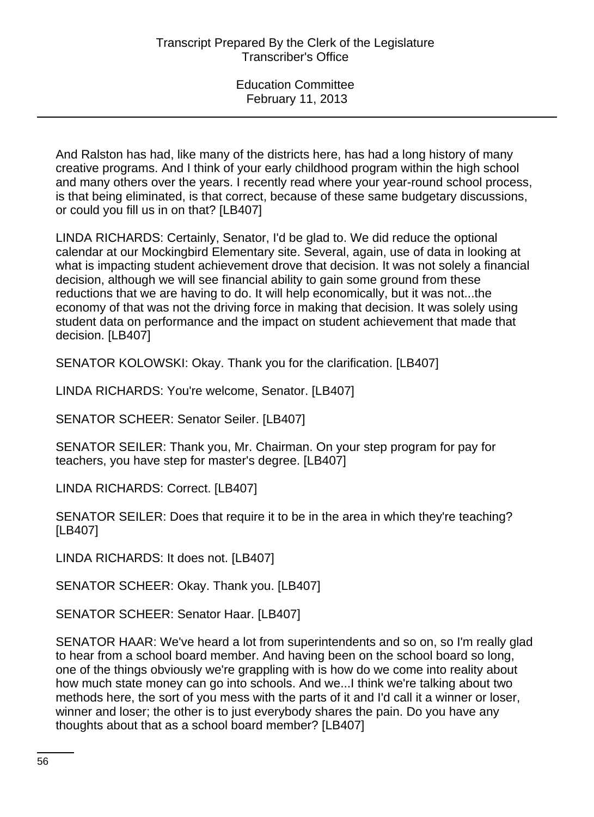And Ralston has had, like many of the districts here, has had a long history of many creative programs. And I think of your early childhood program within the high school and many others over the years. I recently read where your year-round school process, is that being eliminated, is that correct, because of these same budgetary discussions, or could you fill us in on that? [LB407]

LINDA RICHARDS: Certainly, Senator, I'd be glad to. We did reduce the optional calendar at our Mockingbird Elementary site. Several, again, use of data in looking at what is impacting student achievement drove that decision. It was not solely a financial decision, although we will see financial ability to gain some ground from these reductions that we are having to do. It will help economically, but it was not...the economy of that was not the driving force in making that decision. It was solely using student data on performance and the impact on student achievement that made that decision. [LB407]

SENATOR KOLOWSKI: Okay. Thank you for the clarification. [LB407]

LINDA RICHARDS: You're welcome, Senator. [LB407]

SENATOR SCHEER: Senator Seiler. [LB407]

SENATOR SEILER: Thank you, Mr. Chairman. On your step program for pay for teachers, you have step for master's degree. [LB407]

LINDA RICHARDS: Correct. [LB407]

SENATOR SEILER: Does that require it to be in the area in which they're teaching? [LB407]

LINDA RICHARDS: It does not. [LB407]

SENATOR SCHEER: Okay. Thank you. [LB407]

SENATOR SCHEER: Senator Haar. [LB407]

SENATOR HAAR: We've heard a lot from superintendents and so on, so I'm really glad to hear from a school board member. And having been on the school board so long, one of the things obviously we're grappling with is how do we come into reality about how much state money can go into schools. And we...I think we're talking about two methods here, the sort of you mess with the parts of it and I'd call it a winner or loser, winner and loser; the other is to just everybody shares the pain. Do you have any thoughts about that as a school board member? [LB407]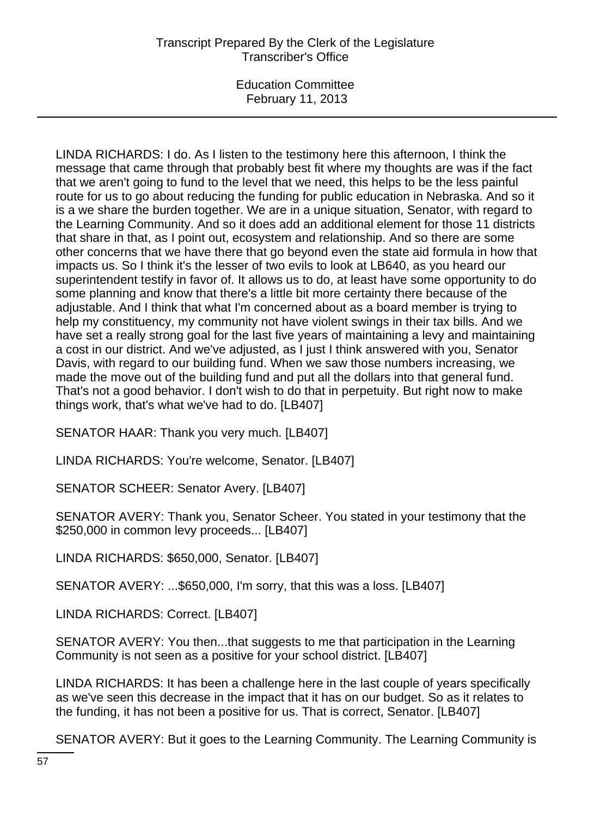Education Committee February 11, 2013

LINDA RICHARDS: I do. As I listen to the testimony here this afternoon, I think the message that came through that probably best fit where my thoughts are was if the fact that we aren't going to fund to the level that we need, this helps to be the less painful route for us to go about reducing the funding for public education in Nebraska. And so it is a we share the burden together. We are in a unique situation, Senator, with regard to the Learning Community. And so it does add an additional element for those 11 districts that share in that, as I point out, ecosystem and relationship. And so there are some other concerns that we have there that go beyond even the state aid formula in how that impacts us. So I think it's the lesser of two evils to look at LB640, as you heard our superintendent testify in favor of. It allows us to do, at least have some opportunity to do some planning and know that there's a little bit more certainty there because of the adjustable. And I think that what I'm concerned about as a board member is trying to help my constituency, my community not have violent swings in their tax bills. And we have set a really strong goal for the last five years of maintaining a levy and maintaining a cost in our district. And we've adjusted, as I just I think answered with you, Senator Davis, with regard to our building fund. When we saw those numbers increasing, we made the move out of the building fund and put all the dollars into that general fund. That's not a good behavior. I don't wish to do that in perpetuity. But right now to make things work, that's what we've had to do. [LB407]

SENATOR HAAR: Thank you very much. [LB407]

LINDA RICHARDS: You're welcome, Senator. [LB407]

SENATOR SCHEER: Senator Avery. [LB407]

SENATOR AVERY: Thank you, Senator Scheer. You stated in your testimony that the \$250,000 in common levy proceeds... [LB407]

LINDA RICHARDS: \$650,000, Senator. [LB407]

SENATOR AVERY: ...\$650,000, I'm sorry, that this was a loss. [LB407]

LINDA RICHARDS: Correct. [LB407]

SENATOR AVERY: You then...that suggests to me that participation in the Learning Community is not seen as a positive for your school district. [LB407]

LINDA RICHARDS: It has been a challenge here in the last couple of years specifically as we've seen this decrease in the impact that it has on our budget. So as it relates to the funding, it has not been a positive for us. That is correct, Senator. [LB407]

SENATOR AVERY: But it goes to the Learning Community. The Learning Community is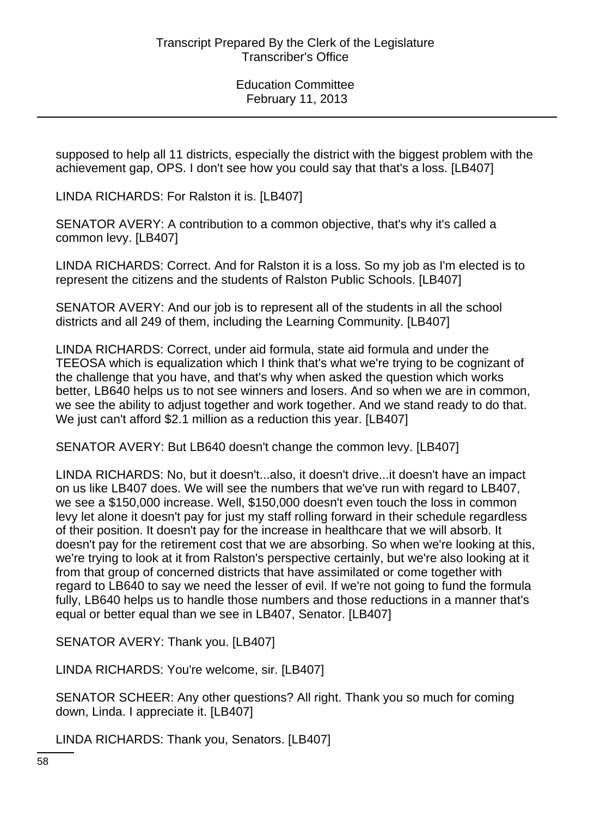supposed to help all 11 districts, especially the district with the biggest problem with the achievement gap, OPS. I don't see how you could say that that's a loss. [LB407]

LINDA RICHARDS: For Ralston it is. [LB407]

SENATOR AVERY: A contribution to a common objective, that's why it's called a common levy. [LB407]

LINDA RICHARDS: Correct. And for Ralston it is a loss. So my job as I'm elected is to represent the citizens and the students of Ralston Public Schools. [LB407]

SENATOR AVERY: And our job is to represent all of the students in all the school districts and all 249 of them, including the Learning Community. [LB407]

LINDA RICHARDS: Correct, under aid formula, state aid formula and under the TEEOSA which is equalization which I think that's what we're trying to be cognizant of the challenge that you have, and that's why when asked the question which works better, LB640 helps us to not see winners and losers. And so when we are in common, we see the ability to adjust together and work together. And we stand ready to do that. We just can't afford \$2.1 million as a reduction this year. [LB407]

SENATOR AVERY: But LB640 doesn't change the common levy. [LB407]

LINDA RICHARDS: No, but it doesn't...also, it doesn't drive...it doesn't have an impact on us like LB407 does. We will see the numbers that we've run with regard to LB407, we see a \$150,000 increase. Well, \$150,000 doesn't even touch the loss in common levy let alone it doesn't pay for just my staff rolling forward in their schedule regardless of their position. It doesn't pay for the increase in healthcare that we will absorb. It doesn't pay for the retirement cost that we are absorbing. So when we're looking at this, we're trying to look at it from Ralston's perspective certainly, but we're also looking at it from that group of concerned districts that have assimilated or come together with regard to LB640 to say we need the lesser of evil. If we're not going to fund the formula fully, LB640 helps us to handle those numbers and those reductions in a manner that's equal or better equal than we see in LB407, Senator. [LB407]

SENATOR AVERY: Thank you. [LB407]

LINDA RICHARDS: You're welcome, sir. [LB407]

SENATOR SCHEER: Any other questions? All right. Thank you so much for coming down, Linda. I appreciate it. [LB407]

LINDA RICHARDS: Thank you, Senators. [LB407]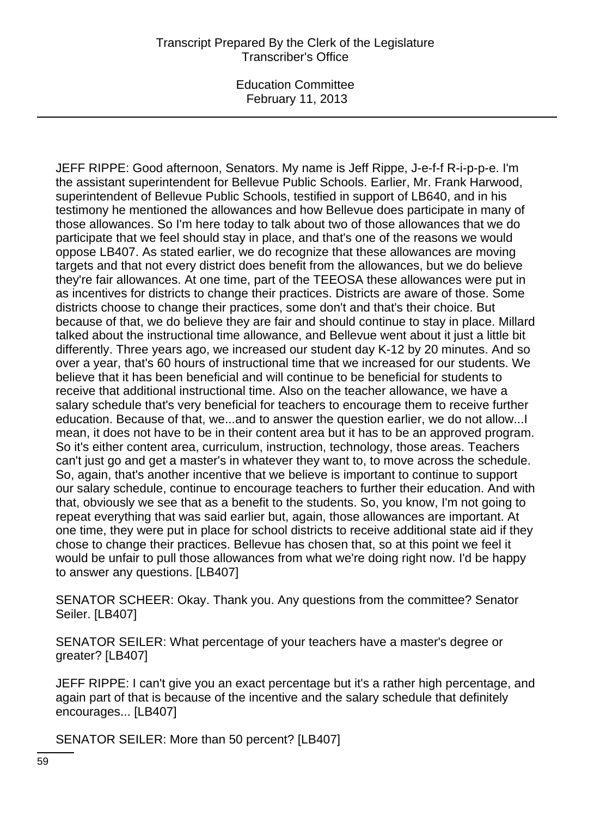JEFF RIPPE: Good afternoon, Senators. My name is Jeff Rippe, J-e-f-f R-i-p-p-e. I'm the assistant superintendent for Bellevue Public Schools. Earlier, Mr. Frank Harwood, superintendent of Bellevue Public Schools, testified in support of LB640, and in his testimony he mentioned the allowances and how Bellevue does participate in many of those allowances. So I'm here today to talk about two of those allowances that we do participate that we feel should stay in place, and that's one of the reasons we would oppose LB407. As stated earlier, we do recognize that these allowances are moving targets and that not every district does benefit from the allowances, but we do believe they're fair allowances. At one time, part of the TEEOSA these allowances were put in as incentives for districts to change their practices. Districts are aware of those. Some districts choose to change their practices, some don't and that's their choice. But because of that, we do believe they are fair and should continue to stay in place. Millard talked about the instructional time allowance, and Bellevue went about it just a little bit differently. Three years ago, we increased our student day K-12 by 20 minutes. And so over a year, that's 60 hours of instructional time that we increased for our students. We believe that it has been beneficial and will continue to be beneficial for students to receive that additional instructional time. Also on the teacher allowance, we have a salary schedule that's very beneficial for teachers to encourage them to receive further education. Because of that, we...and to answer the question earlier, we do not allow...I mean, it does not have to be in their content area but it has to be an approved program. So it's either content area, curriculum, instruction, technology, those areas. Teachers can't just go and get a master's in whatever they want to, to move across the schedule. So, again, that's another incentive that we believe is important to continue to support our salary schedule, continue to encourage teachers to further their education. And with that, obviously we see that as a benefit to the students. So, you know, I'm not going to repeat everything that was said earlier but, again, those allowances are important. At one time, they were put in place for school districts to receive additional state aid if they chose to change their practices. Bellevue has chosen that, so at this point we feel it would be unfair to pull those allowances from what we're doing right now. I'd be happy to answer any questions. [LB407]

SENATOR SCHEER: Okay. Thank you. Any questions from the committee? Senator Seiler. [LB407]

SENATOR SEILER: What percentage of your teachers have a master's degree or greater? [LB407]

JEFF RIPPE: I can't give you an exact percentage but it's a rather high percentage, and again part of that is because of the incentive and the salary schedule that definitely encourages... [LB407]

SENATOR SEILER: More than 50 percent? [LB407]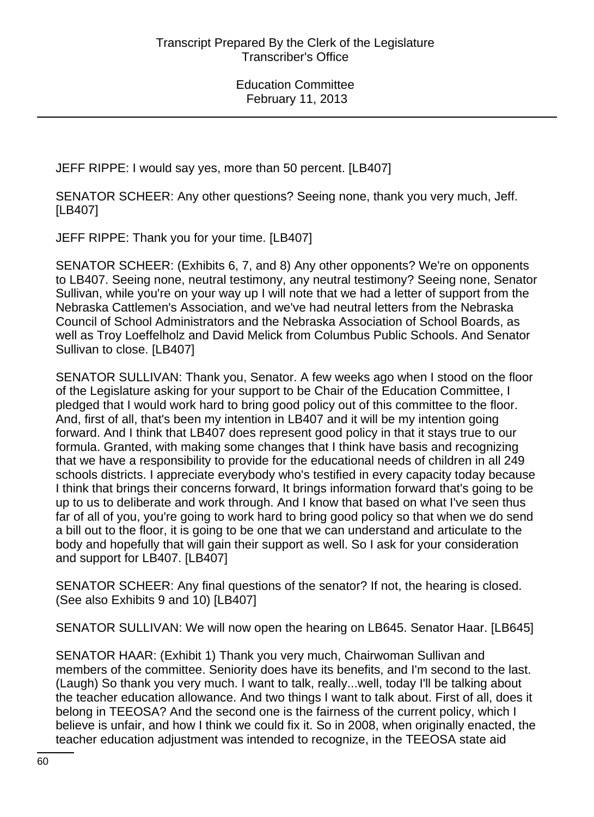JEFF RIPPE: I would say yes, more than 50 percent. [LB407]

SENATOR SCHEER: Any other questions? Seeing none, thank you very much, Jeff. [LB407]

JEFF RIPPE: Thank you for your time. [LB407]

SENATOR SCHEER: (Exhibits 6, 7, and 8) Any other opponents? We're on opponents to LB407. Seeing none, neutral testimony, any neutral testimony? Seeing none, Senator Sullivan, while you're on your way up I will note that we had a letter of support from the Nebraska Cattlemen's Association, and we've had neutral letters from the Nebraska Council of School Administrators and the Nebraska Association of School Boards, as well as Troy Loeffelholz and David Melick from Columbus Public Schools. And Senator Sullivan to close. [LB407]

SENATOR SULLIVAN: Thank you, Senator. A few weeks ago when I stood on the floor of the Legislature asking for your support to be Chair of the Education Committee, I pledged that I would work hard to bring good policy out of this committee to the floor. And, first of all, that's been my intention in LB407 and it will be my intention going forward. And I think that LB407 does represent good policy in that it stays true to our formula. Granted, with making some changes that I think have basis and recognizing that we have a responsibility to provide for the educational needs of children in all 249 schools districts. I appreciate everybody who's testified in every capacity today because I think that brings their concerns forward, It brings information forward that's going to be up to us to deliberate and work through. And I know that based on what I've seen thus far of all of you, you're going to work hard to bring good policy so that when we do send a bill out to the floor, it is going to be one that we can understand and articulate to the body and hopefully that will gain their support as well. So I ask for your consideration and support for LB407. [LB407]

SENATOR SCHEER: Any final questions of the senator? If not, the hearing is closed. (See also Exhibits 9 and 10) [LB407]

SENATOR SULLIVAN: We will now open the hearing on LB645. Senator Haar. [LB645]

SENATOR HAAR: (Exhibit 1) Thank you very much, Chairwoman Sullivan and members of the committee. Seniority does have its benefits, and I'm second to the last. (Laugh) So thank you very much. I want to talk, really...well, today I'll be talking about the teacher education allowance. And two things I want to talk about. First of all, does it belong in TEEOSA? And the second one is the fairness of the current policy, which I believe is unfair, and how I think we could fix it. So in 2008, when originally enacted, the teacher education adjustment was intended to recognize, in the TEEOSA state aid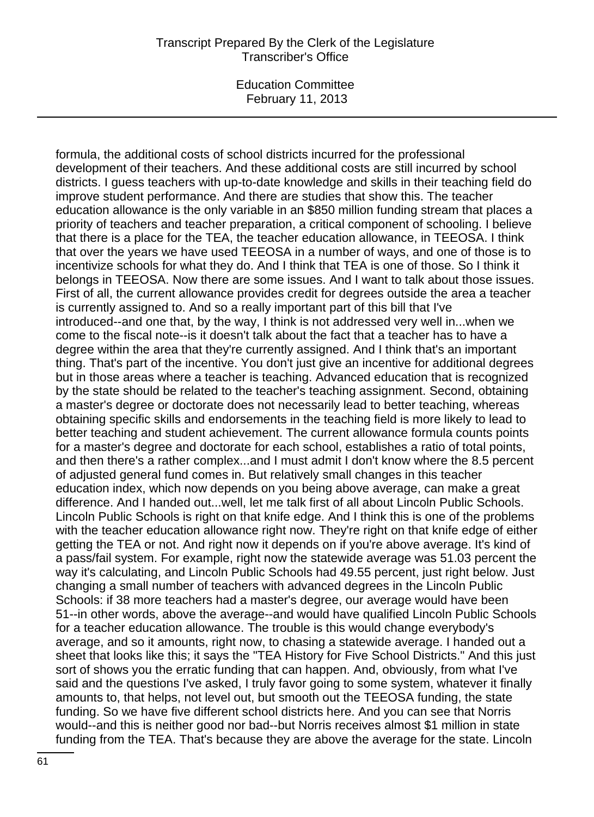Education Committee February 11, 2013

formula, the additional costs of school districts incurred for the professional development of their teachers. And these additional costs are still incurred by school districts. I guess teachers with up-to-date knowledge and skills in their teaching field do improve student performance. And there are studies that show this. The teacher education allowance is the only variable in an \$850 million funding stream that places a priority of teachers and teacher preparation, a critical component of schooling. I believe that there is a place for the TEA, the teacher education allowance, in TEEOSA. I think that over the years we have used TEEOSA in a number of ways, and one of those is to incentivize schools for what they do. And I think that TEA is one of those. So I think it belongs in TEEOSA. Now there are some issues. And I want to talk about those issues. First of all, the current allowance provides credit for degrees outside the area a teacher is currently assigned to. And so a really important part of this bill that I've introduced--and one that, by the way, I think is not addressed very well in...when we come to the fiscal note--is it doesn't talk about the fact that a teacher has to have a degree within the area that they're currently assigned. And I think that's an important thing. That's part of the incentive. You don't just give an incentive for additional degrees but in those areas where a teacher is teaching. Advanced education that is recognized by the state should be related to the teacher's teaching assignment. Second, obtaining a master's degree or doctorate does not necessarily lead to better teaching, whereas obtaining specific skills and endorsements in the teaching field is more likely to lead to better teaching and student achievement. The current allowance formula counts points for a master's degree and doctorate for each school, establishes a ratio of total points, and then there's a rather complex...and I must admit I don't know where the 8.5 percent of adjusted general fund comes in. But relatively small changes in this teacher education index, which now depends on you being above average, can make a great difference. And I handed out...well, let me talk first of all about Lincoln Public Schools. Lincoln Public Schools is right on that knife edge. And I think this is one of the problems with the teacher education allowance right now. They're right on that knife edge of either getting the TEA or not. And right now it depends on if you're above average. It's kind of a pass/fail system. For example, right now the statewide average was 51.03 percent the way it's calculating, and Lincoln Public Schools had 49.55 percent, just right below. Just changing a small number of teachers with advanced degrees in the Lincoln Public Schools: if 38 more teachers had a master's degree, our average would have been 51--in other words, above the average--and would have qualified Lincoln Public Schools for a teacher education allowance. The trouble is this would change everybody's average, and so it amounts, right now, to chasing a statewide average. I handed out a sheet that looks like this; it says the "TEA History for Five School Districts." And this just sort of shows you the erratic funding that can happen. And, obviously, from what I've said and the questions I've asked, I truly favor going to some system, whatever it finally amounts to, that helps, not level out, but smooth out the TEEOSA funding, the state funding. So we have five different school districts here. And you can see that Norris would--and this is neither good nor bad--but Norris receives almost \$1 million in state funding from the TEA. That's because they are above the average for the state. Lincoln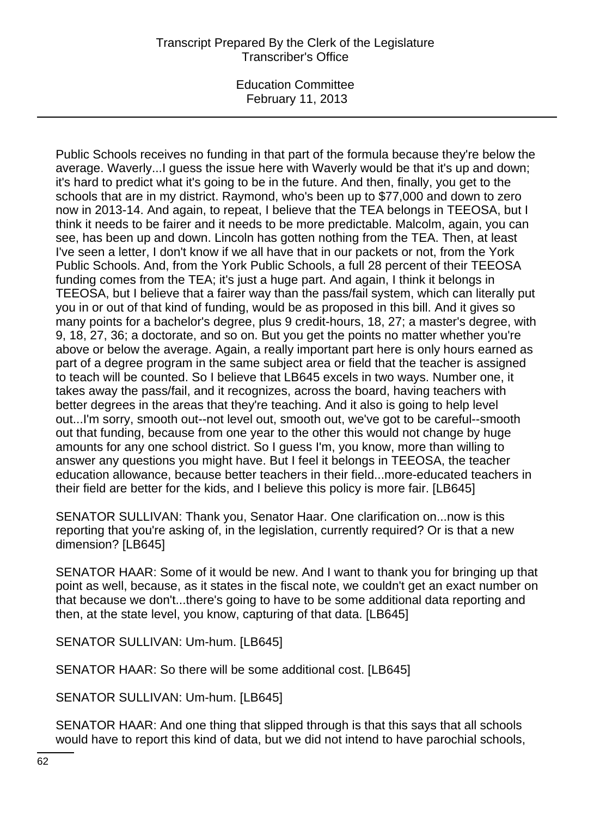Education Committee February 11, 2013

Public Schools receives no funding in that part of the formula because they're below the average. Waverly...I guess the issue here with Waverly would be that it's up and down; it's hard to predict what it's going to be in the future. And then, finally, you get to the schools that are in my district. Raymond, who's been up to \$77,000 and down to zero now in 2013-14. And again, to repeat, I believe that the TEA belongs in TEEOSA, but I think it needs to be fairer and it needs to be more predictable. Malcolm, again, you can see, has been up and down. Lincoln has gotten nothing from the TEA. Then, at least I've seen a letter, I don't know if we all have that in our packets or not, from the York Public Schools. And, from the York Public Schools, a full 28 percent of their TEEOSA funding comes from the TEA; it's just a huge part. And again, I think it belongs in TEEOSA, but I believe that a fairer way than the pass/fail system, which can literally put you in or out of that kind of funding, would be as proposed in this bill. And it gives so many points for a bachelor's degree, plus 9 credit-hours, 18, 27; a master's degree, with 9, 18, 27, 36; a doctorate, and so on. But you get the points no matter whether you're above or below the average. Again, a really important part here is only hours earned as part of a degree program in the same subject area or field that the teacher is assigned to teach will be counted. So I believe that LB645 excels in two ways. Number one, it takes away the pass/fail, and it recognizes, across the board, having teachers with better degrees in the areas that they're teaching. And it also is going to help level out...I'm sorry, smooth out--not level out, smooth out, we've got to be careful--smooth out that funding, because from one year to the other this would not change by huge amounts for any one school district. So I guess I'm, you know, more than willing to answer any questions you might have. But I feel it belongs in TEEOSA, the teacher education allowance, because better teachers in their field...more-educated teachers in their field are better for the kids, and I believe this policy is more fair. [LB645]

SENATOR SULLIVAN: Thank you, Senator Haar. One clarification on...now is this reporting that you're asking of, in the legislation, currently required? Or is that a new dimension? [LB645]

SENATOR HAAR: Some of it would be new. And I want to thank you for bringing up that point as well, because, as it states in the fiscal note, we couldn't get an exact number on that because we don't...there's going to have to be some additional data reporting and then, at the state level, you know, capturing of that data. [LB645]

SENATOR SULLIVAN: Um-hum. [LB645]

SENATOR HAAR: So there will be some additional cost. [LB645]

SENATOR SULLIVAN: Um-hum. [LB645]

SENATOR HAAR: And one thing that slipped through is that this says that all schools would have to report this kind of data, but we did not intend to have parochial schools,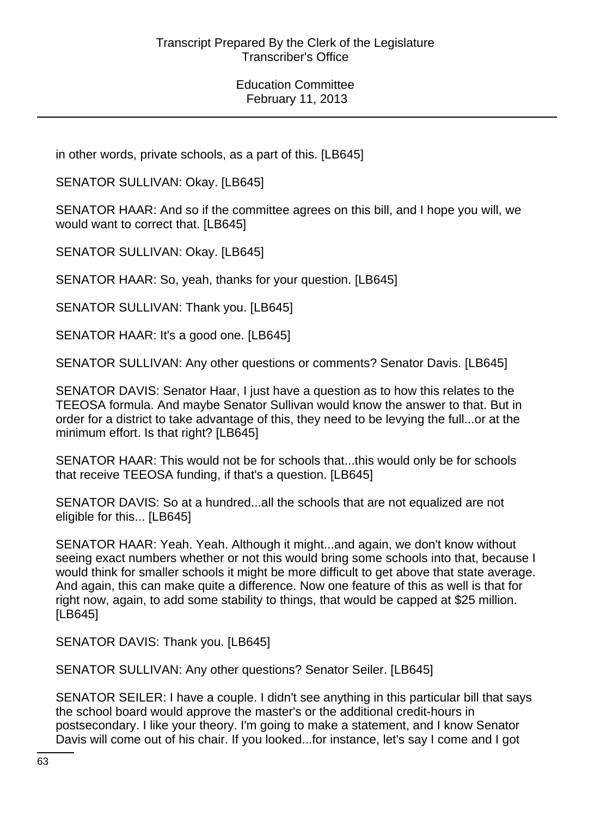in other words, private schools, as a part of this. [LB645]

SENATOR SULLIVAN: Okay. [LB645]

SENATOR HAAR: And so if the committee agrees on this bill, and I hope you will, we would want to correct that. [LB645]

SENATOR SULLIVAN: Okay. [LB645]

SENATOR HAAR: So, yeah, thanks for your question. [LB645]

SENATOR SULLIVAN: Thank you. [LB645]

SENATOR HAAR: It's a good one. [LB645]

SENATOR SULLIVAN: Any other questions or comments? Senator Davis. [LB645]

SENATOR DAVIS: Senator Haar, I just have a question as to how this relates to the TEEOSA formula. And maybe Senator Sullivan would know the answer to that. But in order for a district to take advantage of this, they need to be levying the full...or at the minimum effort. Is that right? [LB645]

SENATOR HAAR: This would not be for schools that...this would only be for schools that receive TEEOSA funding, if that's a question. [LB645]

SENATOR DAVIS: So at a hundred...all the schools that are not equalized are not eligible for this... [LB645]

SENATOR HAAR: Yeah. Yeah. Although it might...and again, we don't know without seeing exact numbers whether or not this would bring some schools into that, because I would think for smaller schools it might be more difficult to get above that state average. And again, this can make quite a difference. Now one feature of this as well is that for right now, again, to add some stability to things, that would be capped at \$25 million. [LB645]

SENATOR DAVIS: Thank you. [LB645]

SENATOR SULLIVAN: Any other questions? Senator Seiler. [LB645]

SENATOR SEILER: I have a couple. I didn't see anything in this particular bill that says the school board would approve the master's or the additional credit-hours in postsecondary. I like your theory. I'm going to make a statement, and I know Senator Davis will come out of his chair. If you looked...for instance, let's say I come and I got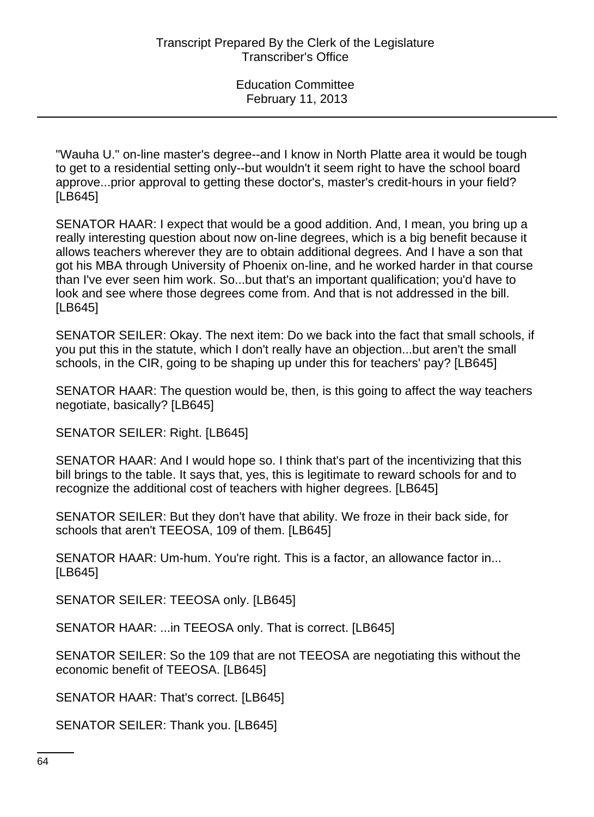"Wauha U." on-line master's degree--and I know in North Platte area it would be tough to get to a residential setting only--but wouldn't it seem right to have the school board approve...prior approval to getting these doctor's, master's credit-hours in your field? [LB645]

SENATOR HAAR: I expect that would be a good addition. And, I mean, you bring up a really interesting question about now on-line degrees, which is a big benefit because it allows teachers wherever they are to obtain additional degrees. And I have a son that got his MBA through University of Phoenix on-line, and he worked harder in that course than I've ever seen him work. So...but that's an important qualification; you'd have to look and see where those degrees come from. And that is not addressed in the bill. [LB645]

SENATOR SEILER: Okay. The next item: Do we back into the fact that small schools, if you put this in the statute, which I don't really have an objection...but aren't the small schools, in the CIR, going to be shaping up under this for teachers' pay? [LB645]

SENATOR HAAR: The question would be, then, is this going to affect the way teachers negotiate, basically? [LB645]

SENATOR SEILER: Right. [LB645]

SENATOR HAAR: And I would hope so. I think that's part of the incentivizing that this bill brings to the table. It says that, yes, this is legitimate to reward schools for and to recognize the additional cost of teachers with higher degrees. [LB645]

SENATOR SEILER: But they don't have that ability. We froze in their back side, for schools that aren't TEEOSA, 109 of them. [LB645]

SENATOR HAAR: Um-hum. You're right. This is a factor, an allowance factor in... [LB645]

SENATOR SEILER: TEEOSA only. [LB645]

SENATOR HAAR: ...in TEEOSA only. That is correct. [LB645]

SENATOR SEILER: So the 109 that are not TEEOSA are negotiating this without the economic benefit of TEEOSA. [LB645]

SENATOR HAAR: That's correct. [LB645]

SENATOR SEILER: Thank you. [LB645]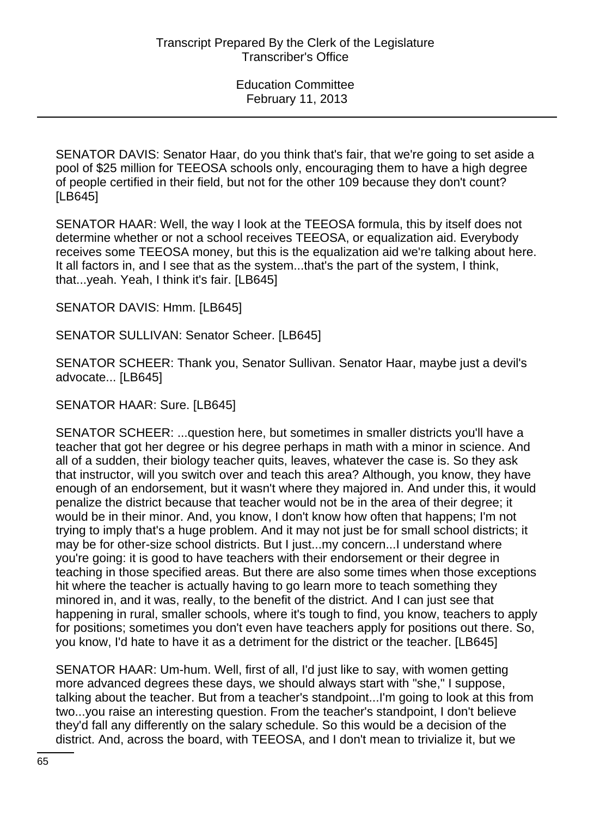SENATOR DAVIS: Senator Haar, do you think that's fair, that we're going to set aside a pool of \$25 million for TEEOSA schools only, encouraging them to have a high degree of people certified in their field, but not for the other 109 because they don't count? [LB645]

SENATOR HAAR: Well, the way I look at the TEEOSA formula, this by itself does not determine whether or not a school receives TEEOSA, or equalization aid. Everybody receives some TEEOSA money, but this is the equalization aid we're talking about here. It all factors in, and I see that as the system...that's the part of the system, I think, that...yeah. Yeah, I think it's fair. [LB645]

SENATOR DAVIS: Hmm. [LB645]

SENATOR SULLIVAN: Senator Scheer. [LB645]

SENATOR SCHEER: Thank you, Senator Sullivan. Senator Haar, maybe just a devil's advocate... [LB645]

SENATOR HAAR: Sure. [LB645]

SENATOR SCHEER: ...question here, but sometimes in smaller districts you'll have a teacher that got her degree or his degree perhaps in math with a minor in science. And all of a sudden, their biology teacher quits, leaves, whatever the case is. So they ask that instructor, will you switch over and teach this area? Although, you know, they have enough of an endorsement, but it wasn't where they majored in. And under this, it would penalize the district because that teacher would not be in the area of their degree; it would be in their minor. And, you know, I don't know how often that happens; I'm not trying to imply that's a huge problem. And it may not just be for small school districts; it may be for other-size school districts. But I just...my concern...I understand where you're going: it is good to have teachers with their endorsement or their degree in teaching in those specified areas. But there are also some times when those exceptions hit where the teacher is actually having to go learn more to teach something they minored in, and it was, really, to the benefit of the district. And I can just see that happening in rural, smaller schools, where it's tough to find, you know, teachers to apply for positions; sometimes you don't even have teachers apply for positions out there. So, you know, I'd hate to have it as a detriment for the district or the teacher. [LB645]

SENATOR HAAR: Um-hum. Well, first of all, I'd just like to say, with women getting more advanced degrees these days, we should always start with "she," I suppose, talking about the teacher. But from a teacher's standpoint...I'm going to look at this from two...you raise an interesting question. From the teacher's standpoint, I don't believe they'd fall any differently on the salary schedule. So this would be a decision of the district. And, across the board, with TEEOSA, and I don't mean to trivialize it, but we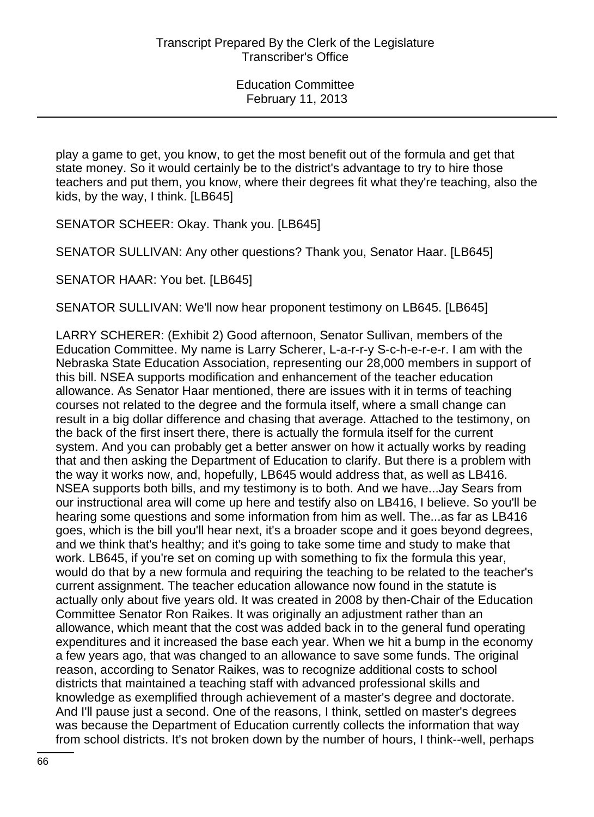play a game to get, you know, to get the most benefit out of the formula and get that state money. So it would certainly be to the district's advantage to try to hire those teachers and put them, you know, where their degrees fit what they're teaching, also the kids, by the way, I think. [LB645]

SENATOR SCHEER: Okay. Thank you. [LB645]

SENATOR SULLIVAN: Any other questions? Thank you, Senator Haar. [LB645]

SENATOR HAAR: You bet. [LB645]

SENATOR SULLIVAN: We'll now hear proponent testimony on LB645. [LB645]

LARRY SCHERER: (Exhibit 2) Good afternoon, Senator Sullivan, members of the Education Committee. My name is Larry Scherer, L-a-r-r-y S-c-h-e-r-e-r. I am with the Nebraska State Education Association, representing our 28,000 members in support of this bill. NSEA supports modification and enhancement of the teacher education allowance. As Senator Haar mentioned, there are issues with it in terms of teaching courses not related to the degree and the formula itself, where a small change can result in a big dollar difference and chasing that average. Attached to the testimony, on the back of the first insert there, there is actually the formula itself for the current system. And you can probably get a better answer on how it actually works by reading that and then asking the Department of Education to clarify. But there is a problem with the way it works now, and, hopefully, LB645 would address that, as well as LB416. NSEA supports both bills, and my testimony is to both. And we have...Jay Sears from our instructional area will come up here and testify also on LB416, I believe. So you'll be hearing some questions and some information from him as well. The...as far as LB416 goes, which is the bill you'll hear next, it's a broader scope and it goes beyond degrees, and we think that's healthy; and it's going to take some time and study to make that work. LB645, if you're set on coming up with something to fix the formula this year, would do that by a new formula and requiring the teaching to be related to the teacher's current assignment. The teacher education allowance now found in the statute is actually only about five years old. It was created in 2008 by then-Chair of the Education Committee Senator Ron Raikes. It was originally an adjustment rather than an allowance, which meant that the cost was added back in to the general fund operating expenditures and it increased the base each year. When we hit a bump in the economy a few years ago, that was changed to an allowance to save some funds. The original reason, according to Senator Raikes, was to recognize additional costs to school districts that maintained a teaching staff with advanced professional skills and knowledge as exemplified through achievement of a master's degree and doctorate. And I'll pause just a second. One of the reasons, I think, settled on master's degrees was because the Department of Education currently collects the information that way from school districts. It's not broken down by the number of hours, I think--well, perhaps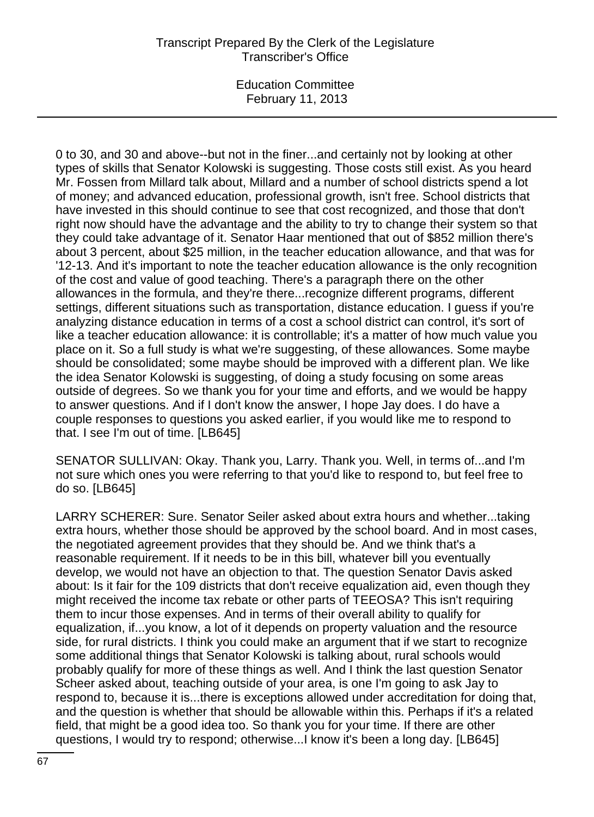Education Committee February 11, 2013

0 to 30, and 30 and above--but not in the finer...and certainly not by looking at other types of skills that Senator Kolowski is suggesting. Those costs still exist. As you heard Mr. Fossen from Millard talk about, Millard and a number of school districts spend a lot of money; and advanced education, professional growth, isn't free. School districts that have invested in this should continue to see that cost recognized, and those that don't right now should have the advantage and the ability to try to change their system so that they could take advantage of it. Senator Haar mentioned that out of \$852 million there's about 3 percent, about \$25 million, in the teacher education allowance, and that was for '12-13. And it's important to note the teacher education allowance is the only recognition of the cost and value of good teaching. There's a paragraph there on the other allowances in the formula, and they're there...recognize different programs, different settings, different situations such as transportation, distance education. I guess if you're analyzing distance education in terms of a cost a school district can control, it's sort of like a teacher education allowance: it is controllable; it's a matter of how much value you place on it. So a full study is what we're suggesting, of these allowances. Some maybe should be consolidated; some maybe should be improved with a different plan. We like the idea Senator Kolowski is suggesting, of doing a study focusing on some areas outside of degrees. So we thank you for your time and efforts, and we would be happy to answer questions. And if I don't know the answer, I hope Jay does. I do have a couple responses to questions you asked earlier, if you would like me to respond to that. I see I'm out of time. [LB645]

SENATOR SULLIVAN: Okay. Thank you, Larry. Thank you. Well, in terms of...and I'm not sure which ones you were referring to that you'd like to respond to, but feel free to do so. [LB645]

LARRY SCHERER: Sure. Senator Seiler asked about extra hours and whether...taking extra hours, whether those should be approved by the school board. And in most cases, the negotiated agreement provides that they should be. And we think that's a reasonable requirement. If it needs to be in this bill, whatever bill you eventually develop, we would not have an objection to that. The question Senator Davis asked about: Is it fair for the 109 districts that don't receive equalization aid, even though they might received the income tax rebate or other parts of TEEOSA? This isn't requiring them to incur those expenses. And in terms of their overall ability to qualify for equalization, if...you know, a lot of it depends on property valuation and the resource side, for rural districts. I think you could make an argument that if we start to recognize some additional things that Senator Kolowski is talking about, rural schools would probably qualify for more of these things as well. And I think the last question Senator Scheer asked about, teaching outside of your area, is one I'm going to ask Jay to respond to, because it is...there is exceptions allowed under accreditation for doing that, and the question is whether that should be allowable within this. Perhaps if it's a related field, that might be a good idea too. So thank you for your time. If there are other questions, I would try to respond; otherwise...I know it's been a long day. [LB645]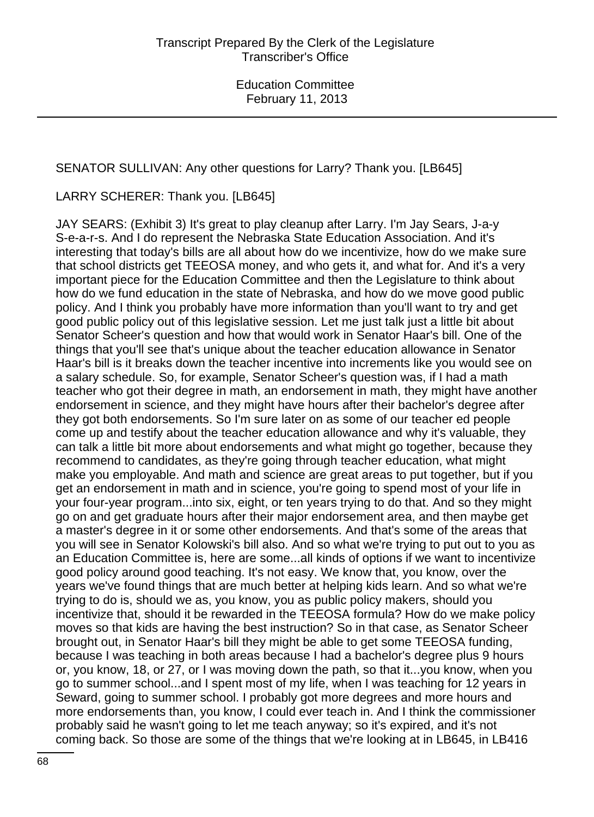### SENATOR SULLIVAN: Any other questions for Larry? Thank you. [LB645]

LARRY SCHERER: Thank you. [LB645]

JAY SEARS: (Exhibit 3) It's great to play cleanup after Larry. I'm Jay Sears, J-a-y S-e-a-r-s. And I do represent the Nebraska State Education Association. And it's interesting that today's bills are all about how do we incentivize, how do we make sure that school districts get TEEOSA money, and who gets it, and what for. And it's a very important piece for the Education Committee and then the Legislature to think about how do we fund education in the state of Nebraska, and how do we move good public policy. And I think you probably have more information than you'll want to try and get good public policy out of this legislative session. Let me just talk just a little bit about Senator Scheer's question and how that would work in Senator Haar's bill. One of the things that you'll see that's unique about the teacher education allowance in Senator Haar's bill is it breaks down the teacher incentive into increments like you would see on a salary schedule. So, for example, Senator Scheer's question was, if I had a math teacher who got their degree in math, an endorsement in math, they might have another endorsement in science, and they might have hours after their bachelor's degree after they got both endorsements. So I'm sure later on as some of our teacher ed people come up and testify about the teacher education allowance and why it's valuable, they can talk a little bit more about endorsements and what might go together, because they recommend to candidates, as they're going through teacher education, what might make you employable. And math and science are great areas to put together, but if you get an endorsement in math and in science, you're going to spend most of your life in your four-year program...into six, eight, or ten years trying to do that. And so they might go on and get graduate hours after their major endorsement area, and then maybe get a master's degree in it or some other endorsements. And that's some of the areas that you will see in Senator Kolowski's bill also. And so what we're trying to put out to you as an Education Committee is, here are some...all kinds of options if we want to incentivize good policy around good teaching. It's not easy. We know that, you know, over the years we've found things that are much better at helping kids learn. And so what we're trying to do is, should we as, you know, you as public policy makers, should you incentivize that, should it be rewarded in the TEEOSA formula? How do we make policy moves so that kids are having the best instruction? So in that case, as Senator Scheer brought out, in Senator Haar's bill they might be able to get some TEEOSA funding, because I was teaching in both areas because I had a bachelor's degree plus 9 hours or, you know, 18, or 27, or I was moving down the path, so that it...you know, when you go to summer school...and I spent most of my life, when I was teaching for 12 years in Seward, going to summer school. I probably got more degrees and more hours and more endorsements than, you know, I could ever teach in. And I think the commissioner probably said he wasn't going to let me teach anyway; so it's expired, and it's not coming back. So those are some of the things that we're looking at in LB645, in LB416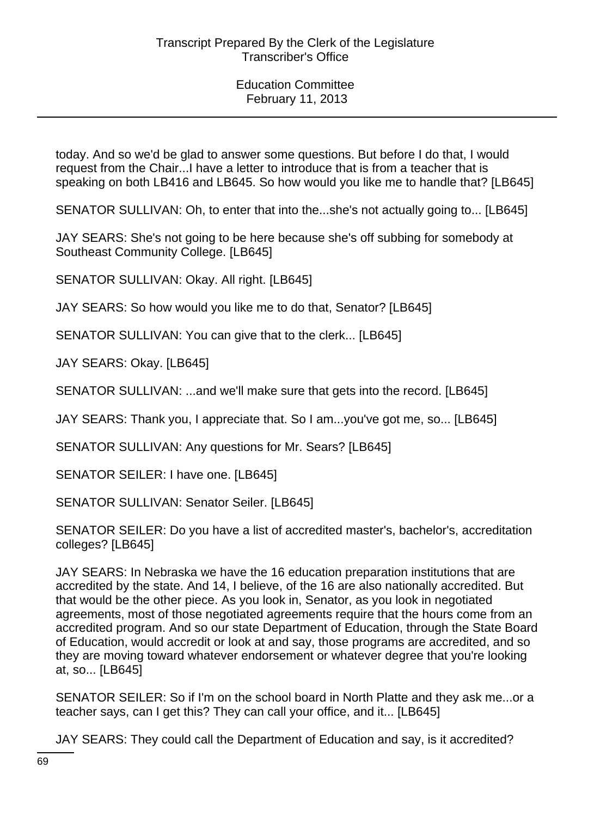today. And so we'd be glad to answer some questions. But before I do that, I would request from the Chair...I have a letter to introduce that is from a teacher that is speaking on both LB416 and LB645. So how would you like me to handle that? [LB645]

SENATOR SULLIVAN: Oh, to enter that into the...she's not actually going to... [LB645]

JAY SEARS: She's not going to be here because she's off subbing for somebody at Southeast Community College. [LB645]

SENATOR SULLIVAN: Okay. All right. [LB645]

JAY SEARS: So how would you like me to do that, Senator? [LB645]

SENATOR SULLIVAN: You can give that to the clerk... [LB645]

JAY SEARS: Okay. [LB645]

SENATOR SULLIVAN: ...and we'll make sure that gets into the record. [LB645]

JAY SEARS: Thank you, I appreciate that. So I am...you've got me, so... [LB645]

SENATOR SULLIVAN: Any questions for Mr. Sears? [LB645]

SENATOR SEILER: I have one. [LB645]

SENATOR SULLIVAN: Senator Seiler. [LB645]

SENATOR SEILER: Do you have a list of accredited master's, bachelor's, accreditation colleges? [LB645]

JAY SEARS: In Nebraska we have the 16 education preparation institutions that are accredited by the state. And 14, I believe, of the 16 are also nationally accredited. But that would be the other piece. As you look in, Senator, as you look in negotiated agreements, most of those negotiated agreements require that the hours come from an accredited program. And so our state Department of Education, through the State Board of Education, would accredit or look at and say, those programs are accredited, and so they are moving toward whatever endorsement or whatever degree that you're looking at, so... [LB645]

SENATOR SEILER: So if I'm on the school board in North Platte and they ask me...or a teacher says, can I get this? They can call your office, and it... [LB645]

JAY SEARS: They could call the Department of Education and say, is it accredited?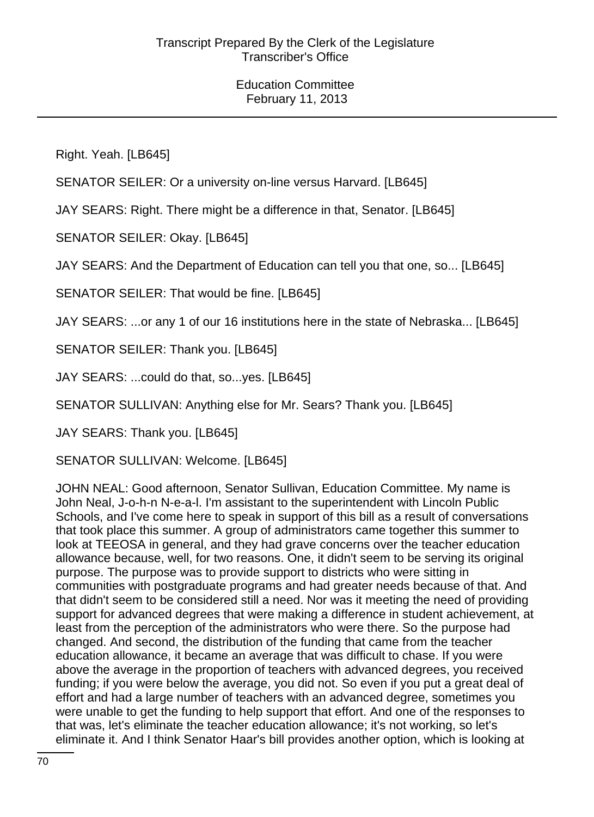Right. Yeah. [LB645]

SENATOR SEILER: Or a university on-line versus Harvard. [LB645]

JAY SEARS: Right. There might be a difference in that, Senator. [LB645]

SENATOR SEILER: Okay. [LB645]

JAY SEARS: And the Department of Education can tell you that one, so... [LB645]

SENATOR SEILER: That would be fine. [LB645]

JAY SEARS: ...or any 1 of our 16 institutions here in the state of Nebraska... [LB645]

SENATOR SEILER: Thank you. [LB645]

JAY SEARS: ...could do that, so...yes. [LB645]

SENATOR SULLIVAN: Anything else for Mr. Sears? Thank you. [LB645]

JAY SEARS: Thank you. [LB645]

SENATOR SULLIVAN: Welcome. [LB645]

JOHN NEAL: Good afternoon, Senator Sullivan, Education Committee. My name is John Neal, J-o-h-n N-e-a-l. I'm assistant to the superintendent with Lincoln Public Schools, and I've come here to speak in support of this bill as a result of conversations that took place this summer. A group of administrators came together this summer to look at TEEOSA in general, and they had grave concerns over the teacher education allowance because, well, for two reasons. One, it didn't seem to be serving its original purpose. The purpose was to provide support to districts who were sitting in communities with postgraduate programs and had greater needs because of that. And that didn't seem to be considered still a need. Nor was it meeting the need of providing support for advanced degrees that were making a difference in student achievement, at least from the perception of the administrators who were there. So the purpose had changed. And second, the distribution of the funding that came from the teacher education allowance, it became an average that was difficult to chase. If you were above the average in the proportion of teachers with advanced degrees, you received funding; if you were below the average, you did not. So even if you put a great deal of effort and had a large number of teachers with an advanced degree, sometimes you were unable to get the funding to help support that effort. And one of the responses to that was, let's eliminate the teacher education allowance; it's not working, so let's eliminate it. And I think Senator Haar's bill provides another option, which is looking at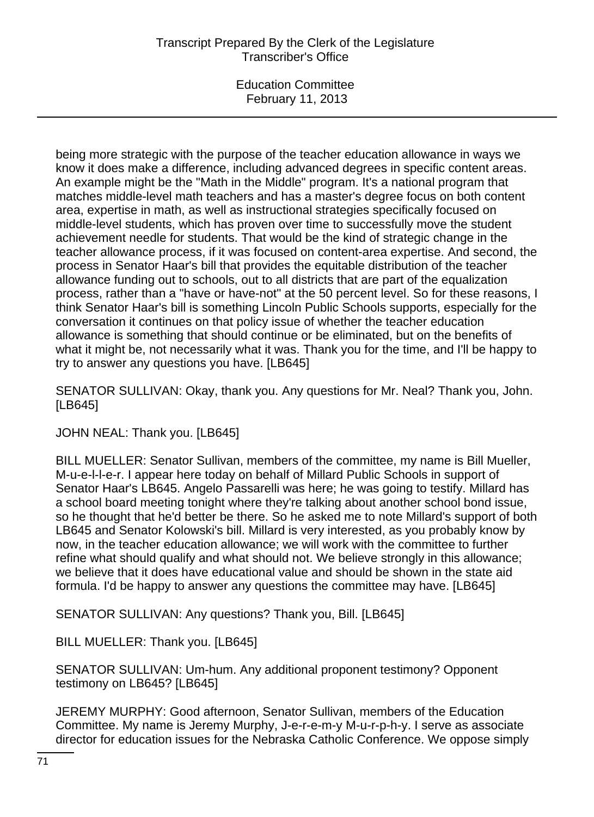Education Committee February 11, 2013

being more strategic with the purpose of the teacher education allowance in ways we know it does make a difference, including advanced degrees in specific content areas. An example might be the "Math in the Middle" program. It's a national program that matches middle-level math teachers and has a master's degree focus on both content area, expertise in math, as well as instructional strategies specifically focused on middle-level students, which has proven over time to successfully move the student achievement needle for students. That would be the kind of strategic change in the teacher allowance process, if it was focused on content-area expertise. And second, the process in Senator Haar's bill that provides the equitable distribution of the teacher allowance funding out to schools, out to all districts that are part of the equalization process, rather than a "have or have-not" at the 50 percent level. So for these reasons, I think Senator Haar's bill is something Lincoln Public Schools supports, especially for the conversation it continues on that policy issue of whether the teacher education allowance is something that should continue or be eliminated, but on the benefits of what it might be, not necessarily what it was. Thank you for the time, and I'll be happy to try to answer any questions you have. [LB645]

SENATOR SULLIVAN: Okay, thank you. Any questions for Mr. Neal? Thank you, John. [LB645]

JOHN NEAL: Thank you. [LB645]

BILL MUELLER: Senator Sullivan, members of the committee, my name is Bill Mueller, M-u-e-l-l-e-r. I appear here today on behalf of Millard Public Schools in support of Senator Haar's LB645. Angelo Passarelli was here; he was going to testify. Millard has a school board meeting tonight where they're talking about another school bond issue, so he thought that he'd better be there. So he asked me to note Millard's support of both LB645 and Senator Kolowski's bill. Millard is very interested, as you probably know by now, in the teacher education allowance; we will work with the committee to further refine what should qualify and what should not. We believe strongly in this allowance; we believe that it does have educational value and should be shown in the state aid formula. I'd be happy to answer any questions the committee may have. [LB645]

SENATOR SULLIVAN: Any questions? Thank you, Bill. [LB645]

BILL MUELLER: Thank you. [LB645]

SENATOR SULLIVAN: Um-hum. Any additional proponent testimony? Opponent testimony on LB645? [LB645]

JEREMY MURPHY: Good afternoon, Senator Sullivan, members of the Education Committee. My name is Jeremy Murphy, J-e-r-e-m-y M-u-r-p-h-y. I serve as associate director for education issues for the Nebraska Catholic Conference. We oppose simply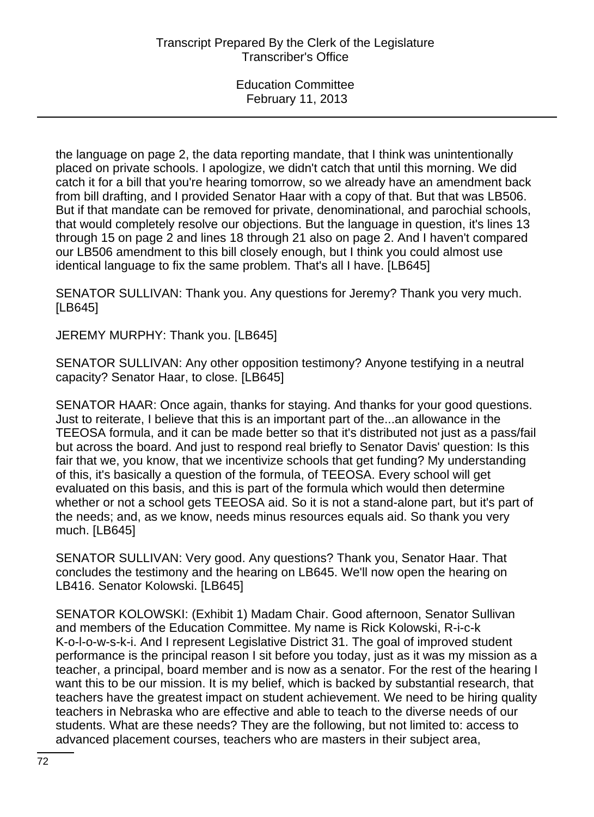the language on page 2, the data reporting mandate, that I think was unintentionally placed on private schools. I apologize, we didn't catch that until this morning. We did catch it for a bill that you're hearing tomorrow, so we already have an amendment back from bill drafting, and I provided Senator Haar with a copy of that. But that was LB506. But if that mandate can be removed for private, denominational, and parochial schools, that would completely resolve our objections. But the language in question, it's lines 13 through 15 on page 2 and lines 18 through 21 also on page 2. And I haven't compared our LB506 amendment to this bill closely enough, but I think you could almost use identical language to fix the same problem. That's all I have. [LB645]

SENATOR SULLIVAN: Thank you. Any questions for Jeremy? Thank you very much. [LB645]

JEREMY MURPHY: Thank you. [LB645]

SENATOR SULLIVAN: Any other opposition testimony? Anyone testifying in a neutral capacity? Senator Haar, to close. [LB645]

SENATOR HAAR: Once again, thanks for staying. And thanks for your good questions. Just to reiterate, I believe that this is an important part of the...an allowance in the TEEOSA formula, and it can be made better so that it's distributed not just as a pass/fail but across the board. And just to respond real briefly to Senator Davis' question: Is this fair that we, you know, that we incentivize schools that get funding? My understanding of this, it's basically a question of the formula, of TEEOSA. Every school will get evaluated on this basis, and this is part of the formula which would then determine whether or not a school gets TEEOSA aid. So it is not a stand-alone part, but it's part of the needs; and, as we know, needs minus resources equals aid. So thank you very much. [LB645]

SENATOR SULLIVAN: Very good. Any questions? Thank you, Senator Haar. That concludes the testimony and the hearing on LB645. We'll now open the hearing on LB416. Senator Kolowski. [LB645]

SENATOR KOLOWSKI: (Exhibit 1) Madam Chair. Good afternoon, Senator Sullivan and members of the Education Committee. My name is Rick Kolowski, R-i-c-k K-o-l-o-w-s-k-i. And I represent Legislative District 31. The goal of improved student performance is the principal reason I sit before you today, just as it was my mission as a teacher, a principal, board member and is now as a senator. For the rest of the hearing I want this to be our mission. It is my belief, which is backed by substantial research, that teachers have the greatest impact on student achievement. We need to be hiring quality teachers in Nebraska who are effective and able to teach to the diverse needs of our students. What are these needs? They are the following, but not limited to: access to advanced placement courses, teachers who are masters in their subject area,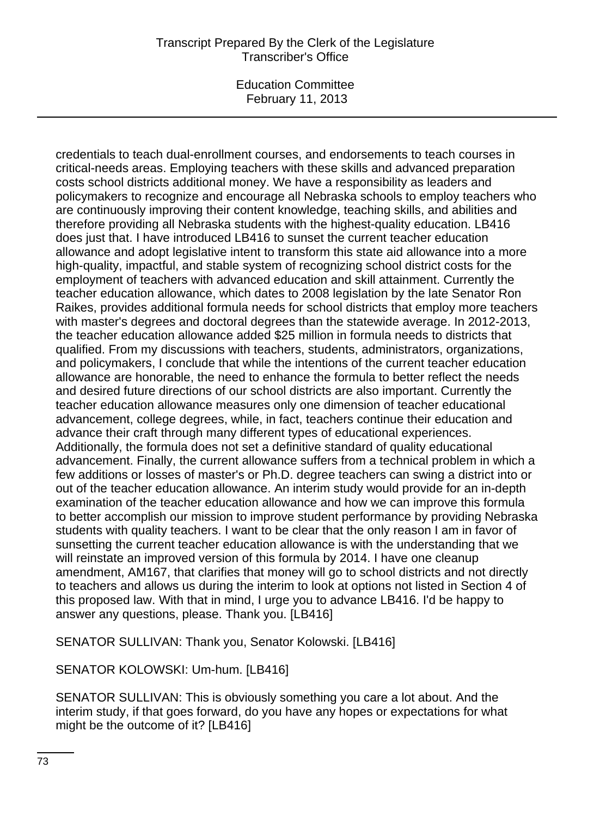Education Committee February 11, 2013

credentials to teach dual-enrollment courses, and endorsements to teach courses in critical-needs areas. Employing teachers with these skills and advanced preparation costs school districts additional money. We have a responsibility as leaders and policymakers to recognize and encourage all Nebraska schools to employ teachers who are continuously improving their content knowledge, teaching skills, and abilities and therefore providing all Nebraska students with the highest-quality education. LB416 does just that. I have introduced LB416 to sunset the current teacher education allowance and adopt legislative intent to transform this state aid allowance into a more high-quality, impactful, and stable system of recognizing school district costs for the employment of teachers with advanced education and skill attainment. Currently the teacher education allowance, which dates to 2008 legislation by the late Senator Ron Raikes, provides additional formula needs for school districts that employ more teachers with master's degrees and doctoral degrees than the statewide average. In 2012-2013, the teacher education allowance added \$25 million in formula needs to districts that qualified. From my discussions with teachers, students, administrators, organizations, and policymakers, I conclude that while the intentions of the current teacher education allowance are honorable, the need to enhance the formula to better reflect the needs and desired future directions of our school districts are also important. Currently the teacher education allowance measures only one dimension of teacher educational advancement, college degrees, while, in fact, teachers continue their education and advance their craft through many different types of educational experiences. Additionally, the formula does not set a definitive standard of quality educational advancement. Finally, the current allowance suffers from a technical problem in which a few additions or losses of master's or Ph.D. degree teachers can swing a district into or out of the teacher education allowance. An interim study would provide for an in-depth examination of the teacher education allowance and how we can improve this formula to better accomplish our mission to improve student performance by providing Nebraska students with quality teachers. I want to be clear that the only reason I am in favor of sunsetting the current teacher education allowance is with the understanding that we will reinstate an improved version of this formula by 2014. I have one cleanup amendment, AM167, that clarifies that money will go to school districts and not directly to teachers and allows us during the interim to look at options not listed in Section 4 of this proposed law. With that in mind, I urge you to advance LB416. I'd be happy to answer any questions, please. Thank you. [LB416]

SENATOR SULLIVAN: Thank you, Senator Kolowski. [LB416]

SENATOR KOLOWSKI: Um-hum. [LB416]

SENATOR SULLIVAN: This is obviously something you care a lot about. And the interim study, if that goes forward, do you have any hopes or expectations for what might be the outcome of it? [LB416]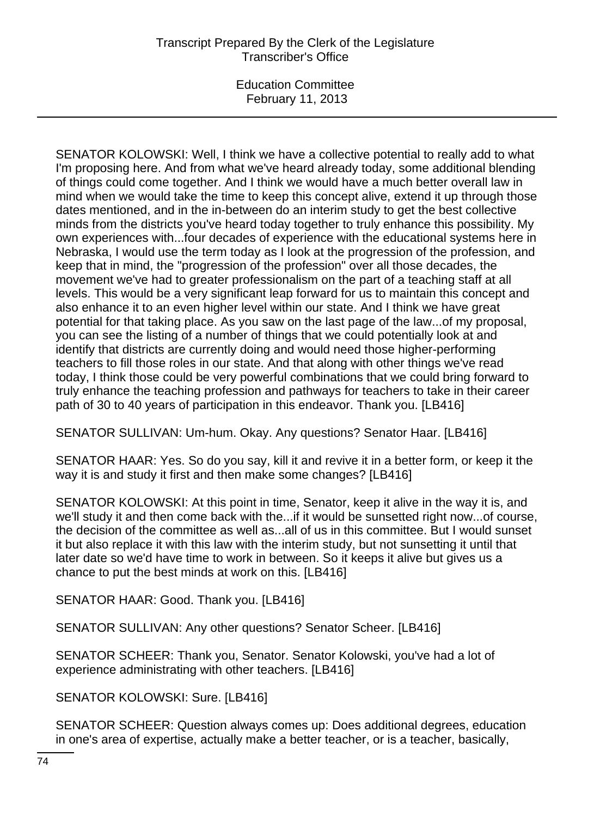SENATOR KOLOWSKI: Well, I think we have a collective potential to really add to what I'm proposing here. And from what we've heard already today, some additional blending of things could come together. And I think we would have a much better overall law in mind when we would take the time to keep this concept alive, extend it up through those dates mentioned, and in the in-between do an interim study to get the best collective minds from the districts you've heard today together to truly enhance this possibility. My own experiences with...four decades of experience with the educational systems here in Nebraska, I would use the term today as I look at the progression of the profession, and keep that in mind, the "progression of the profession" over all those decades, the movement we've had to greater professionalism on the part of a teaching staff at all levels. This would be a very significant leap forward for us to maintain this concept and also enhance it to an even higher level within our state. And I think we have great potential for that taking place. As you saw on the last page of the law...of my proposal, you can see the listing of a number of things that we could potentially look at and identify that districts are currently doing and would need those higher-performing teachers to fill those roles in our state. And that along with other things we've read today, I think those could be very powerful combinations that we could bring forward to truly enhance the teaching profession and pathways for teachers to take in their career path of 30 to 40 years of participation in this endeavor. Thank you. [LB416]

SENATOR SULLIVAN: Um-hum. Okay. Any questions? Senator Haar. [LB416]

SENATOR HAAR: Yes. So do you say, kill it and revive it in a better form, or keep it the way it is and study it first and then make some changes? [LB416]

SENATOR KOLOWSKI: At this point in time, Senator, keep it alive in the way it is, and we'll study it and then come back with the...if it would be sunsetted right now...of course, the decision of the committee as well as...all of us in this committee. But I would sunset it but also replace it with this law with the interim study, but not sunsetting it until that later date so we'd have time to work in between. So it keeps it alive but gives us a chance to put the best minds at work on this. [LB416]

SENATOR HAAR: Good. Thank you. [LB416]

SENATOR SULLIVAN: Any other questions? Senator Scheer. [LB416]

SENATOR SCHEER: Thank you, Senator. Senator Kolowski, you've had a lot of experience administrating with other teachers. [LB416]

SENATOR KOLOWSKI: Sure. [LB416]

SENATOR SCHEER: Question always comes up: Does additional degrees, education in one's area of expertise, actually make a better teacher, or is a teacher, basically,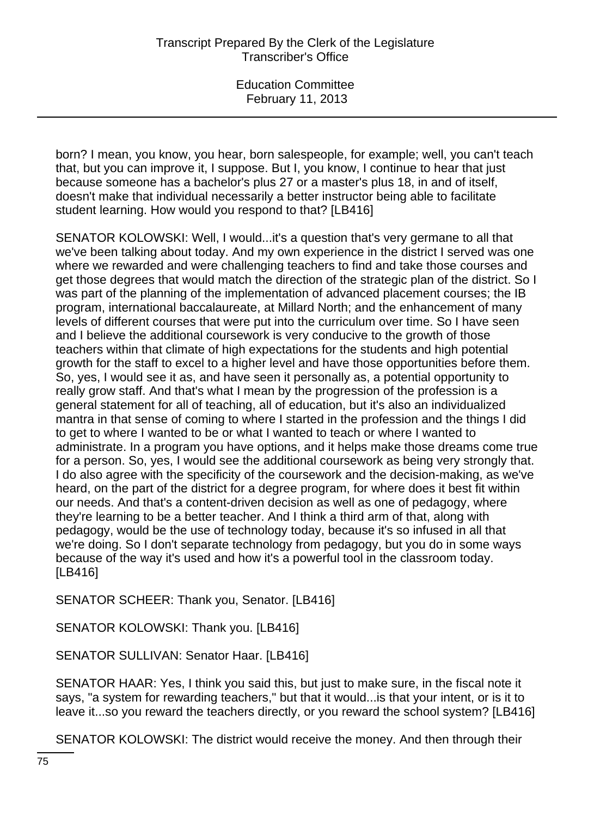born? I mean, you know, you hear, born salespeople, for example; well, you can't teach that, but you can improve it, I suppose. But I, you know, I continue to hear that just because someone has a bachelor's plus 27 or a master's plus 18, in and of itself, doesn't make that individual necessarily a better instructor being able to facilitate student learning. How would you respond to that? [LB416]

SENATOR KOLOWSKI: Well, I would...it's a question that's very germane to all that we've been talking about today. And my own experience in the district I served was one where we rewarded and were challenging teachers to find and take those courses and get those degrees that would match the direction of the strategic plan of the district. So I was part of the planning of the implementation of advanced placement courses; the IB program, international baccalaureate, at Millard North; and the enhancement of many levels of different courses that were put into the curriculum over time. So I have seen and I believe the additional coursework is very conducive to the growth of those teachers within that climate of high expectations for the students and high potential growth for the staff to excel to a higher level and have those opportunities before them. So, yes, I would see it as, and have seen it personally as, a potential opportunity to really grow staff. And that's what I mean by the progression of the profession is a general statement for all of teaching, all of education, but it's also an individualized mantra in that sense of coming to where I started in the profession and the things I did to get to where I wanted to be or what I wanted to teach or where I wanted to administrate. In a program you have options, and it helps make those dreams come true for a person. So, yes, I would see the additional coursework as being very strongly that. I do also agree with the specificity of the coursework and the decision-making, as we've heard, on the part of the district for a degree program, for where does it best fit within our needs. And that's a content-driven decision as well as one of pedagogy, where they're learning to be a better teacher. And I think a third arm of that, along with pedagogy, would be the use of technology today, because it's so infused in all that we're doing. So I don't separate technology from pedagogy, but you do in some ways because of the way it's used and how it's a powerful tool in the classroom today. [LB416]

SENATOR SCHEER: Thank you, Senator. [LB416]

SENATOR KOLOWSKI: Thank you. [LB416]

SENATOR SULLIVAN: Senator Haar. [LB416]

SENATOR HAAR: Yes, I think you said this, but just to make sure, in the fiscal note it says, "a system for rewarding teachers," but that it would...is that your intent, or is it to leave it...so you reward the teachers directly, or you reward the school system? [LB416]

SENATOR KOLOWSKI: The district would receive the money. And then through their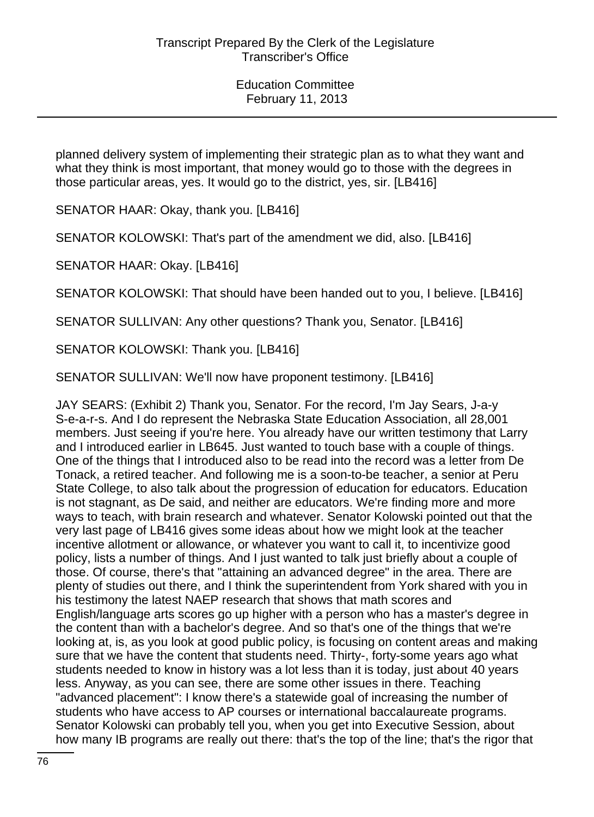planned delivery system of implementing their strategic plan as to what they want and what they think is most important, that money would go to those with the degrees in those particular areas, yes. It would go to the district, yes, sir. [LB416]

SENATOR HAAR: Okay, thank you. [LB416]

SENATOR KOLOWSKI: That's part of the amendment we did, also. [LB416]

SENATOR HAAR: Okay. [LB416]

SENATOR KOLOWSKI: That should have been handed out to you, I believe. [LB416]

SENATOR SULLIVAN: Any other questions? Thank you, Senator. [LB416]

SENATOR KOLOWSKI: Thank you. [LB416]

SENATOR SULLIVAN: We'll now have proponent testimony. [LB416]

JAY SEARS: (Exhibit 2) Thank you, Senator. For the record, I'm Jay Sears, J-a-y S-e-a-r-s. And I do represent the Nebraska State Education Association, all 28,001 members. Just seeing if you're here. You already have our written testimony that Larry and I introduced earlier in LB645. Just wanted to touch base with a couple of things. One of the things that I introduced also to be read into the record was a letter from De Tonack, a retired teacher. And following me is a soon-to-be teacher, a senior at Peru State College, to also talk about the progression of education for educators. Education is not stagnant, as De said, and neither are educators. We're finding more and more ways to teach, with brain research and whatever. Senator Kolowski pointed out that the very last page of LB416 gives some ideas about how we might look at the teacher incentive allotment or allowance, or whatever you want to call it, to incentivize good policy, lists a number of things. And I just wanted to talk just briefly about a couple of those. Of course, there's that "attaining an advanced degree" in the area. There are plenty of studies out there, and I think the superintendent from York shared with you in his testimony the latest NAEP research that shows that math scores and English/language arts scores go up higher with a person who has a master's degree in the content than with a bachelor's degree. And so that's one of the things that we're looking at, is, as you look at good public policy, is focusing on content areas and making sure that we have the content that students need. Thirty-, forty-some years ago what students needed to know in history was a lot less than it is today, just about 40 years less. Anyway, as you can see, there are some other issues in there. Teaching "advanced placement": I know there's a statewide goal of increasing the number of students who have access to AP courses or international baccalaureate programs. Senator Kolowski can probably tell you, when you get into Executive Session, about how many IB programs are really out there: that's the top of the line; that's the rigor that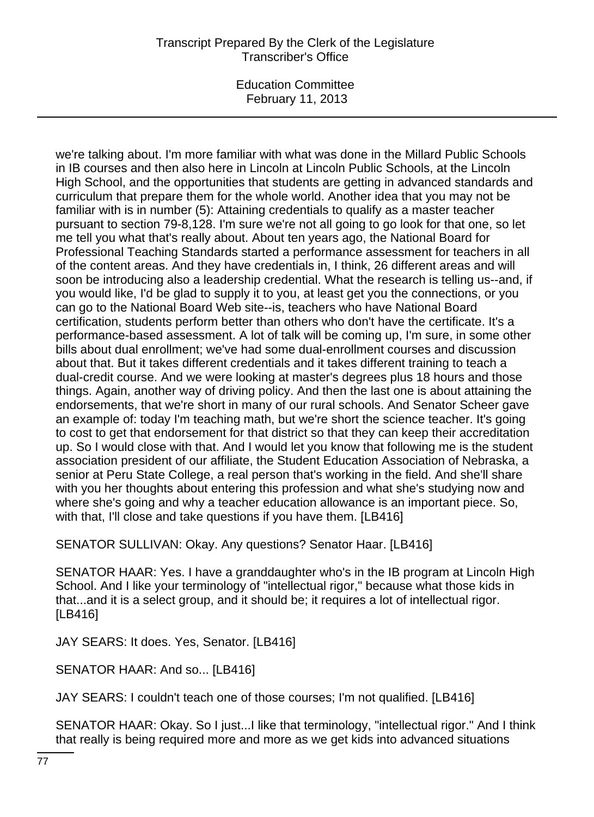Education Committee February 11, 2013

we're talking about. I'm more familiar with what was done in the Millard Public Schools in IB courses and then also here in Lincoln at Lincoln Public Schools, at the Lincoln High School, and the opportunities that students are getting in advanced standards and curriculum that prepare them for the whole world. Another idea that you may not be familiar with is in number (5): Attaining credentials to qualify as a master teacher pursuant to section 79-8,128. I'm sure we're not all going to go look for that one, so let me tell you what that's really about. About ten years ago, the National Board for Professional Teaching Standards started a performance assessment for teachers in all of the content areas. And they have credentials in, I think, 26 different areas and will soon be introducing also a leadership credential. What the research is telling us--and, if you would like, I'd be glad to supply it to you, at least get you the connections, or you can go to the National Board Web site--is, teachers who have National Board certification, students perform better than others who don't have the certificate. It's a performance-based assessment. A lot of talk will be coming up, I'm sure, in some other bills about dual enrollment; we've had some dual-enrollment courses and discussion about that. But it takes different credentials and it takes different training to teach a dual-credit course. And we were looking at master's degrees plus 18 hours and those things. Again, another way of driving policy. And then the last one is about attaining the endorsements, that we're short in many of our rural schools. And Senator Scheer gave an example of: today I'm teaching math, but we're short the science teacher. It's going to cost to get that endorsement for that district so that they can keep their accreditation up. So I would close with that. And I would let you know that following me is the student association president of our affiliate, the Student Education Association of Nebraska, a senior at Peru State College, a real person that's working in the field. And she'll share with you her thoughts about entering this profession and what she's studying now and where she's going and why a teacher education allowance is an important piece. So, with that, I'll close and take questions if you have them. [LB416]

SENATOR SULLIVAN: Okay. Any questions? Senator Haar. [LB416]

SENATOR HAAR: Yes. I have a granddaughter who's in the IB program at Lincoln High School. And I like your terminology of "intellectual rigor," because what those kids in that...and it is a select group, and it should be; it requires a lot of intellectual rigor. [LB416]

JAY SEARS: It does. Yes, Senator. [LB416]

SENATOR HAAR: And so... [LB416]

JAY SEARS: I couldn't teach one of those courses; I'm not qualified. [LB416]

SENATOR HAAR: Okay. So I just...I like that terminology, "intellectual rigor." And I think that really is being required more and more as we get kids into advanced situations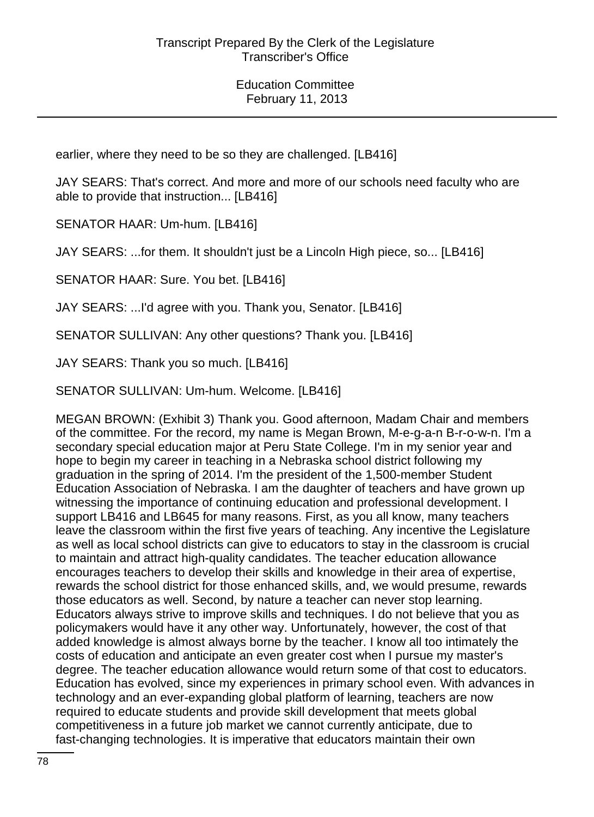earlier, where they need to be so they are challenged. [LB416]

JAY SEARS: That's correct. And more and more of our schools need faculty who are able to provide that instruction... [LB416]

SENATOR HAAR: Um-hum. [LB416]

JAY SEARS: ...for them. It shouldn't just be a Lincoln High piece, so... [LB416]

SENATOR HAAR: Sure. You bet. [LB416]

JAY SEARS: ...I'd agree with you. Thank you, Senator. [LB416]

SENATOR SULLIVAN: Any other questions? Thank you. [LB416]

JAY SEARS: Thank you so much. [LB416]

SENATOR SULLIVAN: Um-hum. Welcome. [LB416]

MEGAN BROWN: (Exhibit 3) Thank you. Good afternoon, Madam Chair and members of the committee. For the record, my name is Megan Brown, M-e-g-a-n B-r-o-w-n. I'm a secondary special education major at Peru State College. I'm in my senior year and hope to begin my career in teaching in a Nebraska school district following my graduation in the spring of 2014. I'm the president of the 1,500-member Student Education Association of Nebraska. I am the daughter of teachers and have grown up witnessing the importance of continuing education and professional development. I support LB416 and LB645 for many reasons. First, as you all know, many teachers leave the classroom within the first five years of teaching. Any incentive the Legislature as well as local school districts can give to educators to stay in the classroom is crucial to maintain and attract high-quality candidates. The teacher education allowance encourages teachers to develop their skills and knowledge in their area of expertise, rewards the school district for those enhanced skills, and, we would presume, rewards those educators as well. Second, by nature a teacher can never stop learning. Educators always strive to improve skills and techniques. I do not believe that you as policymakers would have it any other way. Unfortunately, however, the cost of that added knowledge is almost always borne by the teacher. I know all too intimately the costs of education and anticipate an even greater cost when I pursue my master's degree. The teacher education allowance would return some of that cost to educators. Education has evolved, since my experiences in primary school even. With advances in technology and an ever-expanding global platform of learning, teachers are now required to educate students and provide skill development that meets global competitiveness in a future job market we cannot currently anticipate, due to fast-changing technologies. It is imperative that educators maintain their own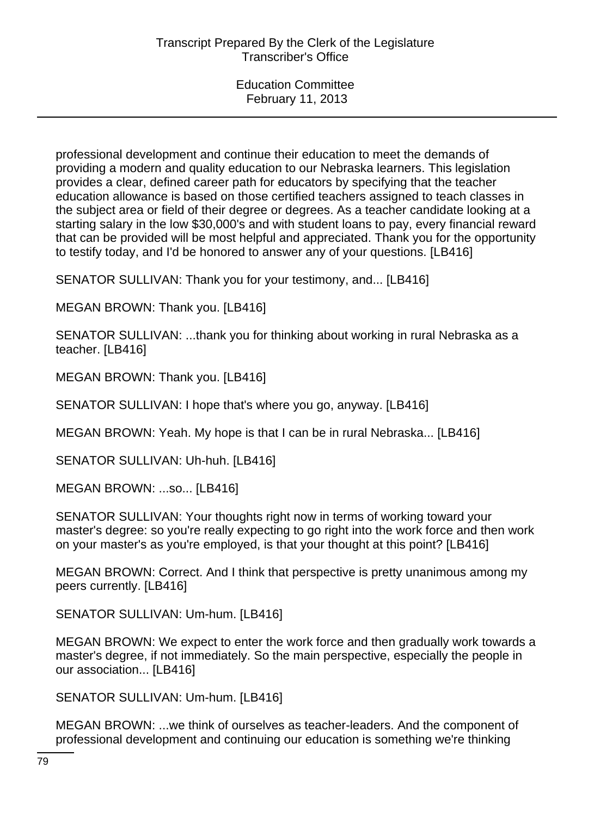professional development and continue their education to meet the demands of providing a modern and quality education to our Nebraska learners. This legislation provides a clear, defined career path for educators by specifying that the teacher education allowance is based on those certified teachers assigned to teach classes in the subject area or field of their degree or degrees. As a teacher candidate looking at a starting salary in the low \$30,000's and with student loans to pay, every financial reward that can be provided will be most helpful and appreciated. Thank you for the opportunity to testify today, and I'd be honored to answer any of your questions. [LB416]

SENATOR SULLIVAN: Thank you for your testimony, and... [LB416]

MEGAN BROWN: Thank you. [LB416]

SENATOR SULLIVAN: ...thank you for thinking about working in rural Nebraska as a teacher. [LB416]

MEGAN BROWN: Thank you. [LB416]

SENATOR SULLIVAN: I hope that's where you go, anyway. [LB416]

MEGAN BROWN: Yeah. My hope is that I can be in rural Nebraska... [LB416]

SENATOR SULLIVAN: Uh-huh. [LB416]

MEGAN BROWN: ...so... [LB416]

SENATOR SULLIVAN: Your thoughts right now in terms of working toward your master's degree: so you're really expecting to go right into the work force and then work on your master's as you're employed, is that your thought at this point? [LB416]

MEGAN BROWN: Correct. And I think that perspective is pretty unanimous among my peers currently. [LB416]

SENATOR SULLIVAN: Um-hum. [LB416]

MEGAN BROWN: We expect to enter the work force and then gradually work towards a master's degree, if not immediately. So the main perspective, especially the people in our association... [LB416]

SENATOR SULLIVAN: Um-hum. [LB416]

MEGAN BROWN: ...we think of ourselves as teacher-leaders. And the component of professional development and continuing our education is something we're thinking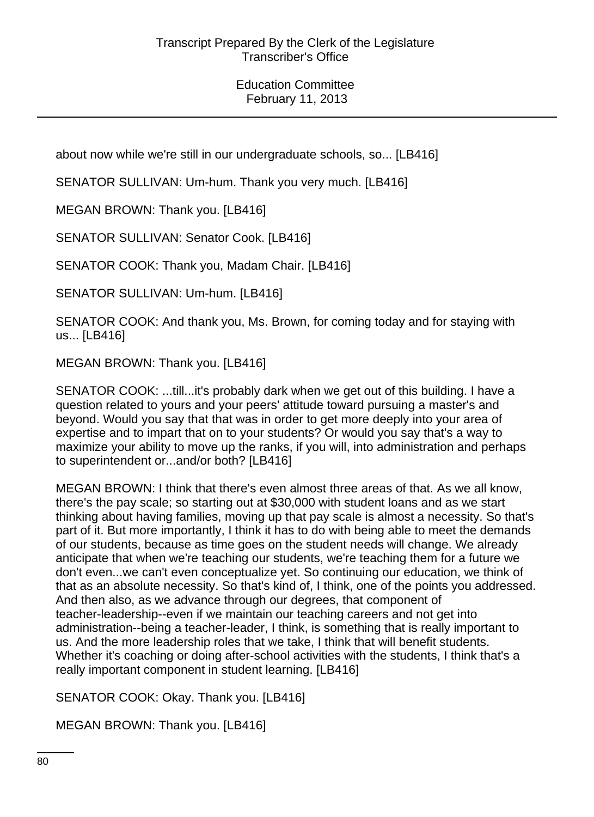about now while we're still in our undergraduate schools, so... [LB416]

SENATOR SULLIVAN: Um-hum. Thank you very much. [LB416]

MEGAN BROWN: Thank you. [LB416]

SENATOR SULLIVAN: Senator Cook. [LB416]

SENATOR COOK: Thank you, Madam Chair. [LB416]

SENATOR SULLIVAN: Um-hum. [LB416]

SENATOR COOK: And thank you, Ms. Brown, for coming today and for staying with us... [LB416]

MEGAN BROWN: Thank you. [LB416]

SENATOR COOK: ...till...it's probably dark when we get out of this building. I have a question related to yours and your peers' attitude toward pursuing a master's and beyond. Would you say that that was in order to get more deeply into your area of expertise and to impart that on to your students? Or would you say that's a way to maximize your ability to move up the ranks, if you will, into administration and perhaps to superintendent or...and/or both? [LB416]

MEGAN BROWN: I think that there's even almost three areas of that. As we all know, there's the pay scale; so starting out at \$30,000 with student loans and as we start thinking about having families, moving up that pay scale is almost a necessity. So that's part of it. But more importantly, I think it has to do with being able to meet the demands of our students, because as time goes on the student needs will change. We already anticipate that when we're teaching our students, we're teaching them for a future we don't even...we can't even conceptualize yet. So continuing our education, we think of that as an absolute necessity. So that's kind of, I think, one of the points you addressed. And then also, as we advance through our degrees, that component of teacher-leadership--even if we maintain our teaching careers and not get into administration--being a teacher-leader, I think, is something that is really important to us. And the more leadership roles that we take, I think that will benefit students. Whether it's coaching or doing after-school activities with the students, I think that's a really important component in student learning. [LB416]

SENATOR COOK: Okay. Thank you. [LB416]

MEGAN BROWN: Thank you. [LB416]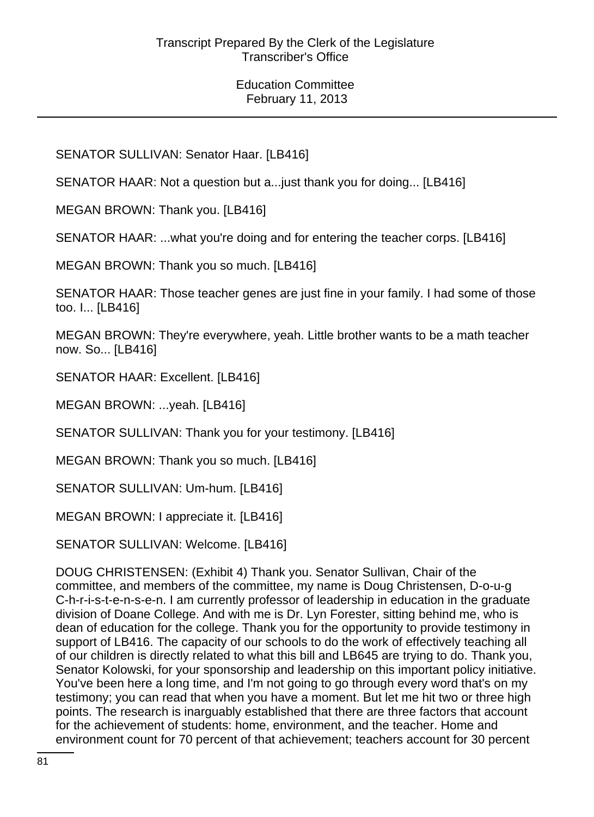SENATOR SULLIVAN: Senator Haar. [LB416]

SENATOR HAAR: Not a question but a...just thank you for doing... [LB416]

MEGAN BROWN: Thank you. [LB416]

SENATOR HAAR: ...what you're doing and for entering the teacher corps. [LB416]

MEGAN BROWN: Thank you so much. [LB416]

SENATOR HAAR: Those teacher genes are just fine in your family. I had some of those too. I... [LB416]

MEGAN BROWN: They're everywhere, yeah. Little brother wants to be a math teacher now. So... [LB416]

SENATOR HAAR: Excellent. [LB416]

MEGAN BROWN: ...yeah. [LB416]

SENATOR SULLIVAN: Thank you for your testimony. [LB416]

MEGAN BROWN: Thank you so much. [LB416]

SENATOR SULLIVAN: Um-hum. [LB416]

MEGAN BROWN: I appreciate it. [LB416]

SENATOR SULLIVAN: Welcome. [LB416]

DOUG CHRISTENSEN: (Exhibit 4) Thank you. Senator Sullivan, Chair of the committee, and members of the committee, my name is Doug Christensen, D-o-u-g C-h-r-i-s-t-e-n-s-e-n. I am currently professor of leadership in education in the graduate division of Doane College. And with me is Dr. Lyn Forester, sitting behind me, who is dean of education for the college. Thank you for the opportunity to provide testimony in support of LB416. The capacity of our schools to do the work of effectively teaching all of our children is directly related to what this bill and LB645 are trying to do. Thank you, Senator Kolowski, for your sponsorship and leadership on this important policy initiative. You've been here a long time, and I'm not going to go through every word that's on my testimony; you can read that when you have a moment. But let me hit two or three high points. The research is inarguably established that there are three factors that account for the achievement of students: home, environment, and the teacher. Home and environment count for 70 percent of that achievement; teachers account for 30 percent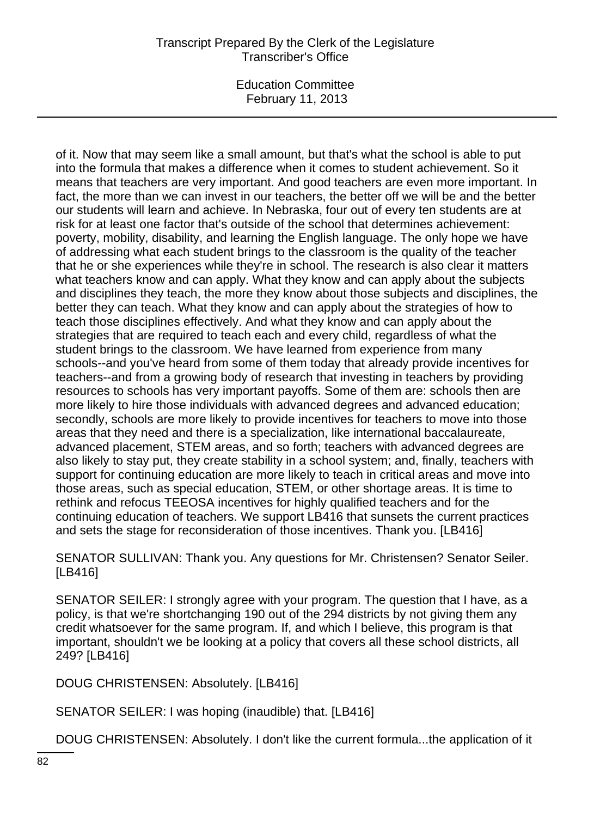Education Committee February 11, 2013

of it. Now that may seem like a small amount, but that's what the school is able to put into the formula that makes a difference when it comes to student achievement. So it means that teachers are very important. And good teachers are even more important. In fact, the more than we can invest in our teachers, the better off we will be and the better our students will learn and achieve. In Nebraska, four out of every ten students are at risk for at least one factor that's outside of the school that determines achievement: poverty, mobility, disability, and learning the English language. The only hope we have of addressing what each student brings to the classroom is the quality of the teacher that he or she experiences while they're in school. The research is also clear it matters what teachers know and can apply. What they know and can apply about the subjects and disciplines they teach, the more they know about those subjects and disciplines, the better they can teach. What they know and can apply about the strategies of how to teach those disciplines effectively. And what they know and can apply about the strategies that are required to teach each and every child, regardless of what the student brings to the classroom. We have learned from experience from many schools--and you've heard from some of them today that already provide incentives for teachers--and from a growing body of research that investing in teachers by providing resources to schools has very important payoffs. Some of them are: schools then are more likely to hire those individuals with advanced degrees and advanced education; secondly, schools are more likely to provide incentives for teachers to move into those areas that they need and there is a specialization, like international baccalaureate, advanced placement, STEM areas, and so forth; teachers with advanced degrees are also likely to stay put, they create stability in a school system; and, finally, teachers with support for continuing education are more likely to teach in critical areas and move into those areas, such as special education, STEM, or other shortage areas. It is time to rethink and refocus TEEOSA incentives for highly qualified teachers and for the continuing education of teachers. We support LB416 that sunsets the current practices and sets the stage for reconsideration of those incentives. Thank you. [LB416]

SENATOR SULLIVAN: Thank you. Any questions for Mr. Christensen? Senator Seiler. [LB416]

SENATOR SEILER: I strongly agree with your program. The question that I have, as a policy, is that we're shortchanging 190 out of the 294 districts by not giving them any credit whatsoever for the same program. If, and which I believe, this program is that important, shouldn't we be looking at a policy that covers all these school districts, all 249? [LB416]

DOUG CHRISTENSEN: Absolutely. [LB416]

SENATOR SEILER: I was hoping (inaudible) that. [LB416]

DOUG CHRISTENSEN: Absolutely. I don't like the current formula...the application of it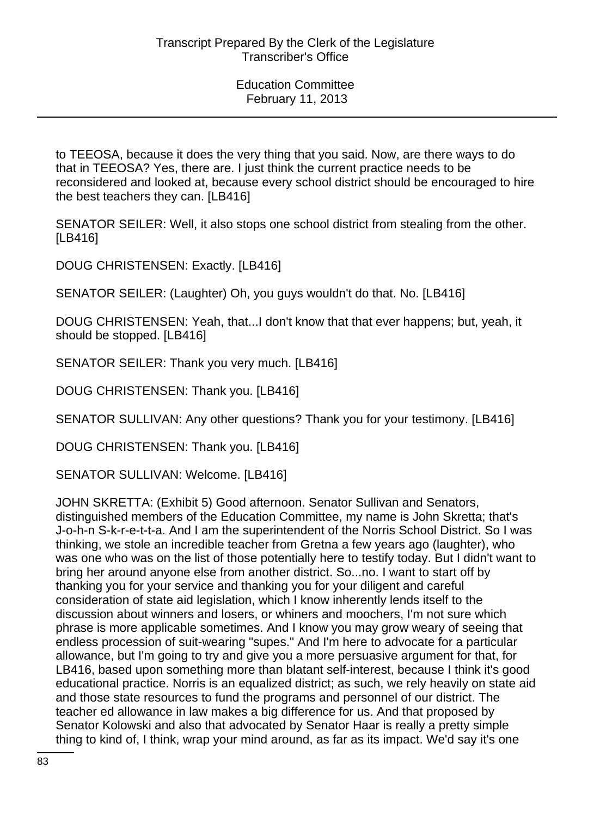to TEEOSA, because it does the very thing that you said. Now, are there ways to do that in TEEOSA? Yes, there are. I just think the current practice needs to be reconsidered and looked at, because every school district should be encouraged to hire the best teachers they can. [LB416]

SENATOR SEILER: Well, it also stops one school district from stealing from the other. [LB416]

DOUG CHRISTENSEN: Exactly. [LB416]

SENATOR SEILER: (Laughter) Oh, you guys wouldn't do that. No. [LB416]

DOUG CHRISTENSEN: Yeah, that...I don't know that that ever happens; but, yeah, it should be stopped. [LB416]

SENATOR SEILER: Thank you very much. [LB416]

DOUG CHRISTENSEN: Thank you. [LB416]

SENATOR SULLIVAN: Any other questions? Thank you for your testimony. [LB416]

DOUG CHRISTENSEN: Thank you. [LB416]

SENATOR SULLIVAN: Welcome. [LB416]

JOHN SKRETTA: (Exhibit 5) Good afternoon. Senator Sullivan and Senators, distinguished members of the Education Committee, my name is John Skretta; that's J-o-h-n S-k-r-e-t-t-a. And I am the superintendent of the Norris School District. So I was thinking, we stole an incredible teacher from Gretna a few years ago (laughter), who was one who was on the list of those potentially here to testify today. But I didn't want to bring her around anyone else from another district. So...no. I want to start off by thanking you for your service and thanking you for your diligent and careful consideration of state aid legislation, which I know inherently lends itself to the discussion about winners and losers, or whiners and moochers, I'm not sure which phrase is more applicable sometimes. And I know you may grow weary of seeing that endless procession of suit-wearing "supes." And I'm here to advocate for a particular allowance, but I'm going to try and give you a more persuasive argument for that, for LB416, based upon something more than blatant self-interest, because I think it's good educational practice. Norris is an equalized district; as such, we rely heavily on state aid and those state resources to fund the programs and personnel of our district. The teacher ed allowance in law makes a big difference for us. And that proposed by Senator Kolowski and also that advocated by Senator Haar is really a pretty simple thing to kind of, I think, wrap your mind around, as far as its impact. We'd say it's one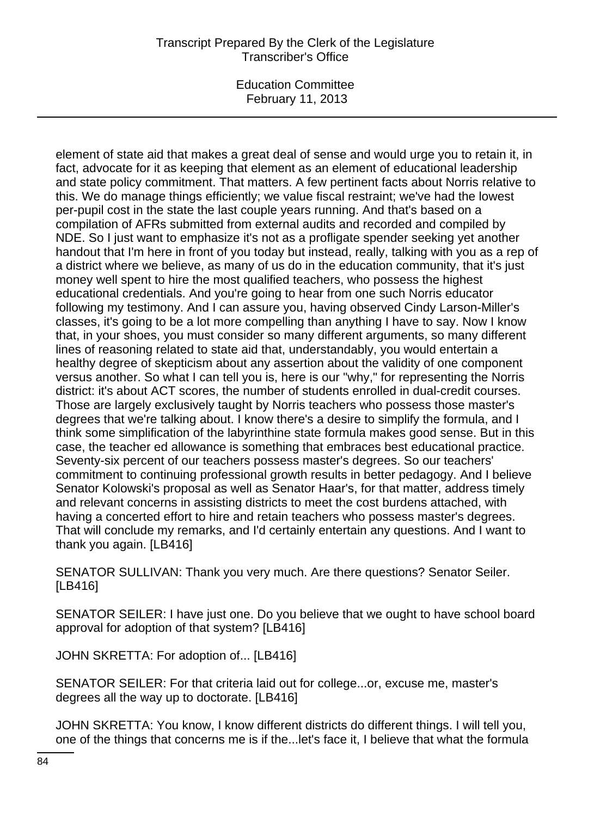Education Committee February 11, 2013

element of state aid that makes a great deal of sense and would urge you to retain it, in fact, advocate for it as keeping that element as an element of educational leadership and state policy commitment. That matters. A few pertinent facts about Norris relative to this. We do manage things efficiently; we value fiscal restraint; we've had the lowest per-pupil cost in the state the last couple years running. And that's based on a compilation of AFRs submitted from external audits and recorded and compiled by NDE. So I just want to emphasize it's not as a profligate spender seeking yet another handout that I'm here in front of you today but instead, really, talking with you as a rep of a district where we believe, as many of us do in the education community, that it's just money well spent to hire the most qualified teachers, who possess the highest educational credentials. And you're going to hear from one such Norris educator following my testimony. And I can assure you, having observed Cindy Larson-Miller's classes, it's going to be a lot more compelling than anything I have to say. Now I know that, in your shoes, you must consider so many different arguments, so many different lines of reasoning related to state aid that, understandably, you would entertain a healthy degree of skepticism about any assertion about the validity of one component versus another. So what I can tell you is, here is our "why," for representing the Norris district: it's about ACT scores, the number of students enrolled in dual-credit courses. Those are largely exclusively taught by Norris teachers who possess those master's degrees that we're talking about. I know there's a desire to simplify the formula, and I think some simplification of the labyrinthine state formula makes good sense. But in this case, the teacher ed allowance is something that embraces best educational practice. Seventy-six percent of our teachers possess master's degrees. So our teachers' commitment to continuing professional growth results in better pedagogy. And I believe Senator Kolowski's proposal as well as Senator Haar's, for that matter, address timely and relevant concerns in assisting districts to meet the cost burdens attached, with having a concerted effort to hire and retain teachers who possess master's degrees. That will conclude my remarks, and I'd certainly entertain any questions. And I want to thank you again. [LB416]

SENATOR SULLIVAN: Thank you very much. Are there questions? Senator Seiler. [LB416]

SENATOR SEILER: I have just one. Do you believe that we ought to have school board approval for adoption of that system? [LB416]

JOHN SKRETTA: For adoption of... [LB416]

SENATOR SEILER: For that criteria laid out for college...or, excuse me, master's degrees all the way up to doctorate. [LB416]

JOHN SKRETTA: You know, I know different districts do different things. I will tell you, one of the things that concerns me is if the...let's face it, I believe that what the formula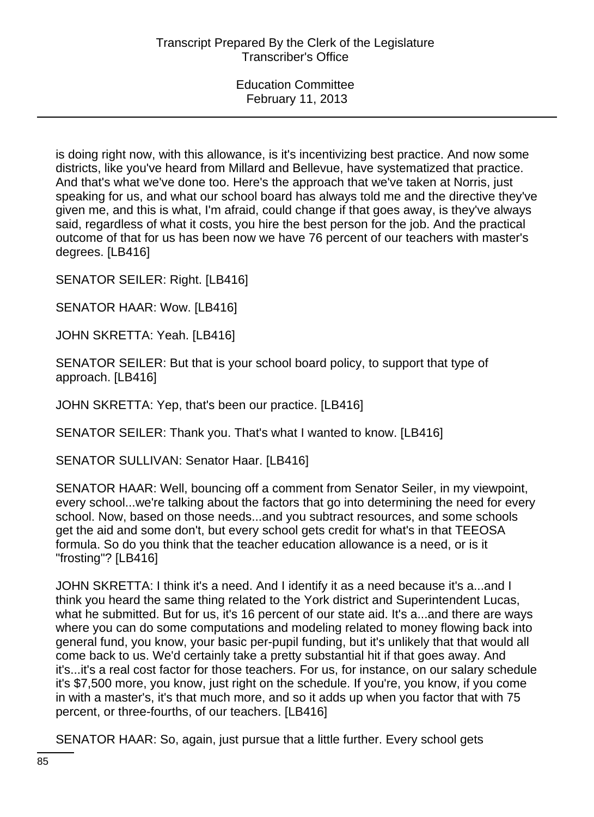is doing right now, with this allowance, is it's incentivizing best practice. And now some districts, like you've heard from Millard and Bellevue, have systematized that practice. And that's what we've done too. Here's the approach that we've taken at Norris, just speaking for us, and what our school board has always told me and the directive they've given me, and this is what, I'm afraid, could change if that goes away, is they've always said, regardless of what it costs, you hire the best person for the job. And the practical outcome of that for us has been now we have 76 percent of our teachers with master's degrees. [LB416]

SENATOR SEILER: Right. [LB416]

SENATOR HAAR: Wow. [LB416]

JOHN SKRETTA: Yeah. [LB416]

SENATOR SEILER: But that is your school board policy, to support that type of approach. [LB416]

JOHN SKRETTA: Yep, that's been our practice. [LB416]

SENATOR SEILER: Thank you. That's what I wanted to know. [LB416]

SENATOR SULLIVAN: Senator Haar. [LB416]

SENATOR HAAR: Well, bouncing off a comment from Senator Seiler, in my viewpoint, every school...we're talking about the factors that go into determining the need for every school. Now, based on those needs...and you subtract resources, and some schools get the aid and some don't, but every school gets credit for what's in that TEEOSA formula. So do you think that the teacher education allowance is a need, or is it "frosting"? [LB416]

JOHN SKRETTA: I think it's a need. And I identify it as a need because it's a...and I think you heard the same thing related to the York district and Superintendent Lucas, what he submitted. But for us, it's 16 percent of our state aid. It's a...and there are ways where you can do some computations and modeling related to money flowing back into general fund, you know, your basic per-pupil funding, but it's unlikely that that would all come back to us. We'd certainly take a pretty substantial hit if that goes away. And it's...it's a real cost factor for those teachers. For us, for instance, on our salary schedule it's \$7,500 more, you know, just right on the schedule. If you're, you know, if you come in with a master's, it's that much more, and so it adds up when you factor that with 75 percent, or three-fourths, of our teachers. [LB416]

SENATOR HAAR: So, again, just pursue that a little further. Every school gets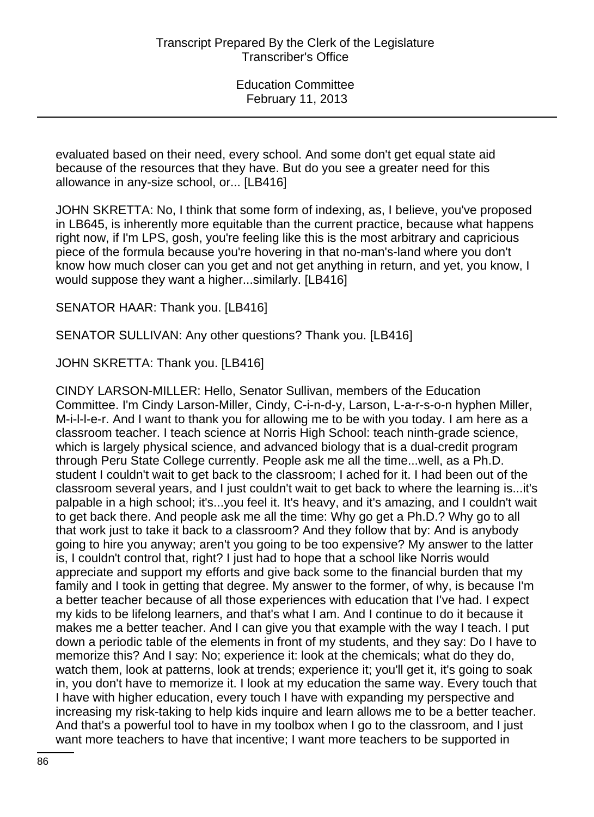evaluated based on their need, every school. And some don't get equal state aid because of the resources that they have. But do you see a greater need for this allowance in any-size school, or... [LB416]

JOHN SKRETTA: No, I think that some form of indexing, as, I believe, you've proposed in LB645, is inherently more equitable than the current practice, because what happens right now, if I'm LPS, gosh, you're feeling like this is the most arbitrary and capricious piece of the formula because you're hovering in that no-man's-land where you don't know how much closer can you get and not get anything in return, and yet, you know, I would suppose they want a higher...similarly. [LB416]

SENATOR HAAR: Thank you. [LB416]

SENATOR SULLIVAN: Any other questions? Thank you. [LB416]

JOHN SKRETTA: Thank you. [LB416]

CINDY LARSON-MILLER: Hello, Senator Sullivan, members of the Education Committee. I'm Cindy Larson-Miller, Cindy, C-i-n-d-y, Larson, L-a-r-s-o-n hyphen Miller, M-i-l-l-e-r. And I want to thank you for allowing me to be with you today. I am here as a classroom teacher. I teach science at Norris High School: teach ninth-grade science, which is largely physical science, and advanced biology that is a dual-credit program through Peru State College currently. People ask me all the time...well, as a Ph.D. student I couldn't wait to get back to the classroom; I ached for it. I had been out of the classroom several years, and I just couldn't wait to get back to where the learning is...it's palpable in a high school; it's...you feel it. It's heavy, and it's amazing, and I couldn't wait to get back there. And people ask me all the time: Why go get a Ph.D.? Why go to all that work just to take it back to a classroom? And they follow that by: And is anybody going to hire you anyway; aren't you going to be too expensive? My answer to the latter is, I couldn't control that, right? I just had to hope that a school like Norris would appreciate and support my efforts and give back some to the financial burden that my family and I took in getting that degree. My answer to the former, of why, is because I'm a better teacher because of all those experiences with education that I've had. I expect my kids to be lifelong learners, and that's what I am. And I continue to do it because it makes me a better teacher. And I can give you that example with the way I teach. I put down a periodic table of the elements in front of my students, and they say: Do I have to memorize this? And I say: No; experience it: look at the chemicals; what do they do, watch them, look at patterns, look at trends; experience it; you'll get it, it's going to soak in, you don't have to memorize it. I look at my education the same way. Every touch that I have with higher education, every touch I have with expanding my perspective and increasing my risk-taking to help kids inquire and learn allows me to be a better teacher. And that's a powerful tool to have in my toolbox when I go to the classroom, and I just want more teachers to have that incentive; I want more teachers to be supported in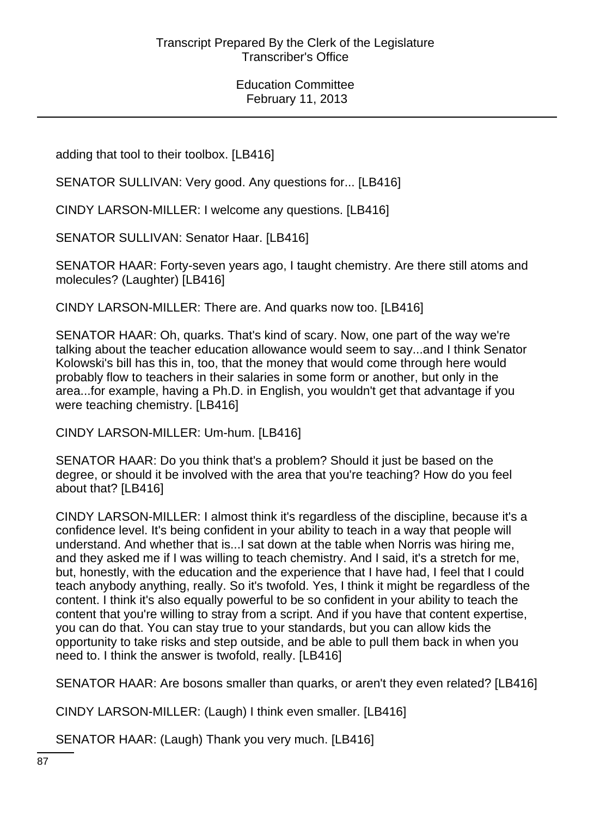adding that tool to their toolbox. [LB416]

SENATOR SULLIVAN: Very good. Any questions for... [LB416]

CINDY LARSON-MILLER: I welcome any questions. [LB416]

SENATOR SULLIVAN: Senator Haar. [LB416]

SENATOR HAAR: Forty-seven years ago, I taught chemistry. Are there still atoms and molecules? (Laughter) [LB416]

CINDY LARSON-MILLER: There are. And quarks now too. [LB416]

SENATOR HAAR: Oh, quarks. That's kind of scary. Now, one part of the way we're talking about the teacher education allowance would seem to say...and I think Senator Kolowski's bill has this in, too, that the money that would come through here would probably flow to teachers in their salaries in some form or another, but only in the area...for example, having a Ph.D. in English, you wouldn't get that advantage if you were teaching chemistry. [LB416]

CINDY LARSON-MILLER: Um-hum. [LB416]

SENATOR HAAR: Do you think that's a problem? Should it just be based on the degree, or should it be involved with the area that you're teaching? How do you feel about that? [LB416]

CINDY LARSON-MILLER: I almost think it's regardless of the discipline, because it's a confidence level. It's being confident in your ability to teach in a way that people will understand. And whether that is...I sat down at the table when Norris was hiring me, and they asked me if I was willing to teach chemistry. And I said, it's a stretch for me, but, honestly, with the education and the experience that I have had, I feel that I could teach anybody anything, really. So it's twofold. Yes, I think it might be regardless of the content. I think it's also equally powerful to be so confident in your ability to teach the content that you're willing to stray from a script. And if you have that content expertise, you can do that. You can stay true to your standards, but you can allow kids the opportunity to take risks and step outside, and be able to pull them back in when you need to. I think the answer is twofold, really. [LB416]

SENATOR HAAR: Are bosons smaller than quarks, or aren't they even related? [LB416]

CINDY LARSON-MILLER: (Laugh) I think even smaller. [LB416]

SENATOR HAAR: (Laugh) Thank you very much. [LB416]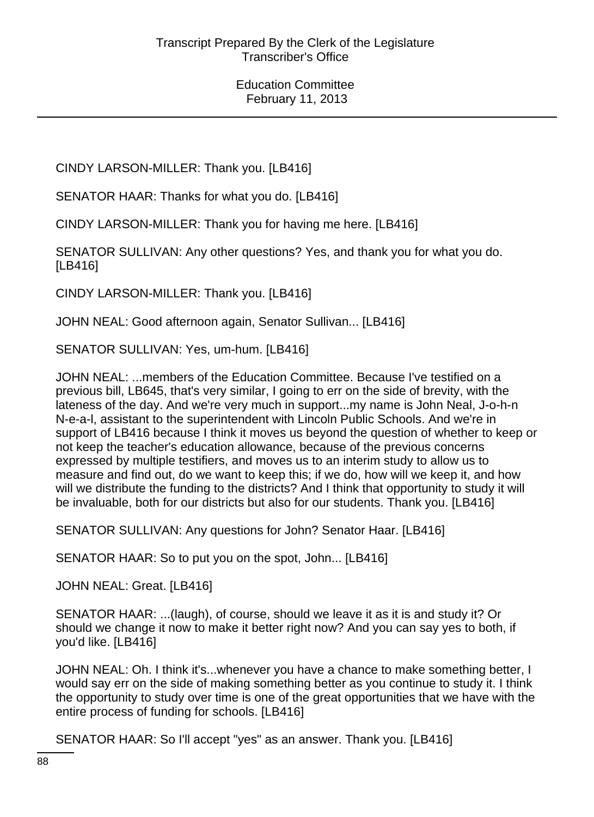CINDY LARSON-MILLER: Thank you. [LB416]

SENATOR HAAR: Thanks for what you do. [LB416]

CINDY LARSON-MILLER: Thank you for having me here. [LB416]

SENATOR SULLIVAN: Any other questions? Yes, and thank you for what you do. [LB416]

CINDY LARSON-MILLER: Thank you. [LB416]

JOHN NEAL: Good afternoon again, Senator Sullivan... [LB416]

SENATOR SULLIVAN: Yes, um-hum. [LB416]

JOHN NEAL: ...members of the Education Committee. Because I've testified on a previous bill, LB645, that's very similar, I going to err on the side of brevity, with the lateness of the day. And we're very much in support...my name is John Neal, J-o-h-n N-e-a-l, assistant to the superintendent with Lincoln Public Schools. And we're in support of LB416 because I think it moves us beyond the question of whether to keep or not keep the teacher's education allowance, because of the previous concerns expressed by multiple testifiers, and moves us to an interim study to allow us to measure and find out, do we want to keep this; if we do, how will we keep it, and how will we distribute the funding to the districts? And I think that opportunity to study it will be invaluable, both for our districts but also for our students. Thank you. [LB416]

SENATOR SULLIVAN: Any questions for John? Senator Haar. [LB416]

SENATOR HAAR: So to put you on the spot, John... [LB416]

JOHN NEAL: Great. [LB416]

SENATOR HAAR: ...(laugh), of course, should we leave it as it is and study it? Or should we change it now to make it better right now? And you can say yes to both, if you'd like. [LB416]

JOHN NEAL: Oh. I think it's...whenever you have a chance to make something better, I would say err on the side of making something better as you continue to study it. I think the opportunity to study over time is one of the great opportunities that we have with the entire process of funding for schools. [LB416]

SENATOR HAAR: So I'll accept "yes" as an answer. Thank you. [LB416]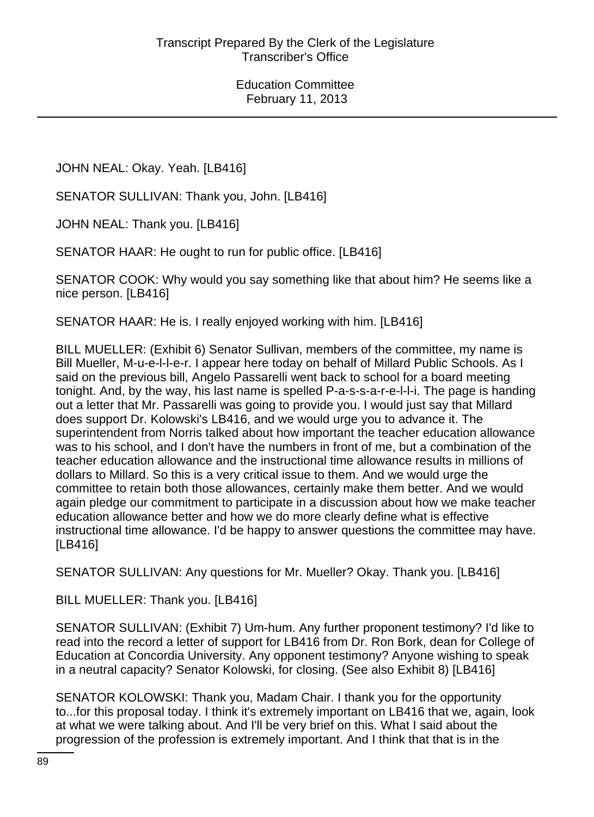JOHN NEAL: Okay. Yeah. [LB416]

SENATOR SULLIVAN: Thank you, John. [LB416]

JOHN NEAL: Thank you. [LB416]

SENATOR HAAR: He ought to run for public office. [LB416]

SENATOR COOK: Why would you say something like that about him? He seems like a nice person. [LB416]

SENATOR HAAR: He is. I really enjoyed working with him. [LB416]

BILL MUELLER: (Exhibit 6) Senator Sullivan, members of the committee, my name is Bill Mueller, M-u-e-l-l-e-r. I appear here today on behalf of Millard Public Schools. As I said on the previous bill, Angelo Passarelli went back to school for a board meeting tonight. And, by the way, his last name is spelled P-a-s-s-a-r-e-l-l-i. The page is handing out a letter that Mr. Passarelli was going to provide you. I would just say that Millard does support Dr. Kolowski's LB416, and we would urge you to advance it. The superintendent from Norris talked about how important the teacher education allowance was to his school, and I don't have the numbers in front of me, but a combination of the teacher education allowance and the instructional time allowance results in millions of dollars to Millard. So this is a very critical issue to them. And we would urge the committee to retain both those allowances, certainly make them better. And we would again pledge our commitment to participate in a discussion about how we make teacher education allowance better and how we do more clearly define what is effective instructional time allowance. I'd be happy to answer questions the committee may have. [LB416]

SENATOR SULLIVAN: Any questions for Mr. Mueller? Okay. Thank you. [LB416]

BILL MUELLER: Thank you. [LB416]

SENATOR SULLIVAN: (Exhibit 7) Um-hum. Any further proponent testimony? I'd like to read into the record a letter of support for LB416 from Dr. Ron Bork, dean for College of Education at Concordia University. Any opponent testimony? Anyone wishing to speak in a neutral capacity? Senator Kolowski, for closing. (See also Exhibit 8) [LB416]

SENATOR KOLOWSKI: Thank you, Madam Chair. I thank you for the opportunity to...for this proposal today. I think it's extremely important on LB416 that we, again, look at what we were talking about. And I'll be very brief on this. What I said about the progression of the profession is extremely important. And I think that that is in the